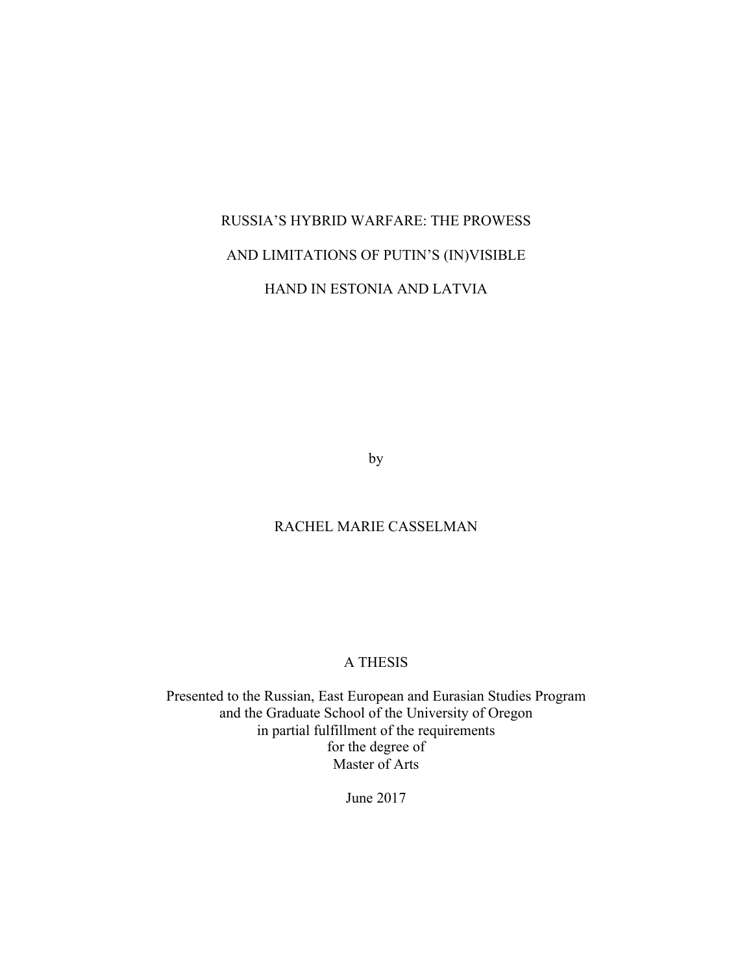# RUSSIA'S HYBRID WARFARE: THE PROWESS AND LIMITATIONS OF PUTIN'S (IN)VISIBLE

## HAND IN ESTONIA AND LATVIA

by

## RACHEL MARIE CASSELMAN

## A THESIS

Presented to the Russian, East European and Eurasian Studies Program and the Graduate School of the University of Oregon in partial fulfillment of the requirements for the degree of Master of Arts

June 2017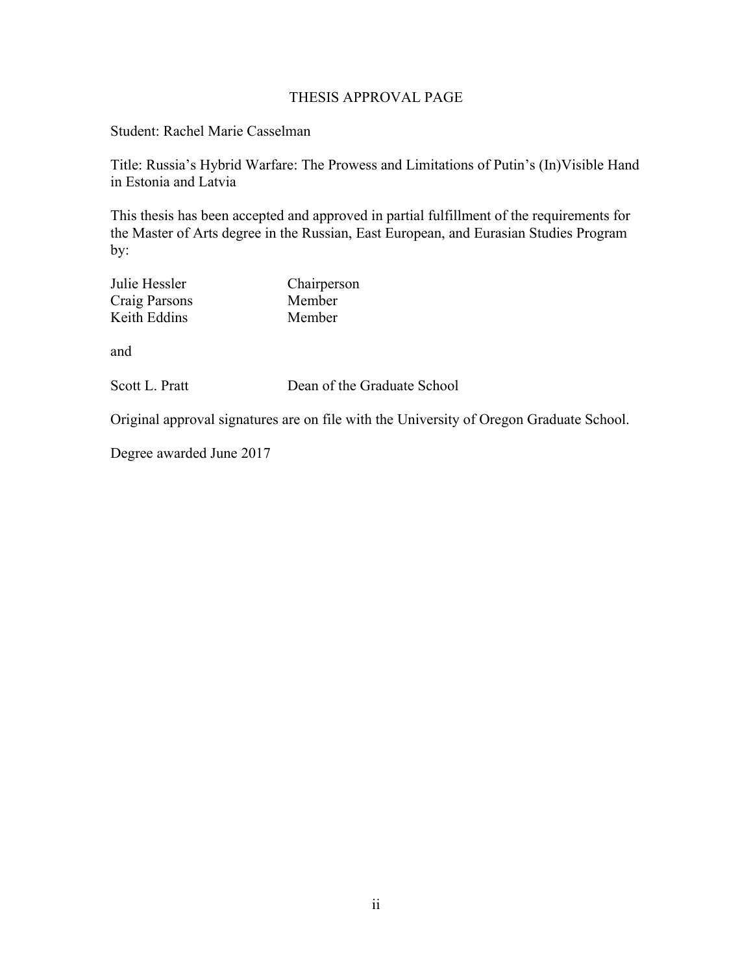## THESIS APPROVAL PAGE

Student: Rachel Marie Casselman

Title: Russia's Hybrid Warfare: The Prowess and Limitations of Putin's (In)Visible Hand in Estonia and Latvia

This thesis has been accepted and approved in partial fulfillment of the requirements for the Master of Arts degree in the Russian, East European, and Eurasian Studies Program by:

| Julie Hessler | Chairperson |
|---------------|-------------|
| Craig Parsons | Member      |
| Keith Eddins  | Member      |
| and           |             |

Scott L. Pratt Dean of the Graduate School

Original approval signatures are on file with the University of Oregon Graduate School.

Degree awarded June 2017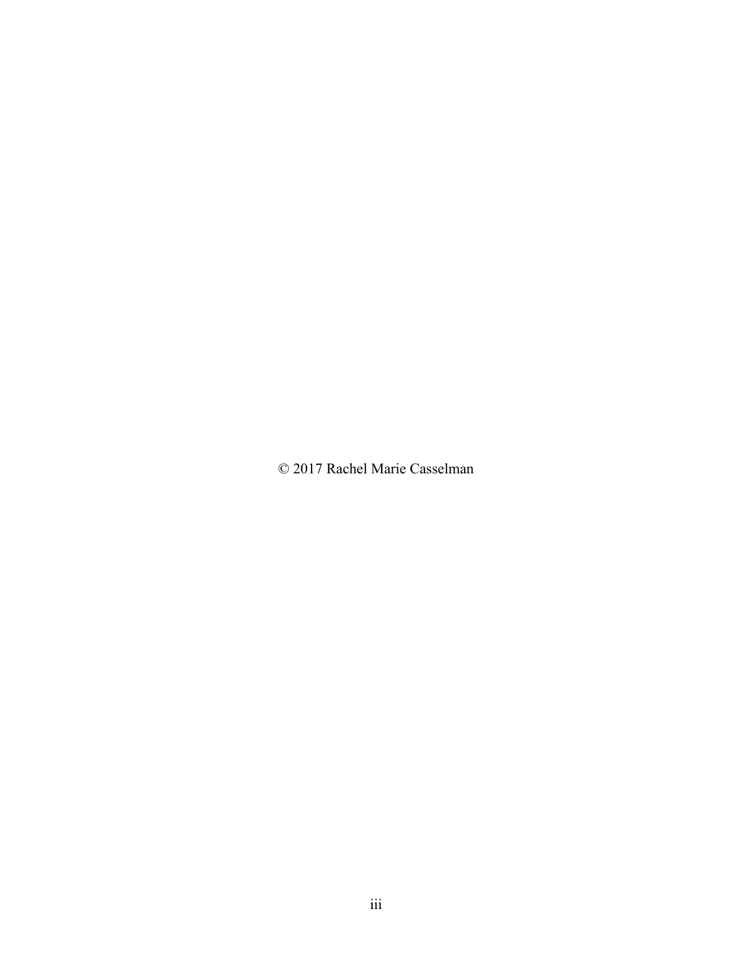© 2017 Rachel Marie Casselman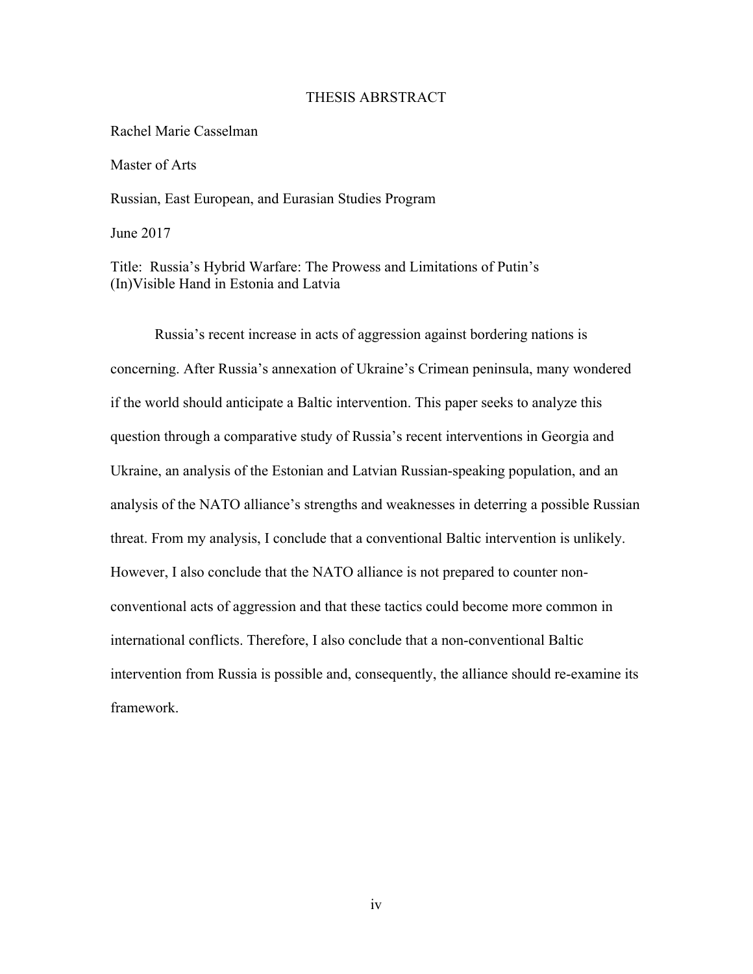#### THESIS ABRSTRACT

Rachel Marie Casselman

Master of Arts

Russian, East European, and Eurasian Studies Program

June 2017

Title: Russia's Hybrid Warfare: The Prowess and Limitations of Putin's (In)Visible Hand in Estonia and Latvia

Russia's recent increase in acts of aggression against bordering nations is concerning. After Russia's annexation of Ukraine's Crimean peninsula, many wondered if the world should anticipate a Baltic intervention. This paper seeks to analyze this question through a comparative study of Russia's recent interventions in Georgia and Ukraine, an analysis of the Estonian and Latvian Russian-speaking population, and an analysis of the NATO alliance's strengths and weaknesses in deterring a possible Russian threat. From my analysis, I conclude that a conventional Baltic intervention is unlikely. However, I also conclude that the NATO alliance is not prepared to counter nonconventional acts of aggression and that these tactics could become more common in international conflicts. Therefore, I also conclude that a non-conventional Baltic intervention from Russia is possible and, consequently, the alliance should re-examine its framework.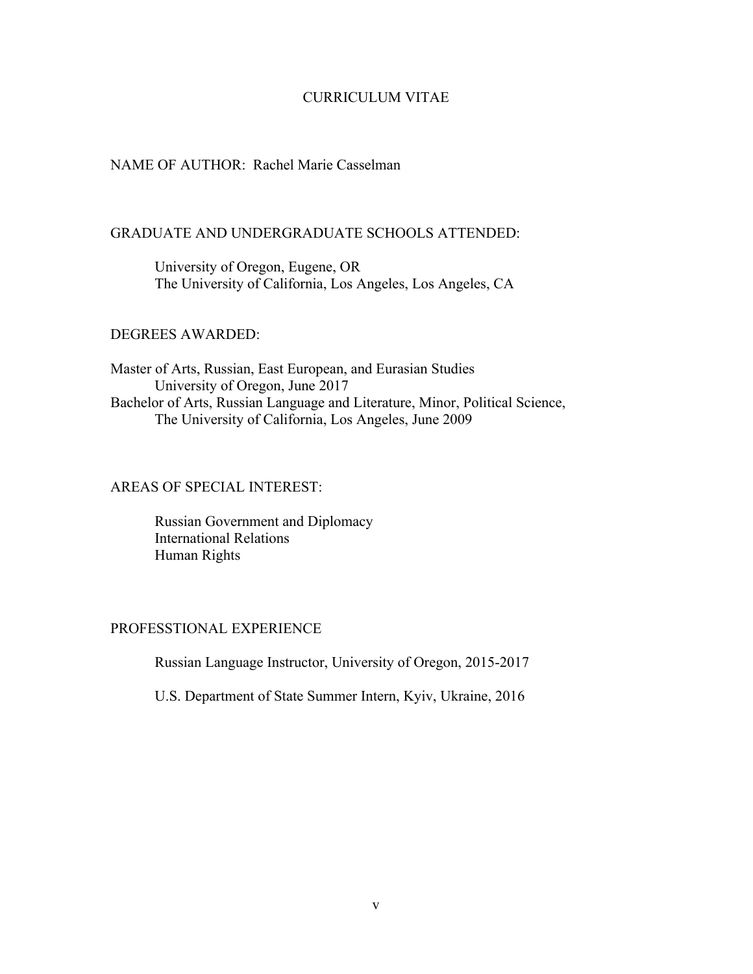## CURRICULUM VITAE

## NAME OF AUTHOR: Rachel Marie Casselman

## GRADUATE AND UNDERGRADUATE SCHOOLS ATTENDED:

University of Oregon, Eugene, OR The University of California, Los Angeles, Los Angeles, CA

## DEGREES AWARDED:

Master of Arts, Russian, East European, and Eurasian Studies University of Oregon, June 2017 Bachelor of Arts, Russian Language and Literature, Minor, Political Science, The University of California, Los Angeles, June 2009

## AREAS OF SPECIAL INTEREST:

Russian Government and Diplomacy International Relations Human Rights

## PROFESSTIONAL EXPERIENCE

Russian Language Instructor, University of Oregon, 2015-2017

U.S. Department of State Summer Intern, Kyiv, Ukraine, 2016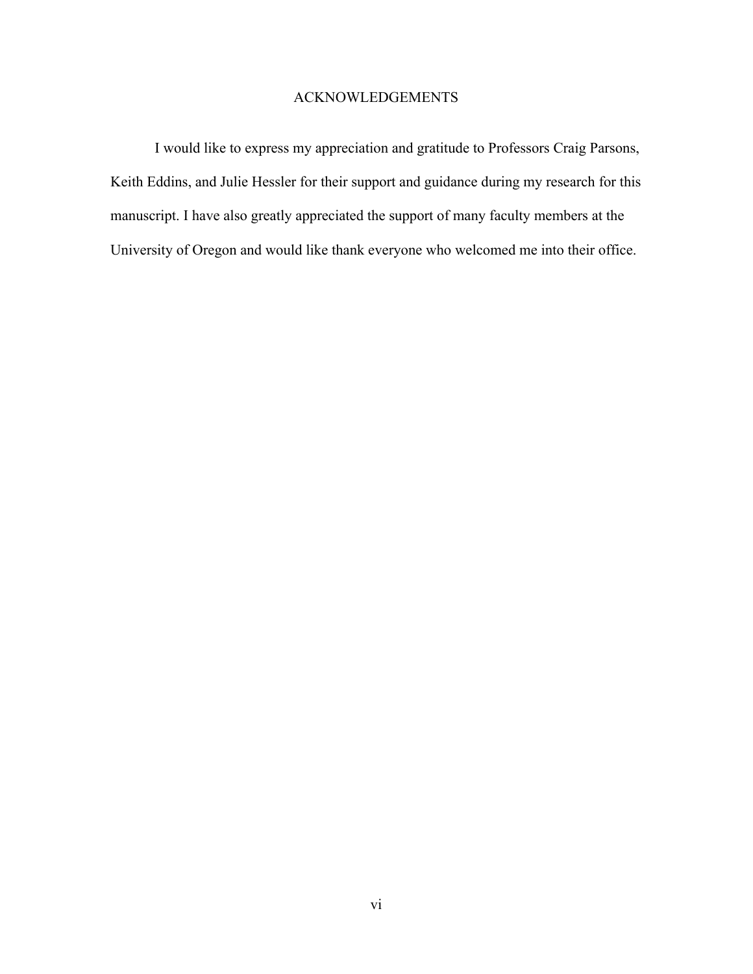## ACKNOWLEDGEMENTS

I would like to express my appreciation and gratitude to Professors Craig Parsons, Keith Eddins, and Julie Hessler for their support and guidance during my research for this manuscript. I have also greatly appreciated the support of many faculty members at the University of Oregon and would like thank everyone who welcomed me into their office.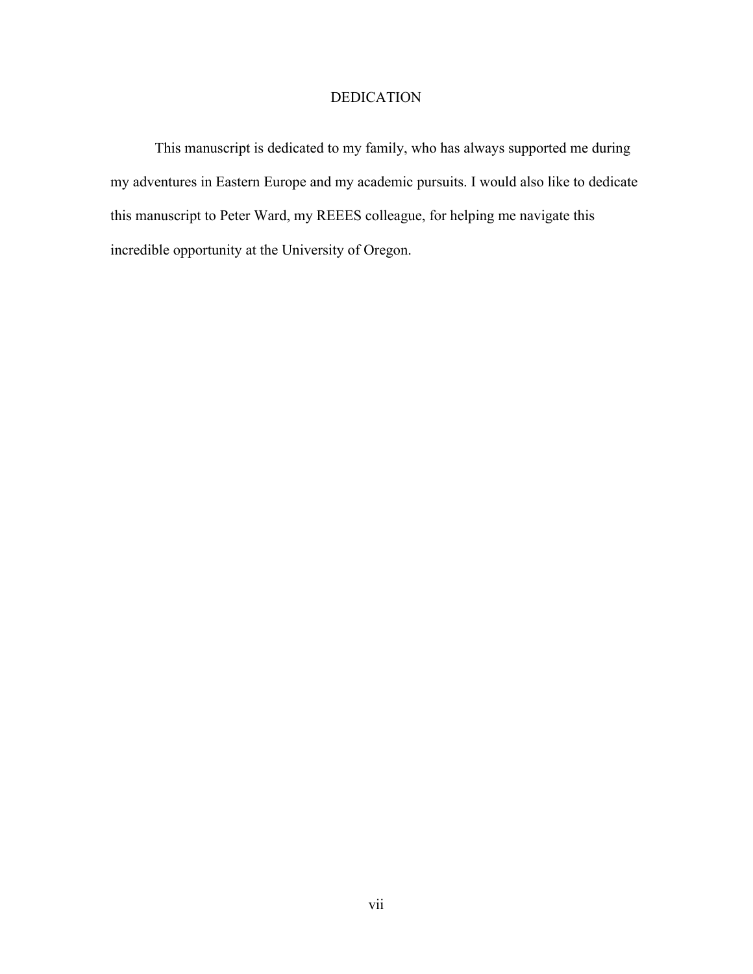## DEDICATION

This manuscript is dedicated to my family, who has always supported me during my adventures in Eastern Europe and my academic pursuits. I would also like to dedicate this manuscript to Peter Ward, my REEES colleague, for helping me navigate this incredible opportunity at the University of Oregon.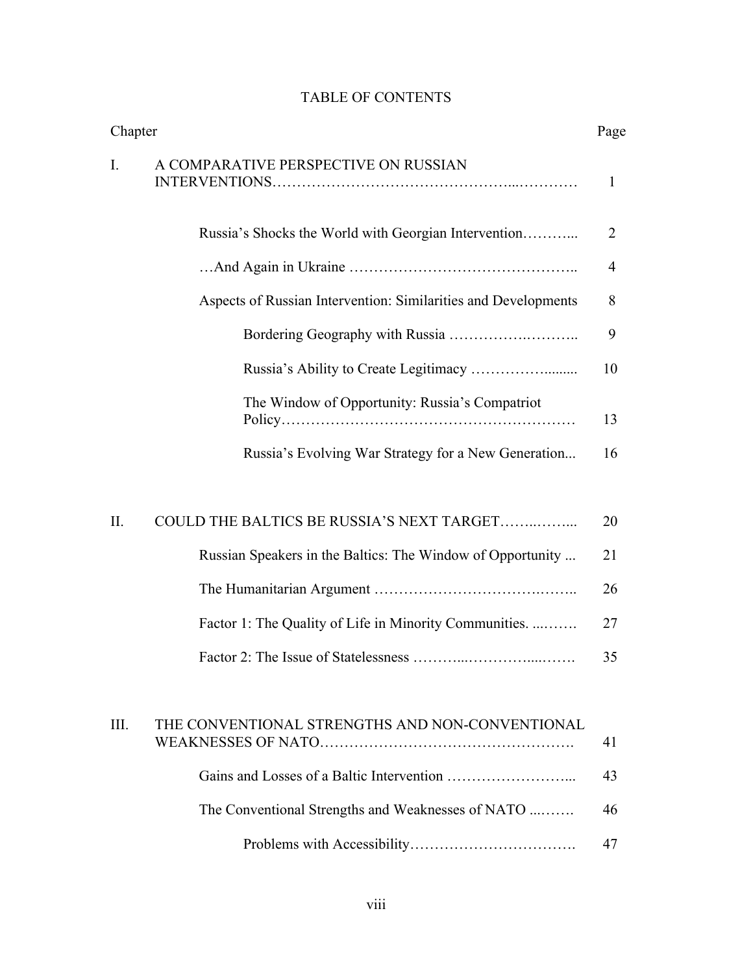| Chapter |                                                                |    |
|---------|----------------------------------------------------------------|----|
| Ι.      | A COMPARATIVE PERSPECTIVE ON RUSSIAN                           | 1  |
|         | Russia's Shocks the World with Georgian Intervention           | 2  |
|         |                                                                | 4  |
|         | Aspects of Russian Intervention: Similarities and Developments | 8  |
|         |                                                                | 9  |
|         |                                                                | 10 |
|         | The Window of Opportunity: Russia's Compatriot                 | 13 |
|         | Russia's Evolving War Strategy for a New Generation            | 16 |
|         |                                                                |    |
| II.     | COULD THE BALTICS BE RUSSIA'S NEXT TARGET                      | 20 |
|         | Russian Speakers in the Baltics: The Window of Opportunity     | 21 |
|         |                                                                | 26 |
|         | Factor 1: The Quality of Life in Minority Communities.         | 27 |
|         |                                                                | 35 |
|         |                                                                |    |
| Ш.      | THE CONVENTIONAL STRENGTHS AND NON-CONVENTIONAL                | 41 |
|         |                                                                | 43 |
|         | The Conventional Strengths and Weaknesses of NATO              | 46 |
|         |                                                                | 47 |

# TABLE OF CONTENTS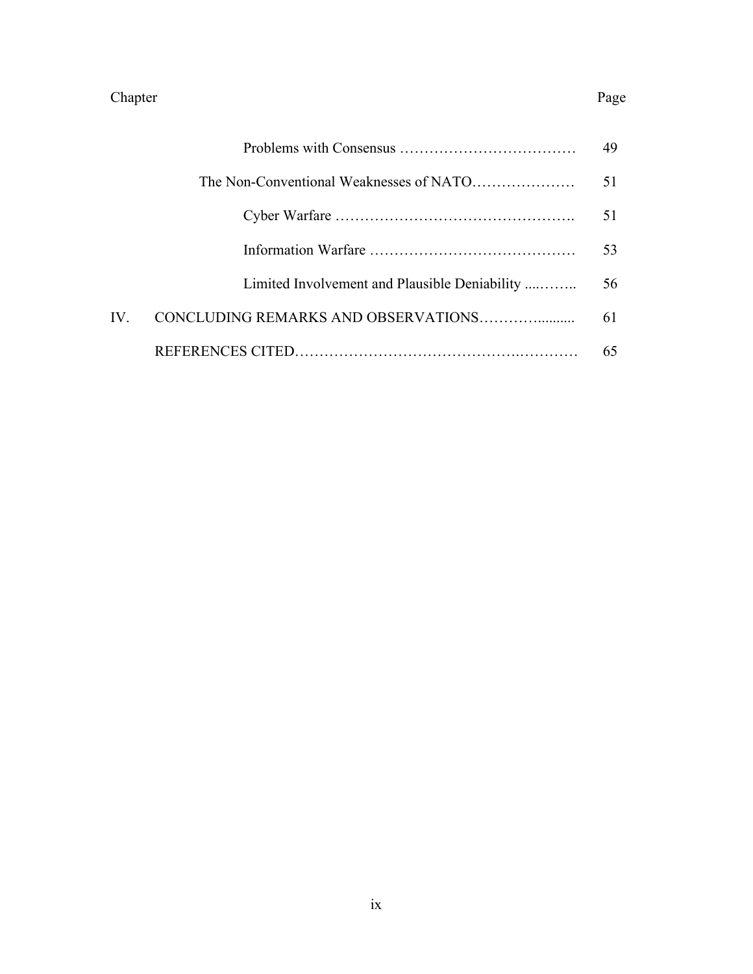## Chapter Page

|      |                                               | 49 |
|------|-----------------------------------------------|----|
|      |                                               | 51 |
|      |                                               | 51 |
|      |                                               | 53 |
|      | Limited Involvement and Plausible Deniability | 56 |
| IV - | CONCLUDING REMARKS AND OBSERVATIONS           | 61 |
|      |                                               | 65 |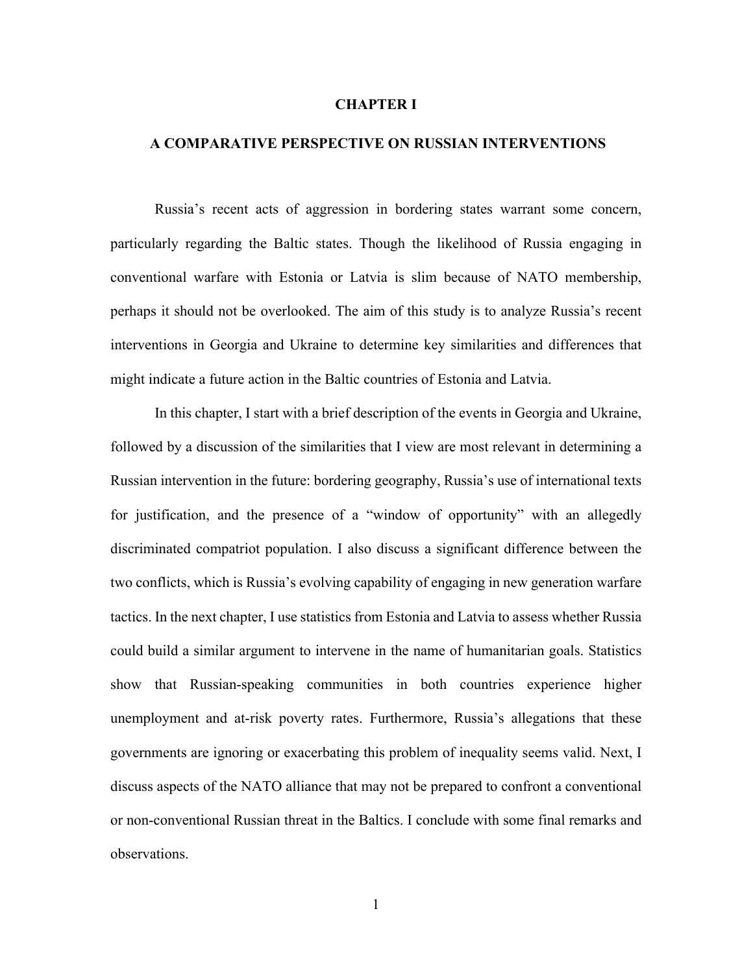#### **CHAPTER I**

#### **A COMPARATIVE PERSPECTIVE ON RUSSIAN INTERVENTIONS**

Russia's recent acts of aggression in bordering states warrant some concern, particularly regarding the Baltic states. Though the likelihood of Russia engaging in conventional warfare with Estonia or Latvia is slim because of NATO membership, perhaps it should not be overlooked. The aim of this study is to analyze Russia's recent interventions in Georgia and Ukraine to determine key similarities and differences that might indicate a future action in the Baltic countries of Estonia and Latvia.

In this chapter, I start with a brief description of the events in Georgia and Ukraine, followed by a discussion of the similarities that I view are most relevant in determining a Russian intervention in the future: bordering geography, Russia's use of international texts for justification, and the presence of a "window of opportunity" with an allegedly discriminated compatriot population. I also discuss a significant difference between the two conflicts, which is Russia's evolving capability of engaging in new generation warfare tactics. In the next chapter, I use statistics from Estonia and Latvia to assess whether Russia could build a similar argument to intervene in the name of humanitarian goals. Statistics show that Russian-speaking communities in both countries experience higher unemployment and at-risk poverty rates. Furthermore, Russia's allegations that these governments are ignoring or exacerbating this problem of inequality seems valid. Next, I discuss aspects of the NATO alliance that may not be prepared to confront a conventional or non-conventional Russian threat in the Baltics. I conclude with some final remarks and observations.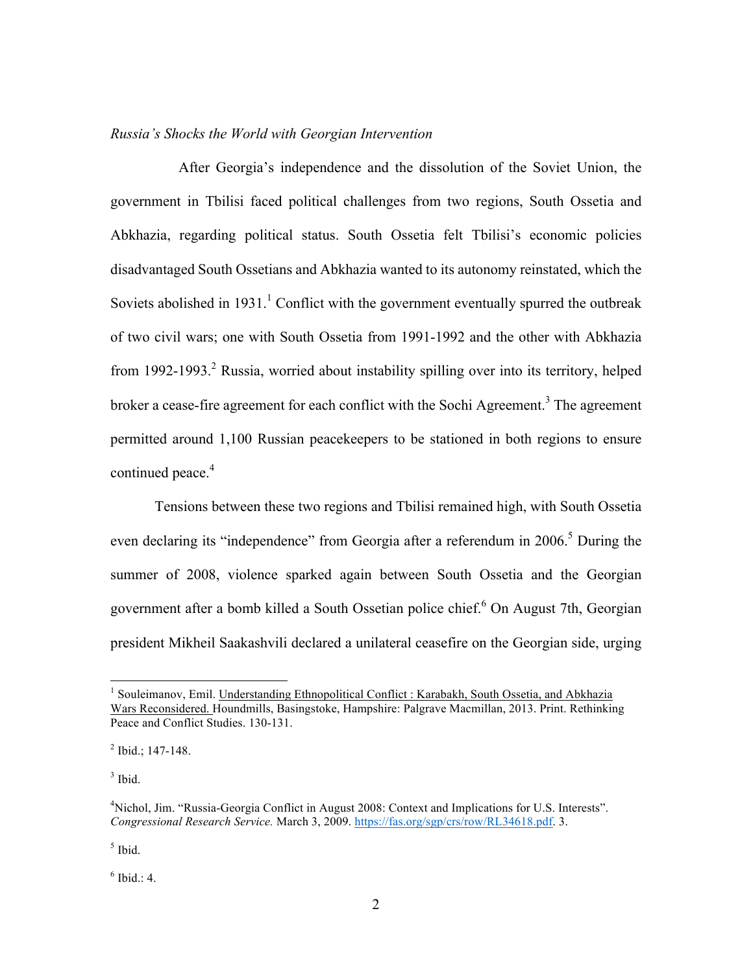#### *Russia's Shocks the World with Georgian Intervention*

 After Georgia's independence and the dissolution of the Soviet Union, the government in Tbilisi faced political challenges from two regions, South Ossetia and Abkhazia, regarding political status. South Ossetia felt Tbilisi's economic policies disadvantaged South Ossetians and Abkhazia wanted to its autonomy reinstated, which the Soviets abolished in  $1931$ .<sup>1</sup> Conflict with the government eventually spurred the outbreak of two civil wars; one with South Ossetia from 1991-1992 and the other with Abkhazia from 1992-1993.<sup>2</sup> Russia, worried about instability spilling over into its territory, helped broker a cease-fire agreement for each conflict with the Sochi Agreement.<sup>3</sup> The agreement permitted around 1,100 Russian peacekeepers to be stationed in both regions to ensure continued peace. 4

Tensions between these two regions and Tbilisi remained high, with South Ossetia even declaring its "independence" from Georgia after a referendum in 2006.<sup>5</sup> During the summer of 2008, violence sparked again between South Ossetia and the Georgian government after a bomb killed a South Ossetian police chief. <sup>6</sup> On August 7th, Georgian president Mikheil Saakashvili declared a unilateral ceasefire on the Georgian side, urging

 $<sup>5</sup>$  Ibid.</sup>

 $6$  Ibid.: 4.

<sup>&</sup>lt;sup>1</sup> Souleimanov, Emil. Understanding Ethnopolitical Conflict : Karabakh, South Ossetia, and Abkhazia Wars Reconsidered. Houndmills, Basingstoke, Hampshire: Palgrave Macmillan, 2013. Print. Rethinking Peace and Conflict Studies. 130-131.

<sup>2</sup> Ibid.; 147-148.

 $3$  Ibid.

<sup>&</sup>lt;sup>4</sup>Nichol, Jim. "Russia-Georgia Conflict in August 2008: Context and Implications for U.S. Interests". *Congressional Research Service.* March 3, 2009. https://fas.org/sgp/crs/row/RL34618.pdf. 3.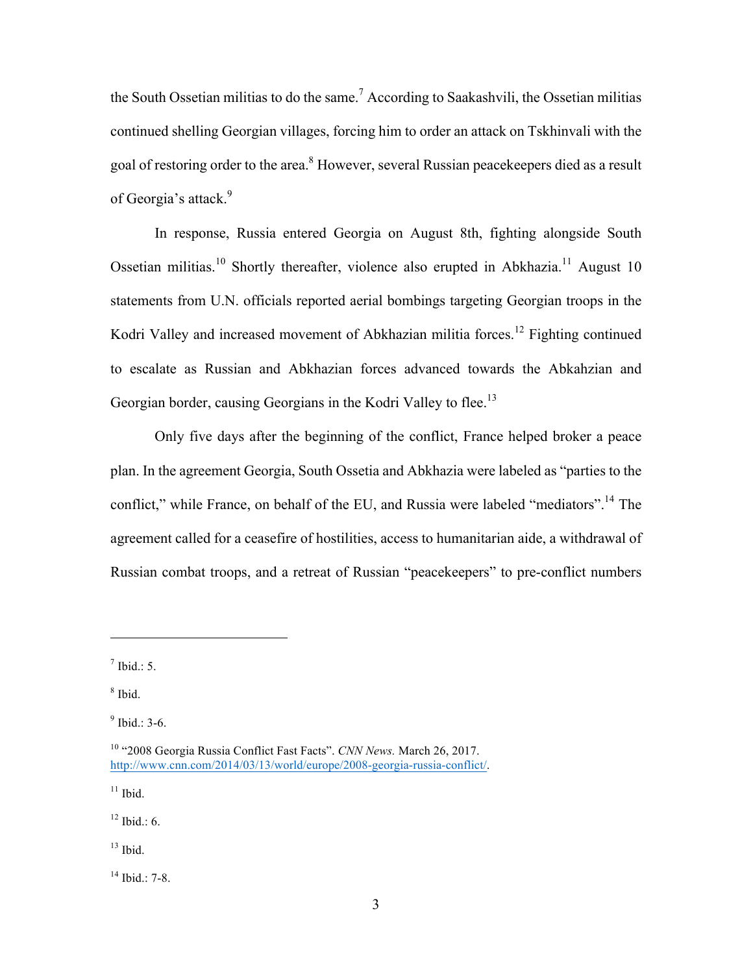the South Ossetian militias to do the same.<sup>7</sup> According to Saakashvili, the Ossetian militias continued shelling Georgian villages, forcing him to order an attack on Tskhinvali with the goal of restoring order to the area.<sup>8</sup> However, several Russian peacekeepers died as a result of Georgia's attack.<sup>9</sup>

In response, Russia entered Georgia on August 8th, fighting alongside South Ossetian militias.<sup>10</sup> Shortly thereafter, violence also erupted in Abkhazia.<sup>11</sup> August 10 statements from U.N. officials reported aerial bombings targeting Georgian troops in the Kodri Valley and increased movement of Abkhazian militia forces.<sup>12</sup> Fighting continued to escalate as Russian and Abkhazian forces advanced towards the Abkahzian and Georgian border, causing Georgians in the Kodri Valley to flee.<sup>13</sup>

Only five days after the beginning of the conflict, France helped broker a peace plan. In the agreement Georgia, South Ossetia and Abkhazia were labeled as "parties to the conflict," while France, on behalf of the EU, and Russia were labeled "mediators".<sup>14</sup> The agreement called for a ceasefire of hostilities, access to humanitarian aide, a withdrawal of Russian combat troops, and a retreat of Russian "peacekeepers" to pre-conflict numbers

 $\overline{a}$ 

 $11$  Ibid.

 $12$  Ibid  $\cdot$  6.

 $13$  Ibid.

<sup>14</sup> Ibid.: 7-8.

 $^7$  Ibid.: 5.

 $8$  Ibid.

 $9$  Ibid.: 3-6.

<sup>10</sup> "2008 Georgia Russia Conflict Fast Facts". *CNN News.* March 26, 2017. http://www.cnn.com/2014/03/13/world/europe/2008-georgia-russia-conflict/.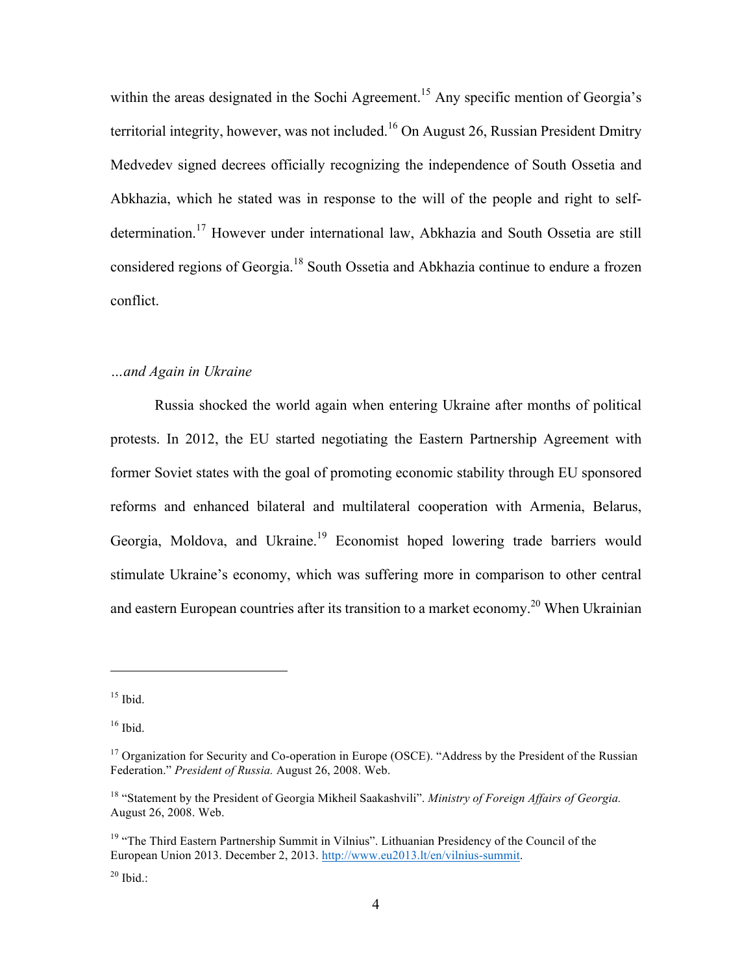within the areas designated in the Sochi Agreement.<sup>15</sup> Any specific mention of Georgia's territorial integrity, however, was not included. <sup>16</sup> On August 26, Russian President Dmitry Medvedev signed decrees officially recognizing the independence of South Ossetia and Abkhazia, which he stated was in response to the will of the people and right to selfdetermination. <sup>17</sup> However under international law, Abkhazia and South Ossetia are still considered regions of Georgia.<sup>18</sup> South Ossetia and Abkhazia continue to endure a frozen conflict.

## *…and Again in Ukraine*

Russia shocked the world again when entering Ukraine after months of political protests. In 2012, the EU started negotiating the Eastern Partnership Agreement with former Soviet states with the goal of promoting economic stability through EU sponsored reforms and enhanced bilateral and multilateral cooperation with Armenia, Belarus, Georgia, Moldova, and Ukraine.<sup>19</sup> Economist hoped lowering trade barriers would stimulate Ukraine's economy, which was suffering more in comparison to other central and eastern European countries after its transition to a market economy.<sup>20</sup> When Ukrainian

 $15$  Ibid.

 $16$  Ibid.

<sup>&</sup>lt;sup>17</sup> Organization for Security and Co-operation in Europe (OSCE). "Address by the President of the Russian Federation." *President of Russia.* August 26, 2008. Web.

<sup>18</sup> "Statement by the President of Georgia Mikheil Saakashvili". *Ministry of Foreign Affairs of Georgia.*  August 26, 2008. Web.

 $19$  "The Third Eastern Partnership Summit in Vilnius". Lithuanian Presidency of the Council of the European Union 2013. December 2, 2013. http://www.eu2013.lt/en/vilnius-summit.

 $20$  Ibid.: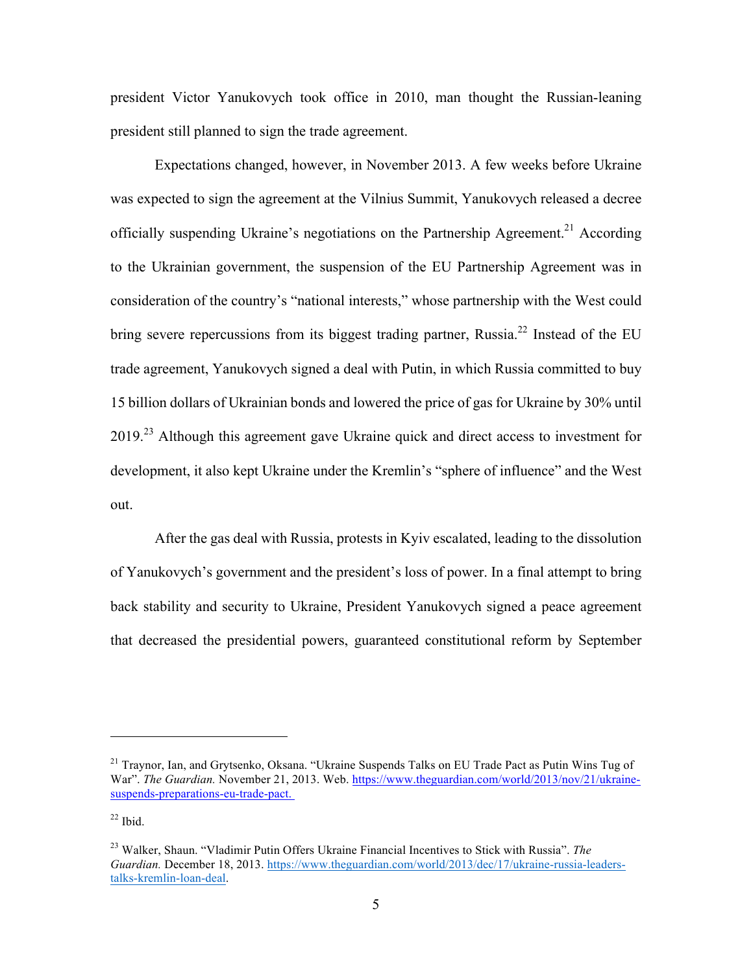president Victor Yanukovych took office in 2010, man thought the Russian-leaning president still planned to sign the trade agreement.

Expectations changed, however, in November 2013. A few weeks before Ukraine was expected to sign the agreement at the Vilnius Summit, Yanukovych released a decree officially suspending Ukraine's negotiations on the Partnership Agreement.<sup>21</sup> According to the Ukrainian government, the suspension of the EU Partnership Agreement was in consideration of the country's "national interests," whose partnership with the West could bring severe repercussions from its biggest trading partner, Russia.<sup>22</sup> Instead of the EU trade agreement, Yanukovych signed a deal with Putin, in which Russia committed to buy 15 billion dollars of Ukrainian bonds and lowered the price of gas for Ukraine by 30% until 2019.<sup>23</sup> Although this agreement gave Ukraine quick and direct access to investment for development, it also kept Ukraine under the Kremlin's "sphere of influence" and the West out.

After the gas deal with Russia, protests in Kyiv escalated, leading to the dissolution of Yanukovych's government and the president's loss of power. In a final attempt to bring back stability and security to Ukraine, President Yanukovych signed a peace agreement that decreased the presidential powers, guaranteed constitutional reform by September

<sup>&</sup>lt;sup>21</sup> Traynor, Ian, and Grytsenko, Oksana. "Ukraine Suspends Talks on EU Trade Pact as Putin Wins Tug of War". *The Guardian.* November 21, 2013. Web. https://www.theguardian.com/world/2013/nov/21/ukrainesuspends-preparations-eu-trade-pact.

 $22$  Ibid.

<sup>23</sup> Walker, Shaun. "Vladimir Putin Offers Ukraine Financial Incentives to Stick with Russia". *The Guardian.* December 18, 2013. https://www.theguardian.com/world/2013/dec/17/ukraine-russia-leaderstalks-kremlin-loan-deal.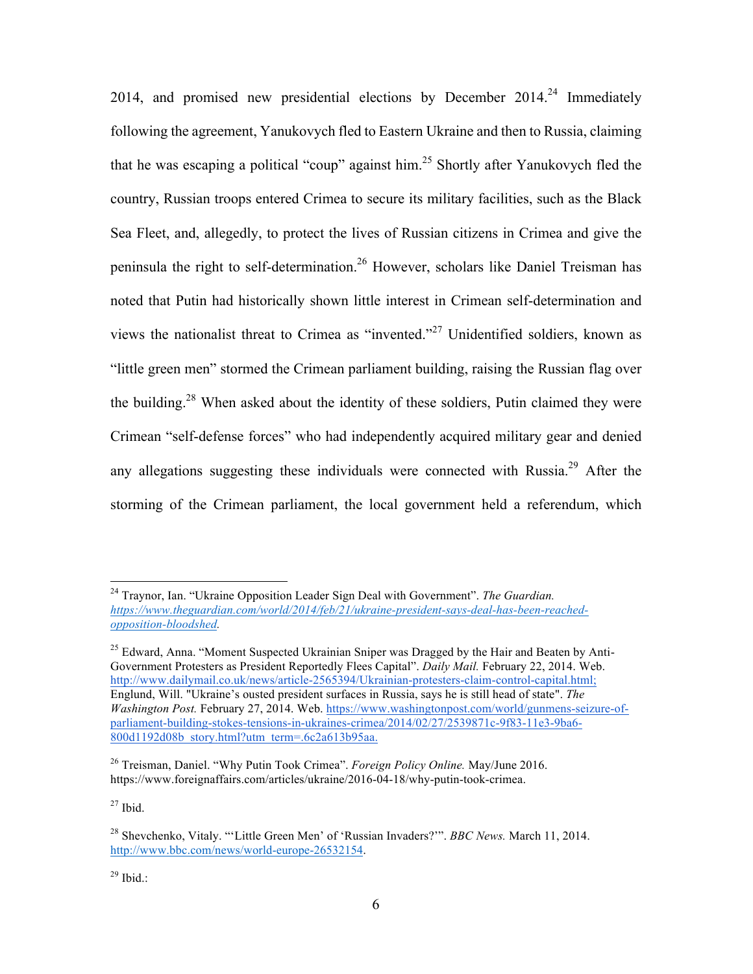2014, and promised new presidential elections by December  $2014<sup>24</sup>$  Immediately following the agreement, Yanukovych fled to Eastern Ukraine and then to Russia, claiming that he was escaping a political "coup" against him.<sup>25</sup> Shortly after Yanukovych fled the country, Russian troops entered Crimea to secure its military facilities, such as the Black Sea Fleet, and, allegedly, to protect the lives of Russian citizens in Crimea and give the peninsula the right to self-determination. <sup>26</sup> However, scholars like Daniel Treisman has noted that Putin had historically shown little interest in Crimean self-determination and views the nationalist threat to Crimea as "invented."<sup>27</sup> Unidentified soldiers, known as "little green men" stormed the Crimean parliament building, raising the Russian flag over the building.<sup>28</sup> When asked about the identity of these soldiers. Putin claimed they were Crimean "self-defense forces" who had independently acquired military gear and denied any allegations suggesting these individuals were connected with Russia.<sup>29</sup> After the storming of the Crimean parliament, the local government held a referendum, which

 $27$  Ibid.

 $29$  Ibid.:

 <sup>24</sup> Traynor, Ian. "Ukraine Opposition Leader Sign Deal with Government". *The Guardian. https://www.theguardian.com/world/2014/feb/21/ukraine-president-says-deal-has-been-reachedopposition-bloodshed.* 

 $25$  Edward, Anna. "Moment Suspected Ukrainian Sniper was Dragged by the Hair and Beaten by Anti-Government Protesters as President Reportedly Flees Capital". *Daily Mail.* February 22, 2014. Web. http://www.dailymail.co.uk/news/article-2565394/Ukrainian-protesters-claim-control-capital.html; Englund, Will. "Ukraine's ousted president surfaces in Russia, says he is still head of state". *The Washington Post.* February 27, 2014. Web. https://www.washingtonpost.com/world/gunmens-seizure-ofparliament-building-stokes-tensions-in-ukraines-crimea/2014/02/27/2539871c-9f83-11e3-9ba6- 800d1192d08b\_story.html?utm\_term=.6c2a613b95aa.

<sup>26</sup> Treisman, Daniel. "Why Putin Took Crimea". *Foreign Policy Online.* May/June 2016. https://www.foreignaffairs.com/articles/ukraine/2016-04-18/why-putin-took-crimea.

<sup>28</sup> Shevchenko, Vitaly. "'Little Green Men' of 'Russian Invaders?'". *BBC News.* March 11, 2014. http://www.bbc.com/news/world-europe-26532154.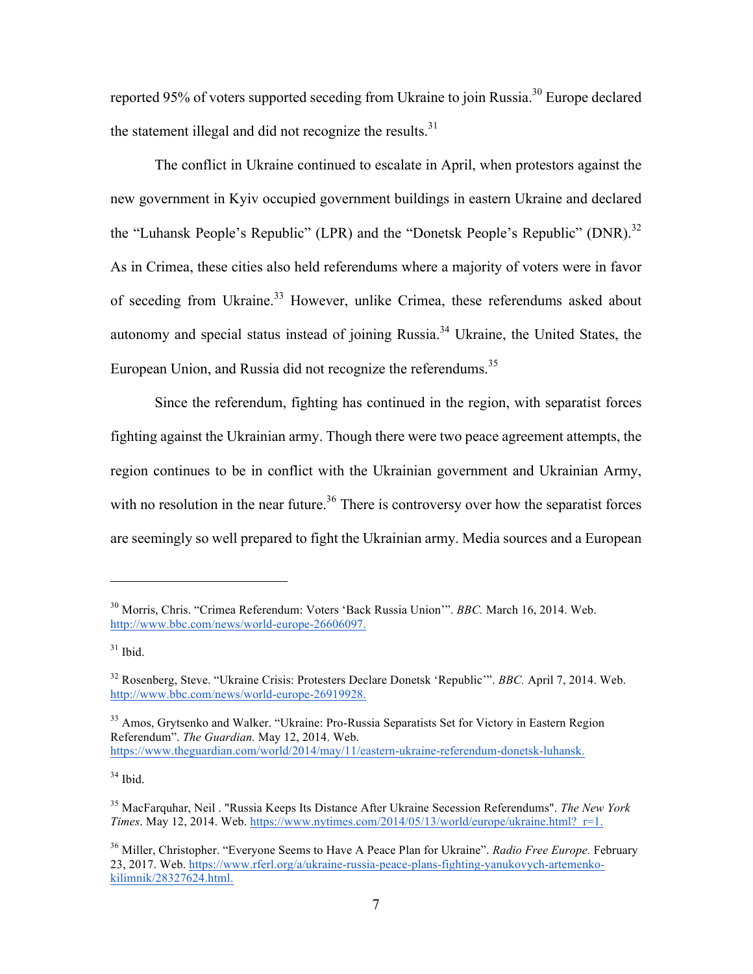reported 95% of voters supported seceding from Ukraine to join Russia.<sup>30</sup> Europe declared the statement illegal and did not recognize the results. $31$ 

The conflict in Ukraine continued to escalate in April, when protestors against the new government in Kyiv occupied government buildings in eastern Ukraine and declared the "Luhansk People's Republic" (LPR) and the "Donetsk People's Republic" (DNR).<sup>32</sup> As in Crimea, these cities also held referendums where a majority of voters were in favor of seceding from Ukraine.<sup>33</sup> However, unlike Crimea, these referendums asked about autonomy and special status instead of joining Russia. <sup>34</sup> Ukraine, the United States, the European Union, and Russia did not recognize the referendums.<sup>35</sup>

Since the referendum, fighting has continued in the region, with separatist forces fighting against the Ukrainian army. Though there were two peace agreement attempts, the region continues to be in conflict with the Ukrainian government and Ukrainian Army, with no resolution in the near future.<sup>36</sup> There is controversy over how the separatist forces are seemingly so well prepared to fight the Ukrainian army. Media sources and a European

 $\overline{a}$ 

 $34$  Ibid.

<sup>30</sup> Morris, Chris. "Crimea Referendum: Voters 'Back Russia Union'". *BBC.* March 16, 2014. Web. http://www.bbc.com/news/world-europe-26606097.

 $31$  Ibid.

<sup>32</sup> Rosenberg, Steve. "Ukraine Crisis: Protesters Declare Donetsk 'Republic'". *BBC.* April 7, 2014. Web. http://www.bbc.com/news/world-europe-26919928.

<sup>&</sup>lt;sup>33</sup> Amos, Grytsenko and Walker. "Ukraine: Pro-Russia Separatists Set for Victory in Eastern Region Referendum". *The Guardian.* May 12, 2014. Web. https://www.theguardian.com/world/2014/may/11/eastern-ukraine-referendum-donetsk-luhansk.

<sup>35</sup> MacFarquhar, Neil . "Russia Keeps Its Distance After Ukraine Secession Referendums". *The New York Times*. May 12, 2014. Web. https://www.nytimes.com/2014/05/13/world/europe/ukraine.html? $r=1$ .

<sup>36</sup> Miller, Christopher. "Everyone Seems to Have A Peace Plan for Ukraine". *Radio Free Europe.* February 23, 2017. Web. https://www.rferl.org/a/ukraine-russia-peace-plans-fighting-yanukovych-artemenkokilimnik/28327624.html.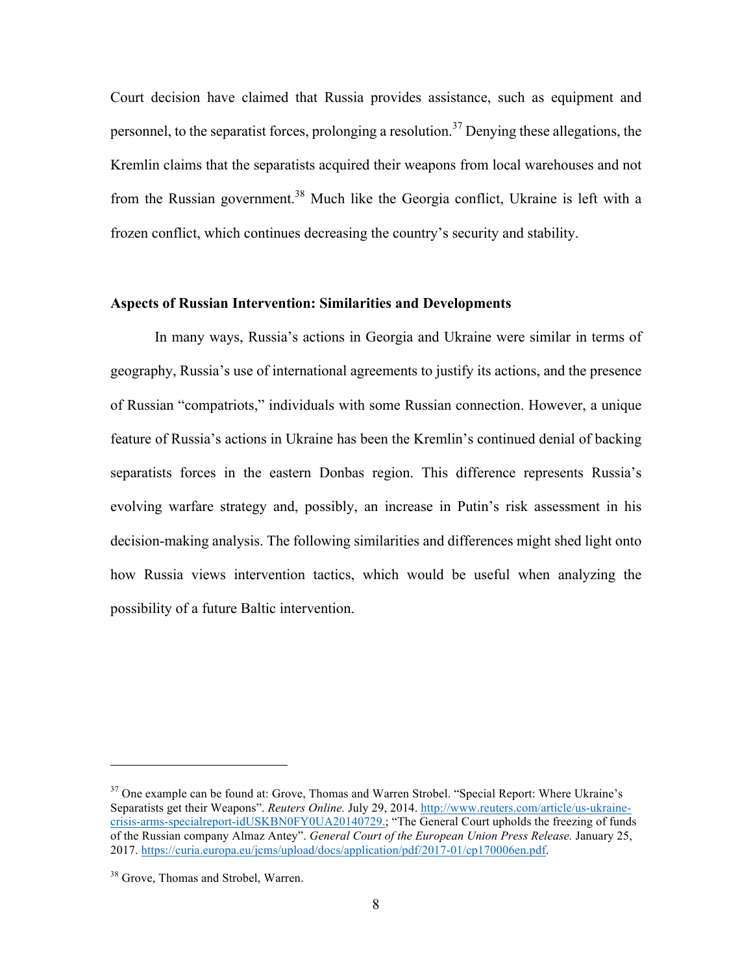Court decision have claimed that Russia provides assistance, such as equipment and personnel, to the separatist forces, prolonging a resolution.<sup>37</sup> Denying these allegations, the Kremlin claims that the separatists acquired their weapons from local warehouses and not from the Russian government.<sup>38</sup> Much like the Georgia conflict, Ukraine is left with a frozen conflict, which continues decreasing the country's security and stability.

#### **Aspects of Russian Intervention: Similarities and Developments**

In many ways, Russia's actions in Georgia and Ukraine were similar in terms of geography, Russia's use of international agreements to justify its actions, and the presence of Russian "compatriots," individuals with some Russian connection. However, a unique feature of Russia's actions in Ukraine has been the Kremlin's continued denial of backing separatists forces in the eastern Donbas region. This difference represents Russia's evolving warfare strategy and, possibly, an increase in Putin's risk assessment in his decision-making analysis. The following similarities and differences might shed light onto how Russia views intervention tactics, which would be useful when analyzing the possibility of a future Baltic intervention.

<sup>&</sup>lt;sup>37</sup> One example can be found at: Grove, Thomas and Warren Strobel. "Special Report: Where Ukraine's Separatists get their Weapons". *Reuters Online.* July 29, 2014. http://www.reuters.com/article/us-ukrainecrisis-arms-specialreport-idUSKBN0FY0UA20140729.; "The General Court upholds the freezing of funds of the Russian company Almaz Antey". *General Court of the European Union Press Release.* January 25, 2017. https://curia.europa.eu/jcms/upload/docs/application/pdf/2017-01/cp170006en.pdf.

<sup>&</sup>lt;sup>38</sup> Grove, Thomas and Strobel, Warren.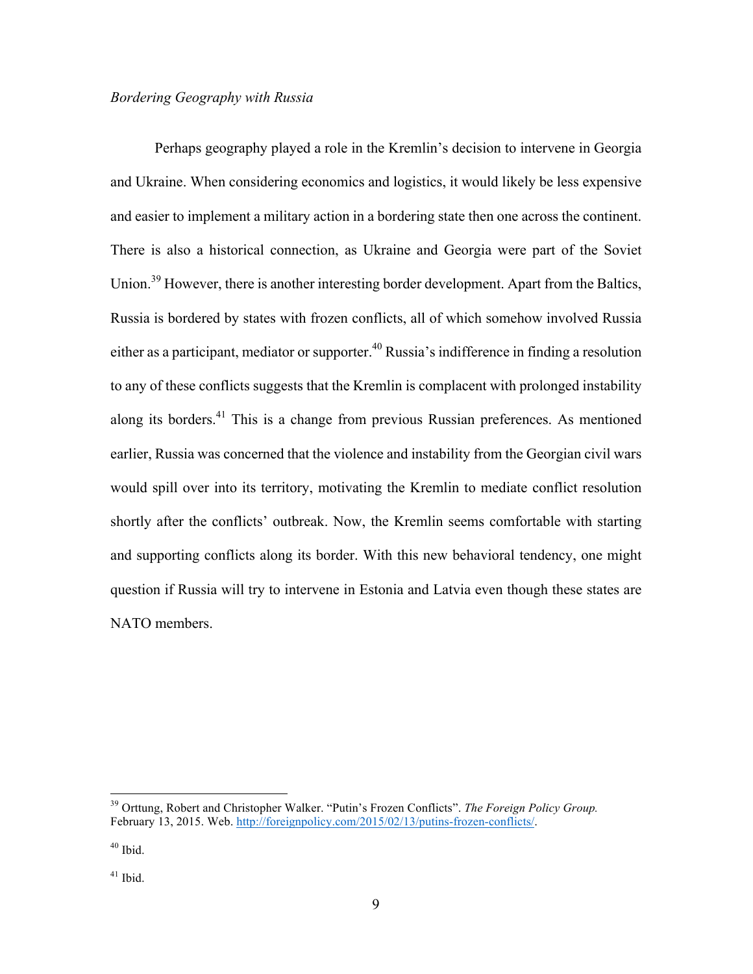#### *Bordering Geography with Russia*

Perhaps geography played a role in the Kremlin's decision to intervene in Georgia and Ukraine. When considering economics and logistics, it would likely be less expensive and easier to implement a military action in a bordering state then one across the continent. There is also a historical connection, as Ukraine and Georgia were part of the Soviet Union.<sup>39</sup> However, there is another interesting border development. Apart from the Baltics, Russia is bordered by states with frozen conflicts, all of which somehow involved Russia either as a participant, mediator or supporter.<sup>40</sup> Russia's indifference in finding a resolution to any of these conflicts suggests that the Kremlin is complacent with prolonged instability along its borders. $41$  This is a change from previous Russian preferences. As mentioned earlier, Russia was concerned that the violence and instability from the Georgian civil wars would spill over into its territory, motivating the Kremlin to mediate conflict resolution shortly after the conflicts' outbreak. Now, the Kremlin seems comfortable with starting and supporting conflicts along its border. With this new behavioral tendency, one might question if Russia will try to intervene in Estonia and Latvia even though these states are NATO members.

 <sup>39</sup> Orttung, Robert and Christopher Walker. "Putin's Frozen Conflicts". *The Foreign Policy Group.* February 13, 2015. Web. http://foreignpolicy.com/2015/02/13/putins-frozen-conflicts/.

 $40$  Ibid.

 $41$  Ibid.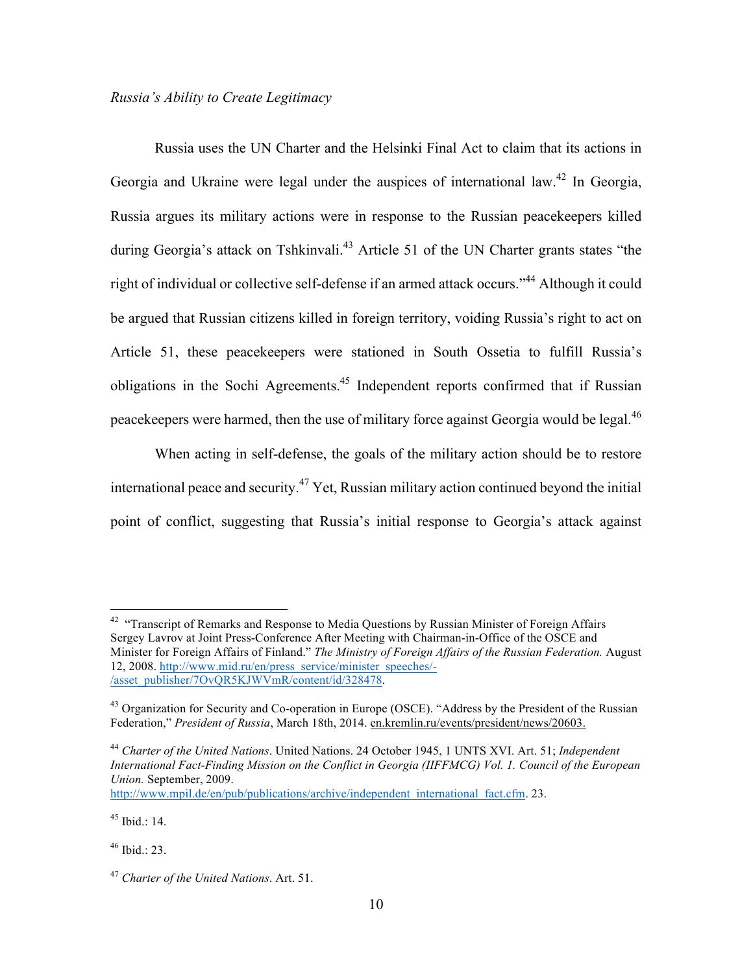Russia uses the UN Charter and the Helsinki Final Act to claim that its actions in Georgia and Ukraine were legal under the auspices of international law.<sup>42</sup> In Georgia, Russia argues its military actions were in response to the Russian peacekeepers killed during Georgia's attack on Tshkinvali.<sup>43</sup> Article 51 of the UN Charter grants states "the right of individual or collective self-defense if an armed attack occurs."<sup>44</sup> Although it could be argued that Russian citizens killed in foreign territory, voiding Russia's right to act on Article 51, these peacekeepers were stationed in South Ossetia to fulfill Russia's obligations in the Sochi Agreements.45 Independent reports confirmed that if Russian peacekeepers were harmed, then the use of military force against Georgia would be legal.<sup>46</sup>

When acting in self-defense, the goals of the military action should be to restore international peace and security.<sup>47</sup> Yet, Russian military action continued beyond the initial point of conflict, suggesting that Russia's initial response to Georgia's attack against

http://www.mpil.de/en/pub/publications/archive/independent\_international\_fact.cfm. 23.

 $45$  Ibid  $\cdot$  14.

 $46$  Ibid.: 23.

<sup>&</sup>lt;sup>42</sup> "Transcript of Remarks and Response to Media Questions by Russian Minister of Foreign Affairs Sergey Lavrov at Joint Press-Conference After Meeting with Chairman-in-Office of the OSCE and Minister for Foreign Affairs of Finland." *The Ministry of Foreign Affairs of the Russian Federation.* August 12, 2008. http://www.mid.ru/en/press\_service/minister\_speeches/- /asset\_publisher/7OvQR5KJWVmR/content/id/328478.

<sup>&</sup>lt;sup>43</sup> Organization for Security and Co-operation in Europe (OSCE). "Address by the President of the Russian Federation," *President of Russia*, March 18th, 2014. en.kremlin.ru/events/president/news/20603.

<sup>44</sup> *Charter of the United Nations*. United Nations. 24 October 1945, 1 UNTS XVI. Art. 51; *Independent International Fact-Finding Mission on the Conflict in Georgia (IIFFMCG) Vol. 1. Council of the European Union.* September, 2009.

<sup>47</sup> *Charter of the United Nations*. Art. 51.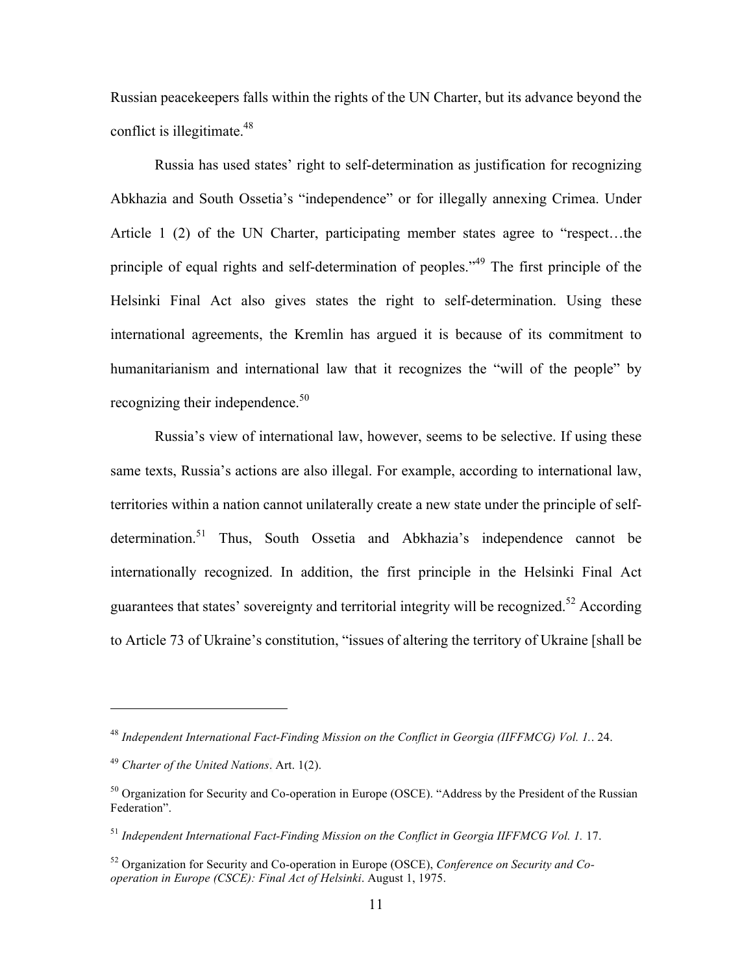Russian peacekeepers falls within the rights of the UN Charter, but its advance beyond the conflict is illegitimate. $48$ 

Russia has used states' right to self-determination as justification for recognizing Abkhazia and South Ossetia's "independence" or for illegally annexing Crimea. Under Article 1 (2) of the UN Charter, participating member states agree to "respect…the principle of equal rights and self-determination of peoples."<sup>49</sup> The first principle of the Helsinki Final Act also gives states the right to self-determination. Using these international agreements, the Kremlin has argued it is because of its commitment to humanitarianism and international law that it recognizes the "will of the people" by recognizing their independence.<sup>50</sup>

Russia's view of international law, however, seems to be selective. If using these same texts, Russia's actions are also illegal. For example, according to international law, territories within a nation cannot unilaterally create a new state under the principle of selfdetermination.<sup>51</sup> Thus, South Ossetia and Abkhazia's independence cannot be internationally recognized. In addition, the first principle in the Helsinki Final Act guarantees that states' sovereignty and territorial integrity will be recognized.<sup>52</sup> According to Article 73 of Ukraine's constitution, "issues of altering the territory of Ukraine [shall be

<sup>48</sup> *Independent International Fact-Finding Mission on the Conflict in Georgia (IIFFMCG) Vol. 1.*. 24.

<sup>49</sup> *Charter of the United Nations*. Art. 1(2).

<sup>&</sup>lt;sup>50</sup> Organization for Security and Co-operation in Europe (OSCE). "Address by the President of the Russian Federation".

<sup>51</sup> *Independent International Fact-Finding Mission on the Conflict in Georgia IIFFMCG Vol. 1.* 17.

<sup>52</sup> Organization for Security and Co-operation in Europe (OSCE), *Conference on Security and Cooperation in Europe (CSCE): Final Act of Helsinki*. August 1, 1975.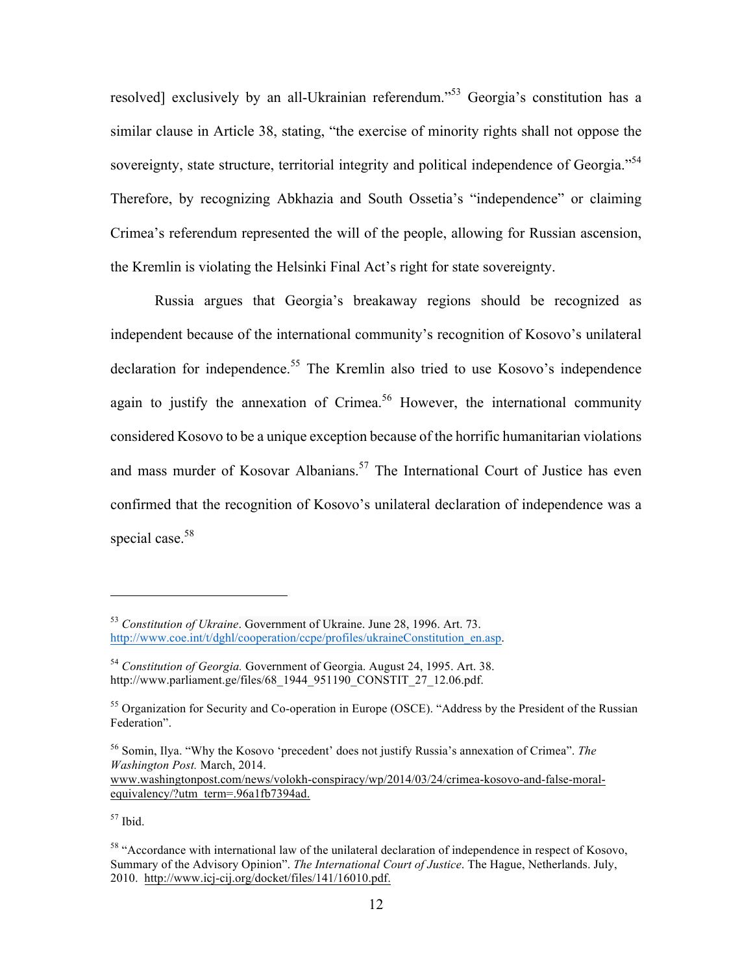resolved] exclusively by an all-Ukrainian referendum."<sup>53</sup> Georgia's constitution has a similar clause in Article 38, stating, "the exercise of minority rights shall not oppose the sovereignty, state structure, territorial integrity and political independence of Georgia."<sup>54</sup> Therefore, by recognizing Abkhazia and South Ossetia's "independence" or claiming Crimea's referendum represented the will of the people, allowing for Russian ascension, the Kremlin is violating the Helsinki Final Act's right for state sovereignty.

Russia argues that Georgia's breakaway regions should be recognized as independent because of the international community's recognition of Kosovo's unilateral declaration for independence.<sup>55</sup> The Kremlin also tried to use Kosovo's independence again to justify the annexation of Crimea.<sup>56</sup> However, the international community considered Kosovo to be a unique exception because of the horrific humanitarian violations and mass murder of Kosovar Albanians.<sup>57</sup> The International Court of Justice has even confirmed that the recognition of Kosovo's unilateral declaration of independence was a special case.<sup>58</sup>

<sup>56</sup> Somin, Ilya. "Why the Kosovo 'precedent' does not justify Russia's annexation of Crimea". *The Washington Post.* March, 2014. www.washingtonpost.com/news/volokh-conspiracy/wp/2014/03/24/crimea-kosovo-and-false-moralequivalency/?utm\_term=.96a1fb7394ad.

 $57$  Ibid.

<sup>53</sup> *Constitution of Ukraine*. Government of Ukraine. June 28, 1996. Art. 73. http://www.coe.int/t/dghl/cooperation/ccpe/profiles/ukraineConstitution\_en.asp.

<sup>54</sup> *Constitution of Georgia.* Government of Georgia. August 24, 1995. Art. 38. http://www.parliament.ge/files/68\_1944\_951190\_CONSTIT\_27\_12.06.pdf.

<sup>&</sup>lt;sup>55</sup> Organization for Security and Co-operation in Europe (OSCE). "Address by the President of the Russian Federation".

<sup>&</sup>lt;sup>58</sup> "Accordance with international law of the unilateral declaration of independence in respect of Kosovo, Summary of the Advisory Opinion". *The International Court of Justice*. The Hague, Netherlands. July, 2010. http://www.icj-cij.org/docket/files/141/16010.pdf.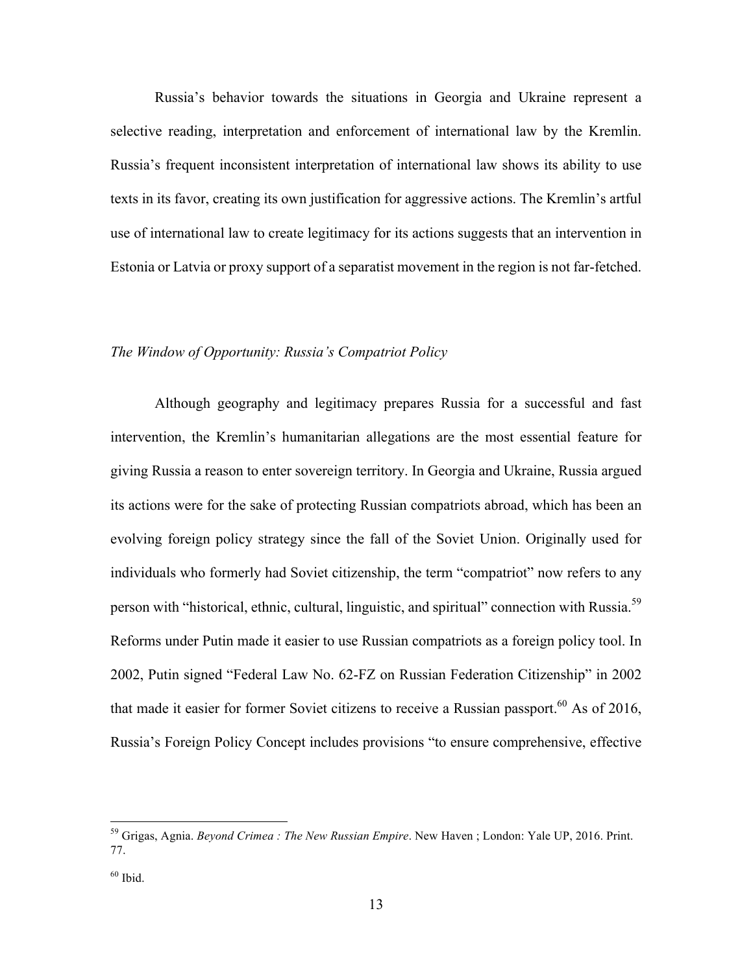Russia's behavior towards the situations in Georgia and Ukraine represent a selective reading, interpretation and enforcement of international law by the Kremlin. Russia's frequent inconsistent interpretation of international law shows its ability to use texts in its favor, creating its own justification for aggressive actions. The Kremlin's artful use of international law to create legitimacy for its actions suggests that an intervention in Estonia or Latvia or proxy support of a separatist movement in the region is not far-fetched.

## *The Window of Opportunity: Russia's Compatriot Policy*

Although geography and legitimacy prepares Russia for a successful and fast intervention, the Kremlin's humanitarian allegations are the most essential feature for giving Russia a reason to enter sovereign territory. In Georgia and Ukraine, Russia argued its actions were for the sake of protecting Russian compatriots abroad, which has been an evolving foreign policy strategy since the fall of the Soviet Union. Originally used for individuals who formerly had Soviet citizenship, the term "compatriot" now refers to any person with "historical, ethnic, cultural, linguistic, and spiritual" connection with Russia.<sup>59</sup> Reforms under Putin made it easier to use Russian compatriots as a foreign policy tool. In 2002, Putin signed "Federal Law No. 62-FZ on Russian Federation Citizenship" in 2002 that made it easier for former Soviet citizens to receive a Russian passport.<sup>60</sup> As of 2016, Russia's Foreign Policy Concept includes provisions "to ensure comprehensive, effective

 $60$  Ibid.

 <sup>59</sup> Grigas, Agnia. *Beyond Crimea : The New Russian Empire*. New Haven ; London: Yale UP, 2016. Print. 77.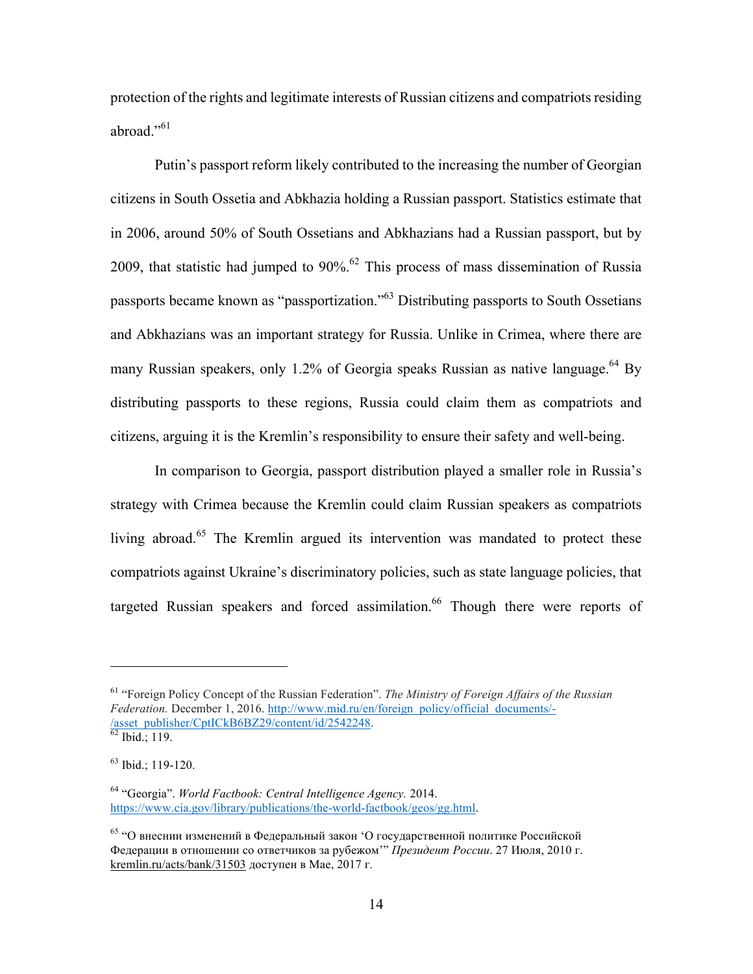protection of the rights and legitimate interests of Russian citizens and compatriots residing abroad  $\cdot$ <sup>61</sup>

Putin's passport reform likely contributed to the increasing the number of Georgian citizens in South Ossetia and Abkhazia holding a Russian passport. Statistics estimate that in 2006, around 50% of South Ossetians and Abkhazians had a Russian passport, but by 2009, that statistic had jumped to  $90\%$ .<sup>62</sup> This process of mass dissemination of Russia passports became known as "passportization."<sup>63</sup> Distributing passports to South Ossetians and Abkhazians was an important strategy for Russia. Unlike in Crimea, where there are many Russian speakers, only 1.2% of Georgia speaks Russian as native language.<sup>64</sup> By distributing passports to these regions, Russia could claim them as compatriots and citizens, arguing it is the Kremlin's responsibility to ensure their safety and well-being.

In comparison to Georgia, passport distribution played a smaller role in Russia's strategy with Crimea because the Kremlin could claim Russian speakers as compatriots living abroad.<sup>65</sup> The Kremlin argued its intervention was mandated to protect these compatriots against Ukraine's discriminatory policies, such as state language policies, that targeted Russian speakers and forced assimilation.<sup>66</sup> Though there were reports of

<sup>61</sup> "Foreign Policy Concept of the Russian Federation". *The Ministry of Foreign Affairs of the Russian Federation.* December 1, 2016. http://www.mid.ru/en/foreign\_policy/official\_documents/- /asset\_publisher/CptICkB6BZ29/content/id/2542248. <sup>62</sup> Ibid.; 119.

<sup>63</sup> Ibid.; 119-120.

<sup>64</sup> "Georgia". *World Factbook: Central Intelligence Agency.* 2014. https://www.cia.gov/library/publications/the-world-factbook/geos/gg.html.

 $65$  "О внеснии изменений в Федеральный закон 'О государственной политике Российской Федерации в отношении со ответчиков за рубежом'" *Президент России*. 27 Июля, 2010 г. kremlin.ru/acts/bank/31503 доступен в Мае, 2017 г.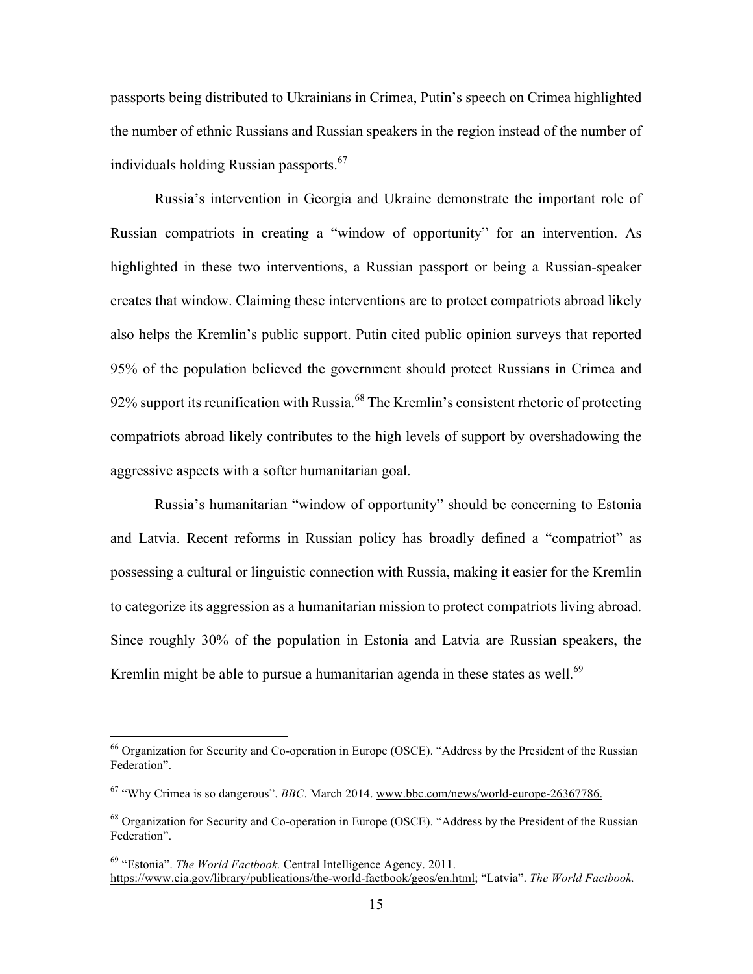passports being distributed to Ukrainians in Crimea, Putin's speech on Crimea highlighted the number of ethnic Russians and Russian speakers in the region instead of the number of individuals holding Russian passports. $67$ 

Russia's intervention in Georgia and Ukraine demonstrate the important role of Russian compatriots in creating a "window of opportunity" for an intervention. As highlighted in these two interventions, a Russian passport or being a Russian-speaker creates that window. Claiming these interventions are to protect compatriots abroad likely also helps the Kremlin's public support. Putin cited public opinion surveys that reported 95% of the population believed the government should protect Russians in Crimea and 92% support its reunification with Russia.<sup>68</sup> The Kremlin's consistent rhetoric of protecting compatriots abroad likely contributes to the high levels of support by overshadowing the aggressive aspects with a softer humanitarian goal.

Russia's humanitarian "window of opportunity" should be concerning to Estonia and Latvia. Recent reforms in Russian policy has broadly defined a "compatriot" as possessing a cultural or linguistic connection with Russia, making it easier for the Kremlin to categorize its aggression as a humanitarian mission to protect compatriots living abroad. Since roughly 30% of the population in Estonia and Latvia are Russian speakers, the Kremlin might be able to pursue a humanitarian agenda in these states as well.<sup>69</sup>

<sup>&</sup>lt;sup>66</sup> Organization for Security and Co-operation in Europe (OSCE). "Address by the President of the Russian Federation".

<sup>67</sup> "Why Crimea is so dangerous". *BBC*. March 2014. www.bbc.com/news/world-europe-26367786.

<sup>&</sup>lt;sup>68</sup> Organization for Security and Co-operation in Europe (OSCE). "Address by the President of the Russian Federation".

<sup>69</sup> "Estonia". *The World Factbook.* Central Intelligence Agency. 2011. https://www.cia.gov/library/publications/the-world-factbook/geos/en.html; "Latvia". *The World Factbook.*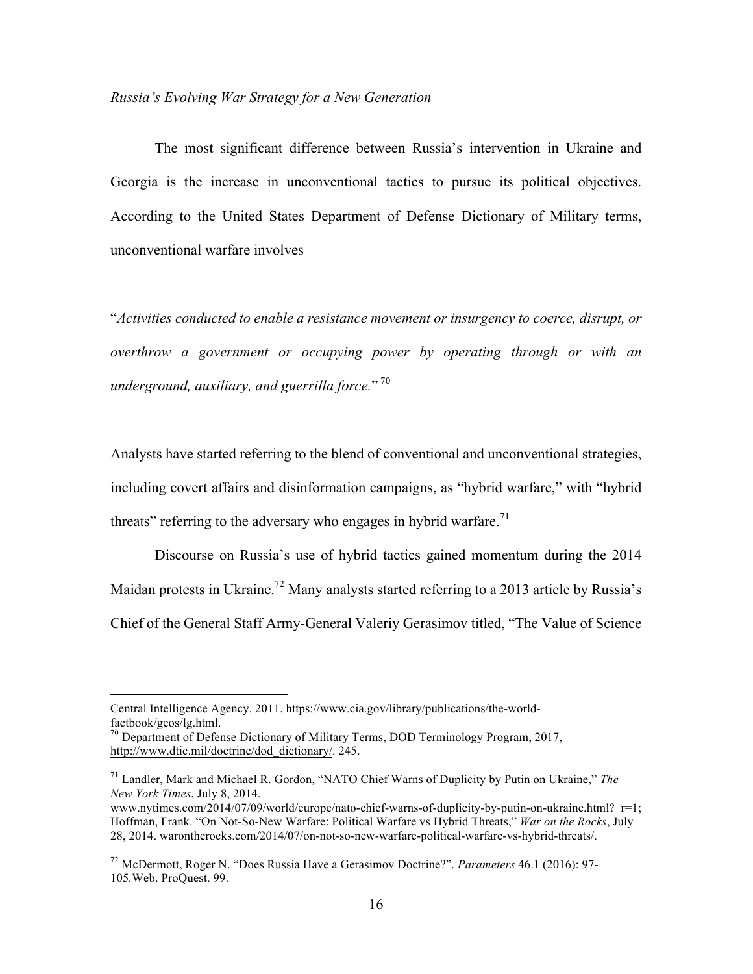#### *Russia's Evolving War Strategy for a New Generation*

The most significant difference between Russia's intervention in Ukraine and Georgia is the increase in unconventional tactics to pursue its political objectives. According to the United States Department of Defense Dictionary of Military terms, unconventional warfare involves

"*Activities conducted to enable a resistance movement or insurgency to coerce, disrupt, or overthrow a government or occupying power by operating through or with an underground, auxiliary, and guerrilla force.*" <sup>70</sup>

Analysts have started referring to the blend of conventional and unconventional strategies, including covert affairs and disinformation campaigns, as "hybrid warfare," with "hybrid threats" referring to the adversary who engages in hybrid warfare.<sup>71</sup>

Discourse on Russia's use of hybrid tactics gained momentum during the 2014 Maidan protests in Ukraine.<sup>72</sup> Many analysts started referring to a 2013 article by Russia's Chief of the General Staff Army-General Valeriy Gerasimov titled, "The Value of Science

Central Intelligence Agency. 2011. https://www.cia.gov/library/publications/the-worldfactbook/geos/lg.html.

<sup>&</sup>lt;sup>70</sup> Department of Defense Dictionary of Military Terms, DOD Terminology Program, 2017, http://www.dtic.mil/doctrine/dod\_dictionary/. 245.

<sup>71</sup> Landler, Mark and Michael R. Gordon, "NATO Chief Warns of Duplicity by Putin on Ukraine," *The New York Times*, July 8, 2014.

www.nytimes.com/2014/07/09/world/europe/nato-chief-warns-of-duplicity-by-putin-on-ukraine.html?\_r=1; Hoffman, Frank. "On Not-So-New Warfare: Political Warfare vs Hybrid Threats," *War on the Rocks*, July 28, 2014. warontherocks.com/2014/07/on-not-so-new-warfare-political-warfare-vs-hybrid-threats/.

<sup>72</sup> McDermott, Roger N. "Does Russia Have a Gerasimov Doctrine?". *Parameters* 46.1 (2016): 97- 105*.*Web. ProQuest. 99.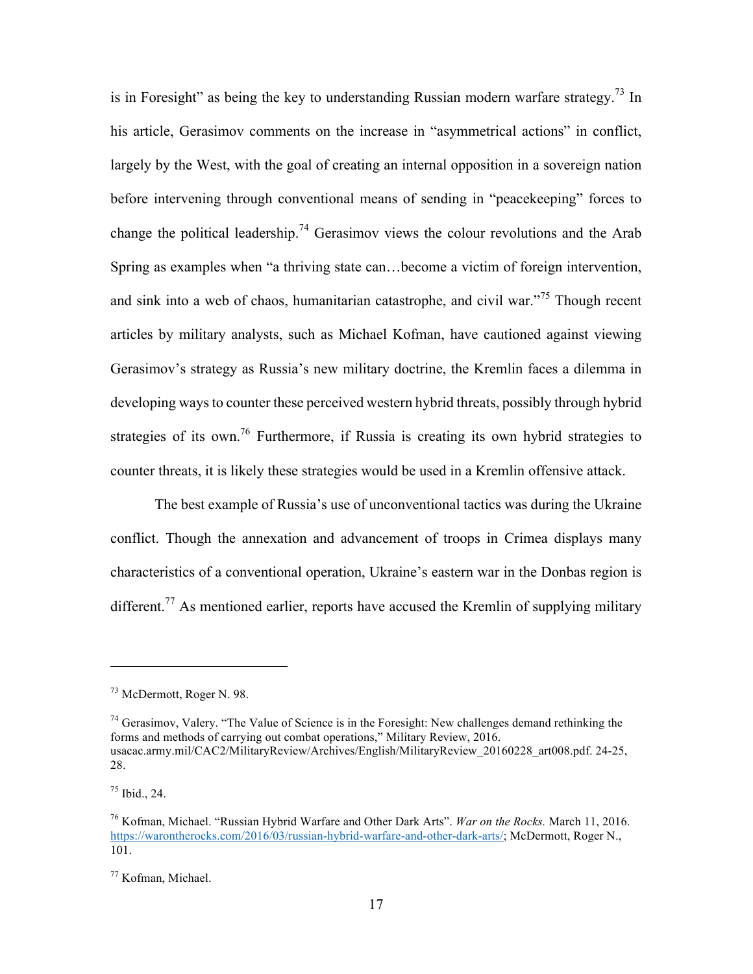is in Foresight" as being the key to understanding Russian modern warfare strategy.<sup>73</sup> In his article, Gerasimov comments on the increase in "asymmetrical actions" in conflict, largely by the West, with the goal of creating an internal opposition in a sovereign nation before intervening through conventional means of sending in "peacekeeping" forces to change the political leadership.<sup>74</sup> Gerasimov views the colour revolutions and the Arab Spring as examples when "a thriving state can…become a victim of foreign intervention, and sink into a web of chaos, humanitarian catastrophe, and civil war."<sup>75</sup> Though recent articles by military analysts, such as Michael Kofman, have cautioned against viewing Gerasimov's strategy as Russia's new military doctrine, the Kremlin faces a dilemma in developing ways to counter these perceived western hybrid threats, possibly through hybrid strategies of its own.<sup>76</sup> Furthermore, if Russia is creating its own hybrid strategies to counter threats, it is likely these strategies would be used in a Kremlin offensive attack.

The best example of Russia's use of unconventional tactics was during the Ukraine conflict. Though the annexation and advancement of troops in Crimea displays many characteristics of a conventional operation, Ukraine's eastern war in the Donbas region is different.<sup>77</sup> As mentioned earlier, reports have accused the Kremlin of supplying military

 $^{75}$  Ibid., 24.

<sup>73</sup> McDermott, Roger N. 98.

<sup>&</sup>lt;sup>74</sup> Gerasimov, Valery. "The Value of Science is in the Foresight: New challenges demand rethinking the forms and methods of carrying out combat operations," Military Review, 2016. usacac.army.mil/CAC2/MilitaryReview/Archives/English/MilitaryReview\_20160228\_art008.pdf. 24-25, 28.

<sup>76</sup> Kofman, Michael. "Russian Hybrid Warfare and Other Dark Arts". *War on the Rocks.* March 11, 2016. https://warontherocks.com/2016/03/russian-hybrid-warfare-and-other-dark-arts/; McDermott, Roger N., 101.

<sup>77</sup> Kofman, Michael.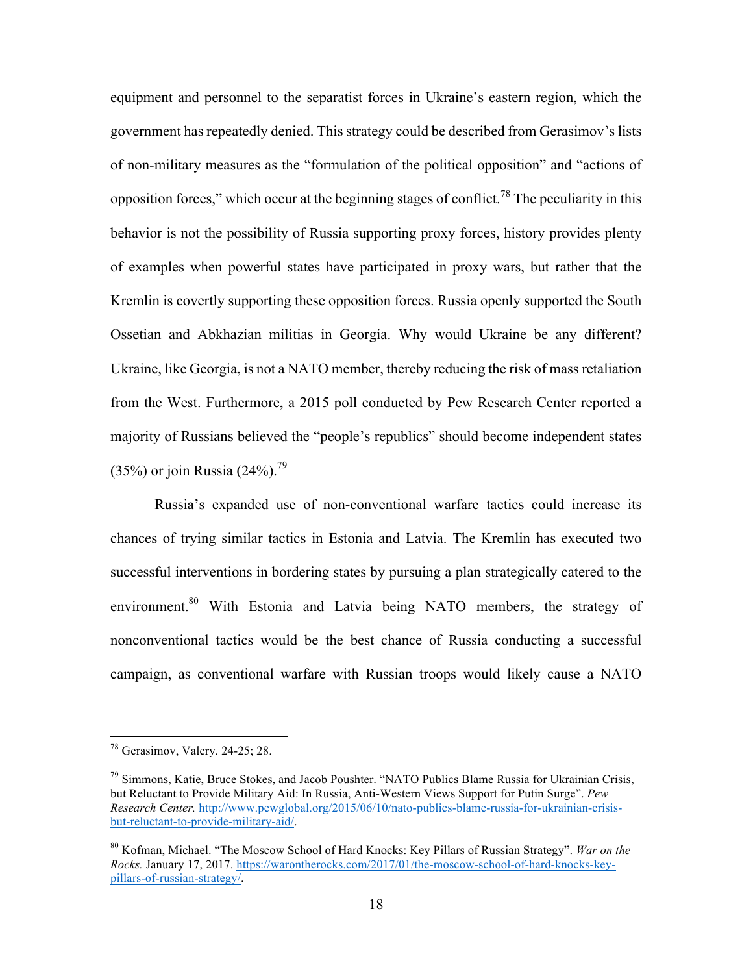equipment and personnel to the separatist forces in Ukraine's eastern region, which the government has repeatedly denied. This strategy could be described from Gerasimov's lists of non-military measures as the "formulation of the political opposition" and "actions of opposition forces," which occur at the beginning stages of conflict.<sup>78</sup> The peculiarity in this behavior is not the possibility of Russia supporting proxy forces, history provides plenty of examples when powerful states have participated in proxy wars, but rather that the Kremlin is covertly supporting these opposition forces. Russia openly supported the South Ossetian and Abkhazian militias in Georgia. Why would Ukraine be any different? Ukraine, like Georgia, is not a NATO member, thereby reducing the risk of mass retaliation from the West. Furthermore, a 2015 poll conducted by Pew Research Center reported a majority of Russians believed the "people's republics" should become independent states  $(35%)$  or join Russia  $(24%)$ .<sup>79</sup>

Russia's expanded use of non-conventional warfare tactics could increase its chances of trying similar tactics in Estonia and Latvia. The Kremlin has executed two successful interventions in bordering states by pursuing a plan strategically catered to the environment.<sup>80</sup> With Estonia and Latvia being NATO members, the strategy of nonconventional tactics would be the best chance of Russia conducting a successful campaign, as conventional warfare with Russian troops would likely cause a NATO

 <sup>78</sup> Gerasimov, Valery. 24-25; 28.

<sup>79</sup> Simmons, Katie, Bruce Stokes, and Jacob Poushter. "NATO Publics Blame Russia for Ukrainian Crisis, but Reluctant to Provide Military Aid: In Russia, Anti-Western Views Support for Putin Surge". *Pew Research Center.* http://www.pewglobal.org/2015/06/10/nato-publics-blame-russia-for-ukrainian-crisisbut-reluctant-to-provide-military-aid/.

<sup>80</sup> Kofman, Michael. "The Moscow School of Hard Knocks: Key Pillars of Russian Strategy". *War on the Rocks.* January 17, 2017. https://warontherocks.com/2017/01/the-moscow-school-of-hard-knocks-keypillars-of-russian-strategy/.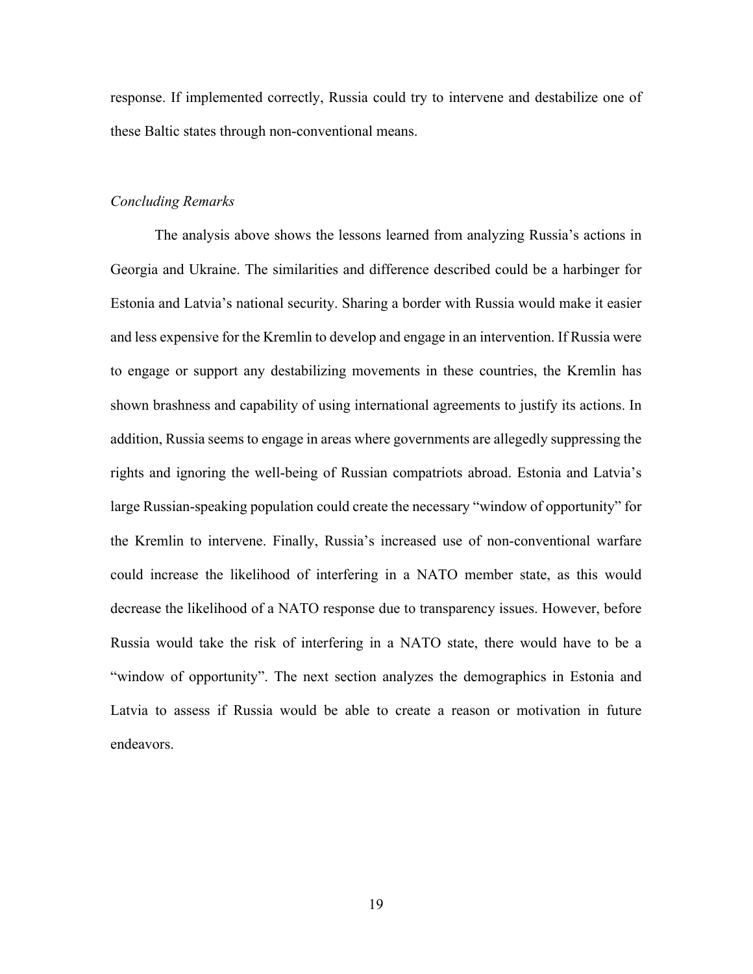response. If implemented correctly, Russia could try to intervene and destabilize one of these Baltic states through non-conventional means.

#### *Concluding Remarks*

The analysis above shows the lessons learned from analyzing Russia's actions in Georgia and Ukraine. The similarities and difference described could be a harbinger for Estonia and Latvia's national security. Sharing a border with Russia would make it easier and less expensive for the Kremlin to develop and engage in an intervention. If Russia were to engage or support any destabilizing movements in these countries, the Kremlin has shown brashness and capability of using international agreements to justify its actions. In addition, Russia seems to engage in areas where governments are allegedly suppressing the rights and ignoring the well-being of Russian compatriots abroad. Estonia and Latvia's large Russian-speaking population could create the necessary "window of opportunity" for the Kremlin to intervene. Finally, Russia's increased use of non-conventional warfare could increase the likelihood of interfering in a NATO member state, as this would decrease the likelihood of a NATO response due to transparency issues. However, before Russia would take the risk of interfering in a NATO state, there would have to be a "window of opportunity". The next section analyzes the demographics in Estonia and Latvia to assess if Russia would be able to create a reason or motivation in future endeavors.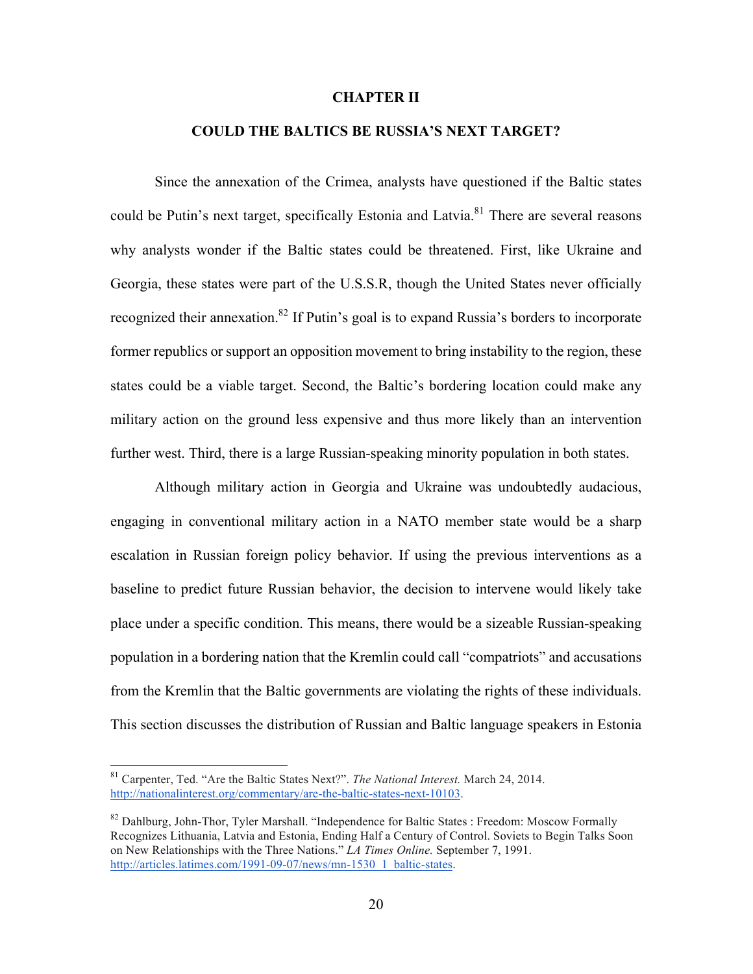#### **CHAPTER II**

## **COULD THE BALTICS BE RUSSIA'S NEXT TARGET?**

Since the annexation of the Crimea, analysts have questioned if the Baltic states could be Putin's next target, specifically Estonia and Latvia.<sup>81</sup> There are several reasons why analysts wonder if the Baltic states could be threatened. First, like Ukraine and Georgia, these states were part of the U.S.S.R, though the United States never officially recognized their annexation.<sup>82</sup> If Putin's goal is to expand Russia's borders to incorporate former republics or support an opposition movement to bring instability to the region, these states could be a viable target. Second, the Baltic's bordering location could make any military action on the ground less expensive and thus more likely than an intervention further west. Third, there is a large Russian-speaking minority population in both states.

Although military action in Georgia and Ukraine was undoubtedly audacious, engaging in conventional military action in a NATO member state would be a sharp escalation in Russian foreign policy behavior. If using the previous interventions as a baseline to predict future Russian behavior, the decision to intervene would likely take place under a specific condition. This means, there would be a sizeable Russian-speaking population in a bordering nation that the Kremlin could call "compatriots" and accusations from the Kremlin that the Baltic governments are violating the rights of these individuals. This section discusses the distribution of Russian and Baltic language speakers in Estonia

 <sup>81</sup> Carpenter, Ted. "Are the Baltic States Next?". *The National Interest.* March 24, 2014. http://nationalinterest.org/commentary/are-the-baltic-states-next-10103.

<sup>&</sup>lt;sup>82</sup> Dahlburg, John-Thor, Tyler Marshall. "Independence for Baltic States : Freedom: Moscow Formally Recognizes Lithuania, Latvia and Estonia, Ending Half a Century of Control. Soviets to Begin Talks Soon on New Relationships with the Three Nations." *LA Times Online.* September 7, 1991. http://articles.latimes.com/1991-09-07/news/mn-1530\_1\_baltic-states.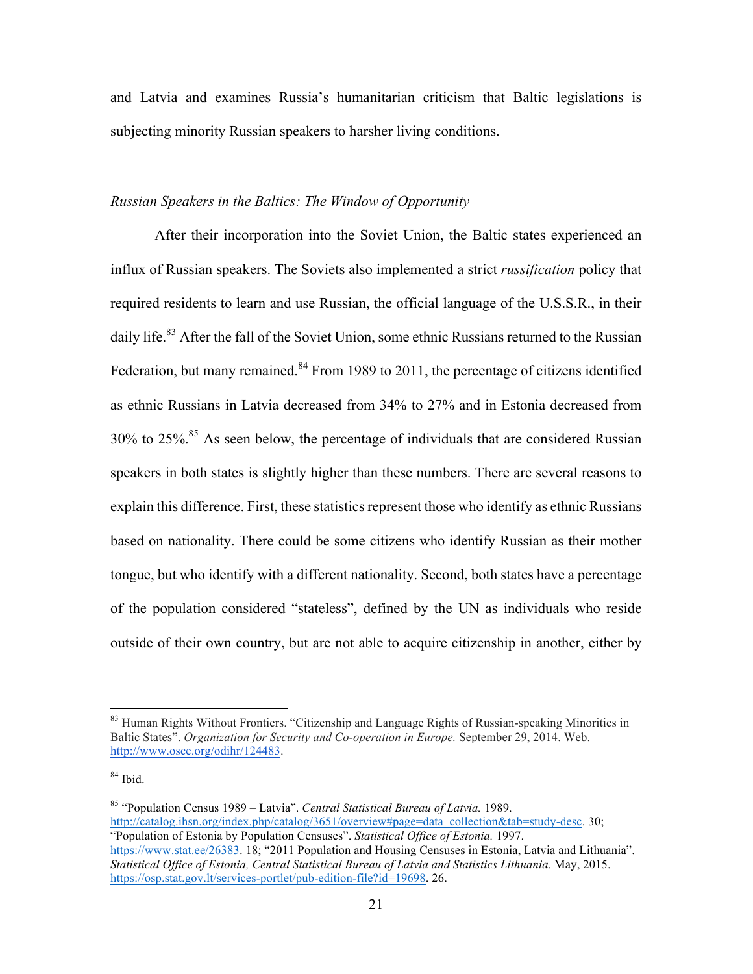and Latvia and examines Russia's humanitarian criticism that Baltic legislations is subjecting minority Russian speakers to harsher living conditions.

## *Russian Speakers in the Baltics: The Window of Opportunity*

After their incorporation into the Soviet Union, the Baltic states experienced an influx of Russian speakers. The Soviets also implemented a strict *russification* policy that required residents to learn and use Russian, the official language of the U.S.S.R., in their daily life.<sup>83</sup> After the fall of the Soviet Union, some ethnic Russians returned to the Russian Federation, but many remained.<sup>84</sup> From 1989 to 2011, the percentage of citizens identified as ethnic Russians in Latvia decreased from 34% to 27% and in Estonia decreased from 30% to 25%. <sup>85</sup> As seen below, the percentage of individuals that are considered Russian speakers in both states is slightly higher than these numbers. There are several reasons to explain this difference. First, these statistics represent those who identify as ethnic Russians based on nationality. There could be some citizens who identify Russian as their mother tongue, but who identify with a different nationality. Second, both states have a percentage of the population considered "stateless", defined by the UN as individuals who reside outside of their own country, but are not able to acquire citizenship in another, either by

<sup>&</sup>lt;sup>83</sup> Human Rights Without Frontiers. "Citizenship and Language Rights of Russian-speaking Minorities in Baltic States". *Organization for Security and Co-operation in Europe.* September 29, 2014. Web. http://www.osce.org/odihr/124483.

<sup>84</sup> Ibid.

<sup>85</sup> "Population Census 1989 – Latvia". *Central Statistical Bureau of Latvia.* 1989. http://catalog.ihsn.org/index.php/catalog/3651/overview#page=data\_collection&tab=study-desc. 30; "Population of Estonia by Population Censuses". *Statistical Office of Estonia.* 1997. https://www.stat.ee/26383. 18; "2011 Population and Housing Censuses in Estonia, Latvia and Lithuania". *Statistical Office of Estonia, Central Statistical Bureau of Latvia and Statistics Lithuania.* May, 2015. https://osp.stat.gov.lt/services-portlet/pub-edition-file?id=19698.26.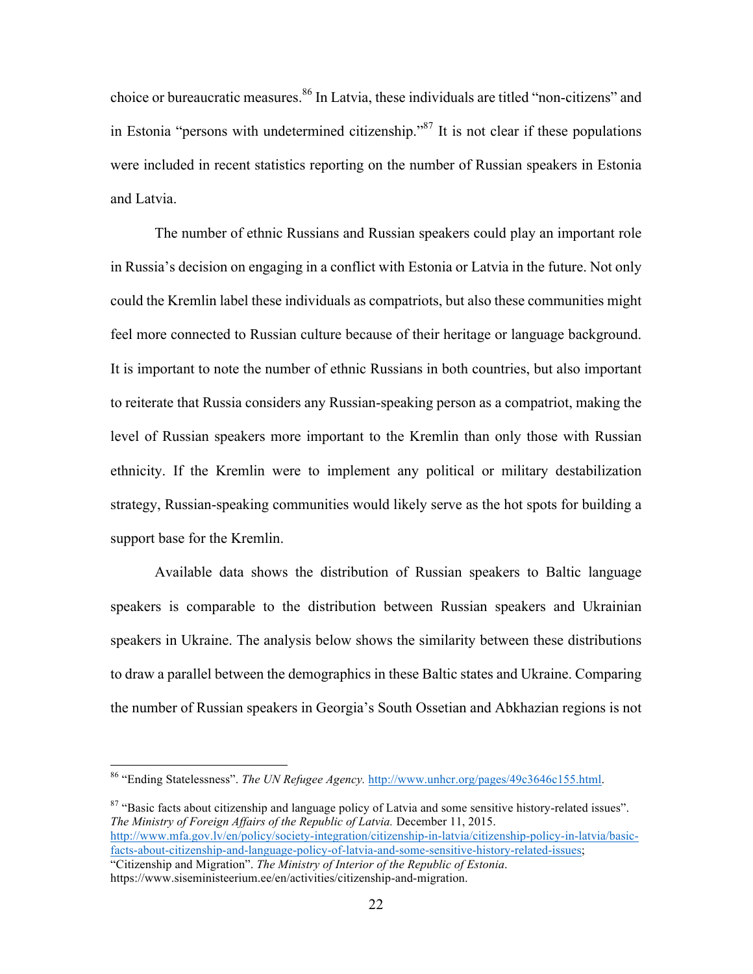choice or bureaucratic measures. <sup>86</sup> In Latvia, these individuals are titled "non-citizens" and in Estonia "persons with undetermined citizenship."<sup>87</sup> It is not clear if these populations were included in recent statistics reporting on the number of Russian speakers in Estonia and Latvia.

The number of ethnic Russians and Russian speakers could play an important role in Russia's decision on engaging in a conflict with Estonia or Latvia in the future. Not only could the Kremlin label these individuals as compatriots, but also these communities might feel more connected to Russian culture because of their heritage or language background. It is important to note the number of ethnic Russians in both countries, but also important to reiterate that Russia considers any Russian-speaking person as a compatriot, making the level of Russian speakers more important to the Kremlin than only those with Russian ethnicity. If the Kremlin were to implement any political or military destabilization strategy, Russian-speaking communities would likely serve as the hot spots for building a support base for the Kremlin.

Available data shows the distribution of Russian speakers to Baltic language speakers is comparable to the distribution between Russian speakers and Ukrainian speakers in Ukraine. The analysis below shows the similarity between these distributions to draw a parallel between the demographics in these Baltic states and Ukraine. Comparing the number of Russian speakers in Georgia's South Ossetian and Abkhazian regions is not

 $87$  "Basic facts about citizenship and language policy of Latvia and some sensitive history-related issues". *The Ministry of Foreign Affairs of the Republic of Latvia.* December 11, 2015. http://www.mfa.gov.lv/en/policy/society-integration/citizenship-in-latvia/citizenship-policy-in-latvia/basicfacts-about-citizenship-and-language-policy-of-latvia-and-some-sensitive-history-related-issues; "Citizenship and Migration". *The Ministry of Interior of the Republic of Estonia*.

https://www.siseministeerium.ee/en/activities/citizenship-and-migration.

 <sup>86</sup> "Ending Statelessness". *The UN Refugee Agency.* http://www.unhcr.org/pages/49c3646c155.html.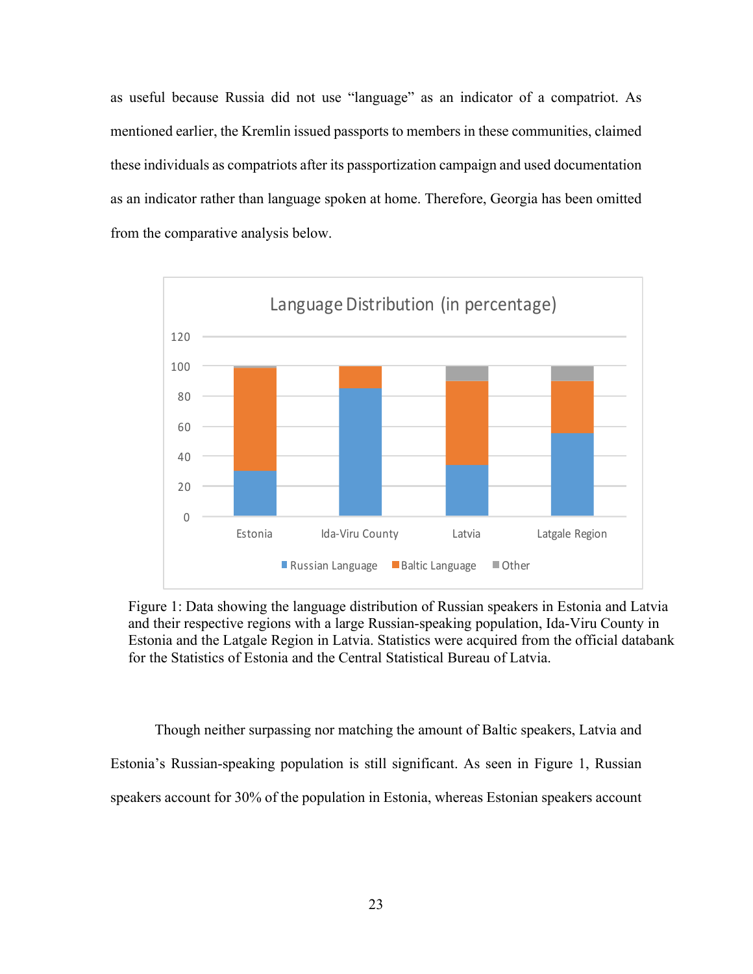as useful because Russia did not use "language" as an indicator of a compatriot. As mentioned earlier, the Kremlin issued passports to members in these communities, claimed these individuals as compatriots after its passportization campaign and used documentation as an indicator rather than language spoken at home. Therefore, Georgia has been omitted from the comparative analysis below.



Figure 1: Data showing the language distribution of Russian speakers in Estonia and Latvia and their respective regions with a large Russian-speaking population, Ida-Viru County in Estonia and the Latgale Region in Latvia. Statistics were acquired from the official databank for the Statistics of Estonia and the Central Statistical Bureau of Latvia.

Though neither surpassing nor matching the amount of Baltic speakers, Latvia and Estonia's Russian-speaking population is still significant. As seen in Figure 1, Russian speakers account for 30% of the population in Estonia, whereas Estonian speakers account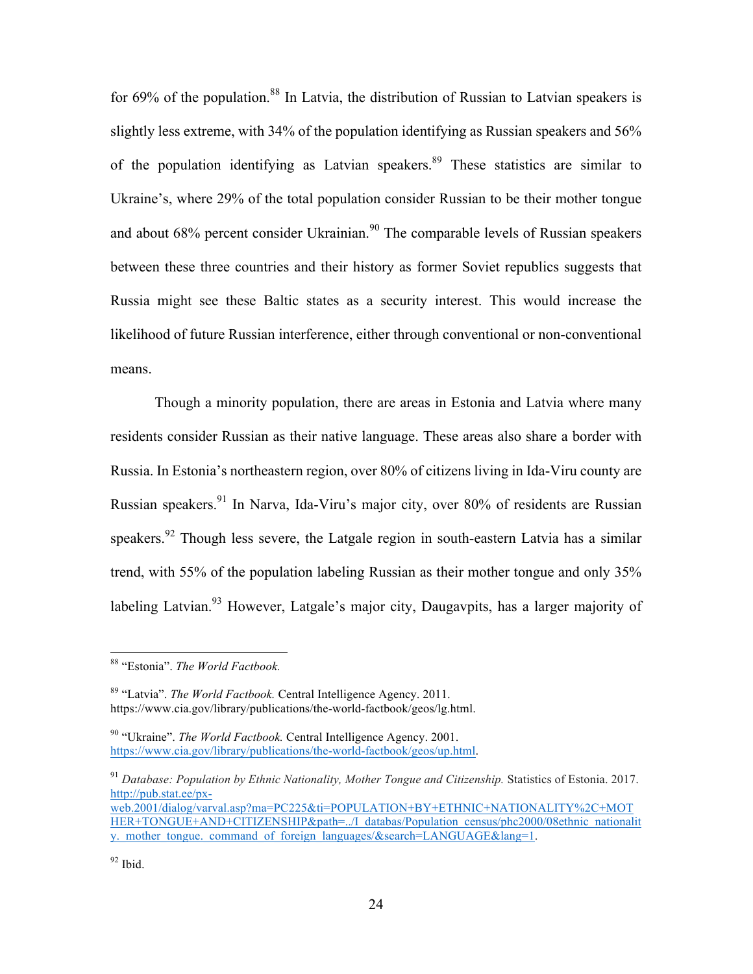for 69% of the population.<sup>88</sup> In Latvia, the distribution of Russian to Latvian speakers is slightly less extreme, with 34% of the population identifying as Russian speakers and 56% of the population identifying as Latvian speakers.<sup>89</sup> These statistics are similar to Ukraine's, where 29% of the total population consider Russian to be their mother tongue and about 68% percent consider Ukrainian.<sup>90</sup> The comparable levels of Russian speakers between these three countries and their history as former Soviet republics suggests that Russia might see these Baltic states as a security interest. This would increase the likelihood of future Russian interference, either through conventional or non-conventional means.

Though a minority population, there are areas in Estonia and Latvia where many residents consider Russian as their native language. These areas also share a border with Russia. In Estonia's northeastern region, over 80% of citizens living in Ida-Viru county are Russian speakers.<sup>91</sup> In Narva, Ida-Viru's major city, over 80% of residents are Russian speakers.<sup>92</sup> Though less severe, the Latgale region in south-eastern Latvia has a similar trend, with 55% of the population labeling Russian as their mother tongue and only 35% labeling Latvian.<sup>93</sup> However, Latgale's major city, Daugavpits, has a larger majority of

 <sup>88</sup> "Estonia". *The World Factbook.* 

<sup>89</sup> "Latvia". *The World Factbook.* Central Intelligence Agency. 2011. https://www.cia.gov/library/publications/the-world-factbook/geos/lg.html.

<sup>90</sup> "Ukraine". *The World Factbook.* Central Intelligence Agency. 2001. https://www.cia.gov/library/publications/the-world-factbook/geos/up.html.

<sup>&</sup>lt;sup>91</sup> Database: Population by Ethnic Nationality, Mother Tongue and Citizenship. Statistics of Estonia. 2017. http://pub.stat.ee/px-

web.2001/dialog/varval.asp?ma=PC225&ti=POPULATION+BY+ETHNIC+NATIONALITY%2C+MOT HER+TONGUE+AND+CITIZENSHIP&path=../I\_databas/Population\_census/phc2000/08ethnic\_nationalit y. mother tongue. command of foreign languages/&search=LANGUAGE&lang=1.

 $92$  Ibid.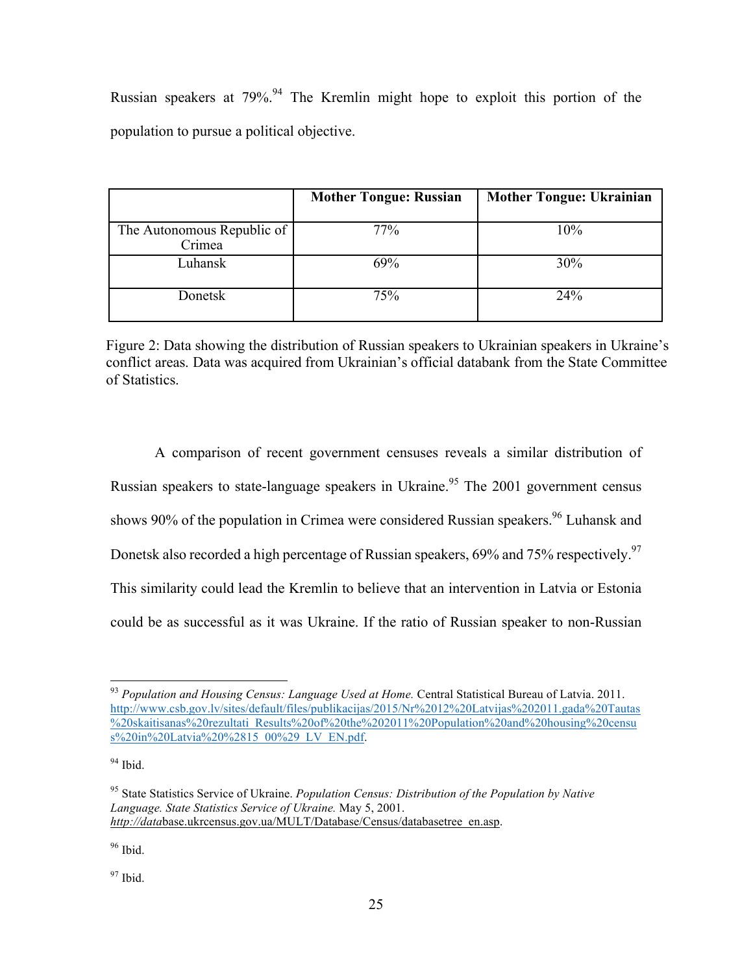Russian speakers at  $79\%$ .<sup>94</sup> The Kremlin might hope to exploit this portion of the population to pursue a political objective.

|                                      | <b>Mother Tongue: Russian</b> | <b>Mother Tongue: Ukrainian</b> |
|--------------------------------------|-------------------------------|---------------------------------|
| The Autonomous Republic of<br>Crimea | 77%                           | 10%                             |
| Luhansk                              | 69%                           | 30%                             |
| Donetsk                              | 75%                           | 24%                             |

Figure 2: Data showing the distribution of Russian speakers to Ukrainian speakers in Ukraine's conflict areas. Data was acquired from Ukrainian's official databank from the State Committee of Statistics.

A comparison of recent government censuses reveals a similar distribution of Russian speakers to state-language speakers in Ukraine.<sup>95</sup> The 2001 government census shows 90% of the population in Crimea were considered Russian speakers.<sup>96</sup> Luhansk and Donetsk also recorded a high percentage of Russian speakers, 69% and 75% respectively.<sup>97</sup> This similarity could lead the Kremlin to believe that an intervention in Latvia or Estonia could be as successful as it was Ukraine. If the ratio of Russian speaker to non-Russian

 $94$  Ibid.

<sup>96</sup> Ibid.

<sup>97</sup> Ibid.

 <sup>93</sup> *Population and Housing Census: Language Used at Home.* Central Statistical Bureau of Latvia. 2011. http://www.csb.gov.lv/sites/default/files/publikacijas/2015/Nr%2012%20Latvijas%202011.gada%20Tautas %20skaitisanas%20rezultati\_Results%20of%20the%202011%20Population%20and%20housing%20censu s%20in%20Latvia%20%2815\_00%29\_LV\_EN.pdf.

<sup>95</sup> State Statistics Service of Ukraine. *Population Census: Distribution of the Population by Native Language. State Statistics Service of Ukraine.* May 5, 2001. *http://data*base.ukrcensus.gov.ua/MULT/Database/Census/databasetree\_en.asp.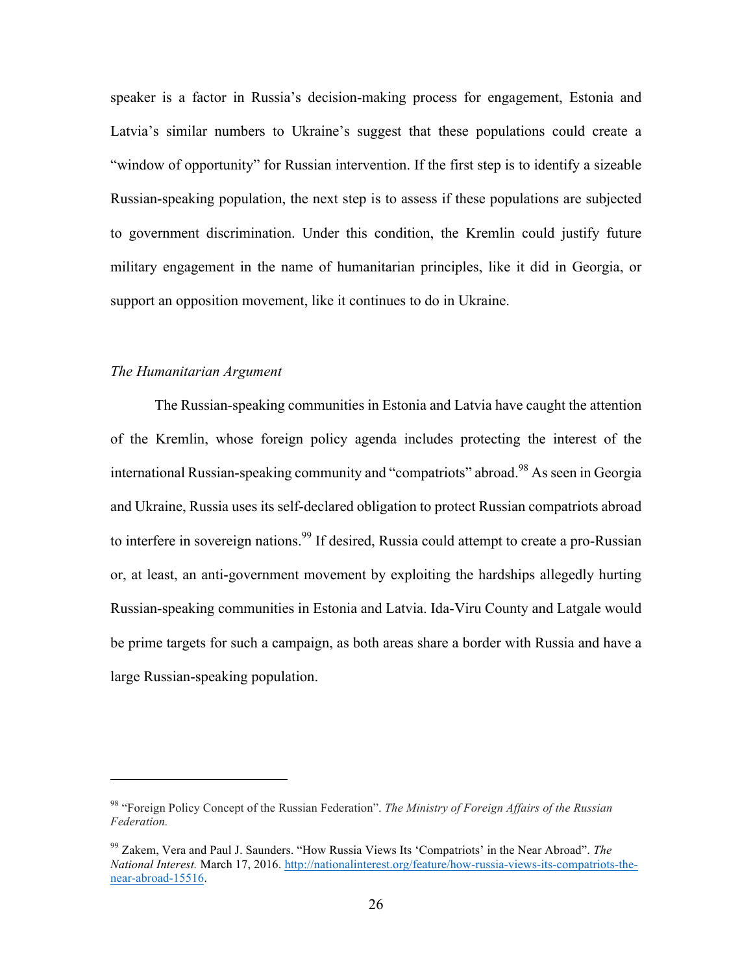speaker is a factor in Russia's decision-making process for engagement, Estonia and Latvia's similar numbers to Ukraine's suggest that these populations could create a "window of opportunity" for Russian intervention. If the first step is to identify a sizeable Russian-speaking population, the next step is to assess if these populations are subjected to government discrimination. Under this condition, the Kremlin could justify future military engagement in the name of humanitarian principles, like it did in Georgia, or support an opposition movement, like it continues to do in Ukraine.

#### *The Humanitarian Argument*

 $\overline{a}$ 

The Russian-speaking communities in Estonia and Latvia have caught the attention of the Kremlin, whose foreign policy agenda includes protecting the interest of the international Russian-speaking community and "compatriots" abroad.<sup>98</sup> As seen in Georgia and Ukraine, Russia uses its self-declared obligation to protect Russian compatriots abroad to interfere in sovereign nations.<sup>99</sup> If desired, Russia could attempt to create a pro-Russian or, at least, an anti-government movement by exploiting the hardships allegedly hurting Russian-speaking communities in Estonia and Latvia. Ida-Viru County and Latgale would be prime targets for such a campaign, as both areas share a border with Russia and have a large Russian-speaking population.

<sup>98</sup> "Foreign Policy Concept of the Russian Federation". *The Ministry of Foreign Affairs of the Russian Federation.*

<sup>99</sup> Zakem, Vera and Paul J. Saunders. "How Russia Views Its 'Compatriots' in the Near Abroad". *The National Interest.* March 17, 2016. http://nationalinterest.org/feature/how-russia-views-its-compatriots-thenear-abroad-15516.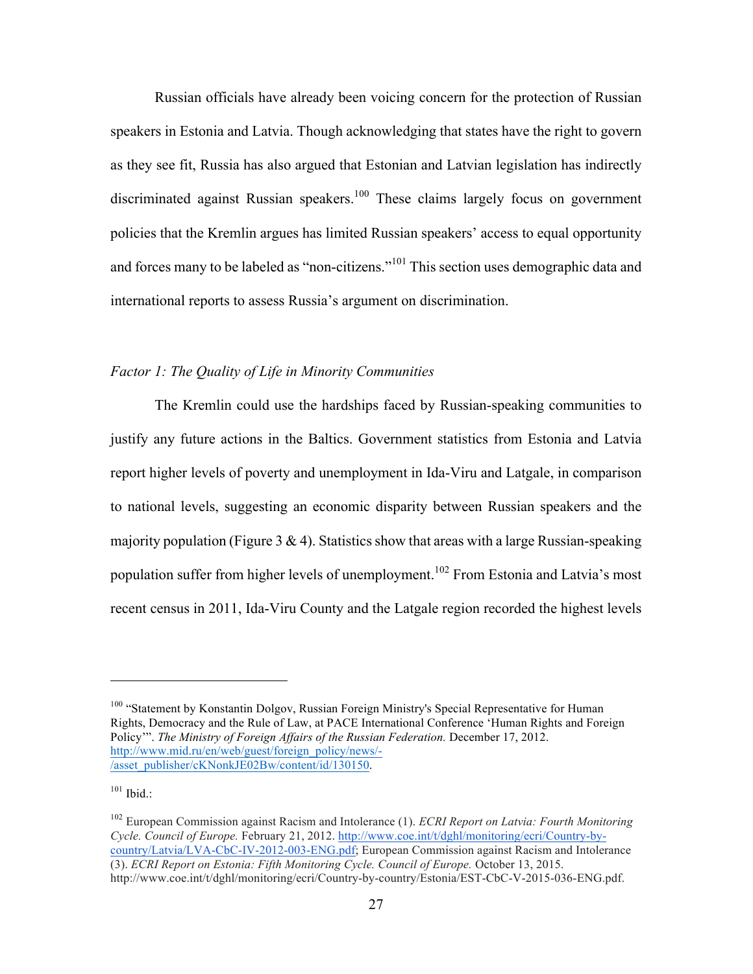Russian officials have already been voicing concern for the protection of Russian speakers in Estonia and Latvia. Though acknowledging that states have the right to govern as they see fit, Russia has also argued that Estonian and Latvian legislation has indirectly discriminated against Russian speakers.<sup>100</sup> These claims largely focus on government policies that the Kremlin argues has limited Russian speakers' access to equal opportunity and forces many to be labeled as "non-citizens."<sup>101</sup> This section uses demographic data and international reports to assess Russia's argument on discrimination.

#### *Factor 1: The Quality of Life in Minority Communities*

The Kremlin could use the hardships faced by Russian-speaking communities to justify any future actions in the Baltics. Government statistics from Estonia and Latvia report higher levels of poverty and unemployment in Ida-Viru and Latgale, in comparison to national levels, suggesting an economic disparity between Russian speakers and the majority population (Figure 3  $\&$  4). Statistics show that areas with a large Russian-speaking population suffer from higher levels of unemployment.<sup>102</sup> From Estonia and Latvia's most recent census in 2011, Ida-Viru County and the Latgale region recorded the highest levels

<sup>&</sup>lt;sup>100</sup> "Statement by Konstantin Dolgov, Russian Foreign Ministry's Special Representative for Human Rights, Democracy and the Rule of Law, at PACE International Conference 'Human Rights and Foreign Policy'". *The Ministry of Foreign Affairs of the Russian Federation.* December 17, 2012. http://www.mid.ru/en/web/guest/foreign\_policy/news/- /asset\_publisher/cKNonkJE02Bw/content/id/130150.

 $101$  Ibid.:

<sup>102</sup> European Commission against Racism and Intolerance (1). *ECRI Report on Latvia: Fourth Monitoring Cycle. Council of Europe.* February 21, 2012. http://www.coe.int/t/dghl/monitoring/ecri/Country-bycountry/Latvia/LVA-CbC-IV-2012-003-ENG.pdf; European Commission against Racism and Intolerance (3). *ECRI Report on Estonia: Fifth Monitoring Cycle. Council of Europe.* October 13, 2015. http://www.coe.int/t/dghl/monitoring/ecri/Country-by-country/Estonia/EST-CbC-V-2015-036-ENG.pdf.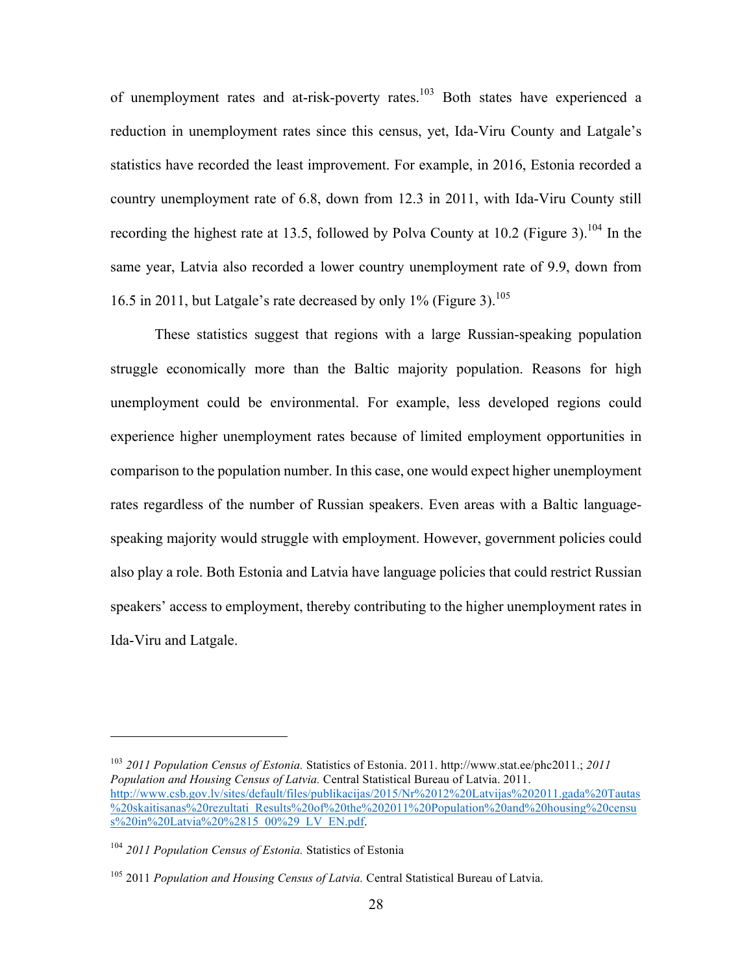of unemployment rates and at-risk-poverty rates.<sup>103</sup> Both states have experienced a reduction in unemployment rates since this census, yet, Ida-Viru County and Latgale's statistics have recorded the least improvement. For example, in 2016, Estonia recorded a country unemployment rate of 6.8, down from 12.3 in 2011, with Ida-Viru County still recording the highest rate at 13.5, followed by Polva County at 10.2 (Figure 3).<sup>104</sup> In the same year, Latvia also recorded a lower country unemployment rate of 9.9, down from 16.5 in 2011, but Latgale's rate decreased by only  $1\%$  (Figure 3).<sup>105</sup>

These statistics suggest that regions with a large Russian-speaking population struggle economically more than the Baltic majority population. Reasons for high unemployment could be environmental. For example, less developed regions could experience higher unemployment rates because of limited employment opportunities in comparison to the population number. In this case, one would expect higher unemployment rates regardless of the number of Russian speakers. Even areas with a Baltic languagespeaking majority would struggle with employment. However, government policies could also play a role. Both Estonia and Latvia have language policies that could restrict Russian speakers' access to employment, thereby contributing to the higher unemployment rates in Ida-Viru and Latgale.

<sup>103</sup> *2011 Population Census of Estonia.* Statistics of Estonia. 2011. http://www.stat.ee/phc2011.; *2011 Population and Housing Census of Latvia.* Central Statistical Bureau of Latvia. 2011. http://www.csb.gov.lv/sites/default/files/publikacijas/2015/Nr%2012%20Latvijas%202011.gada%20Tautas %20skaitisanas%20rezultati\_Results%20of%20the%202011%20Population%20and%20housing%20censu s%20in%20Latvia%20%2815\_00%29\_LV\_EN.pdf.

<sup>104</sup> *2011 Population Census of Estonia.* Statistics of Estonia

<sup>105</sup> 2011 *Population and Housing Census of Latvia.* Central Statistical Bureau of Latvia.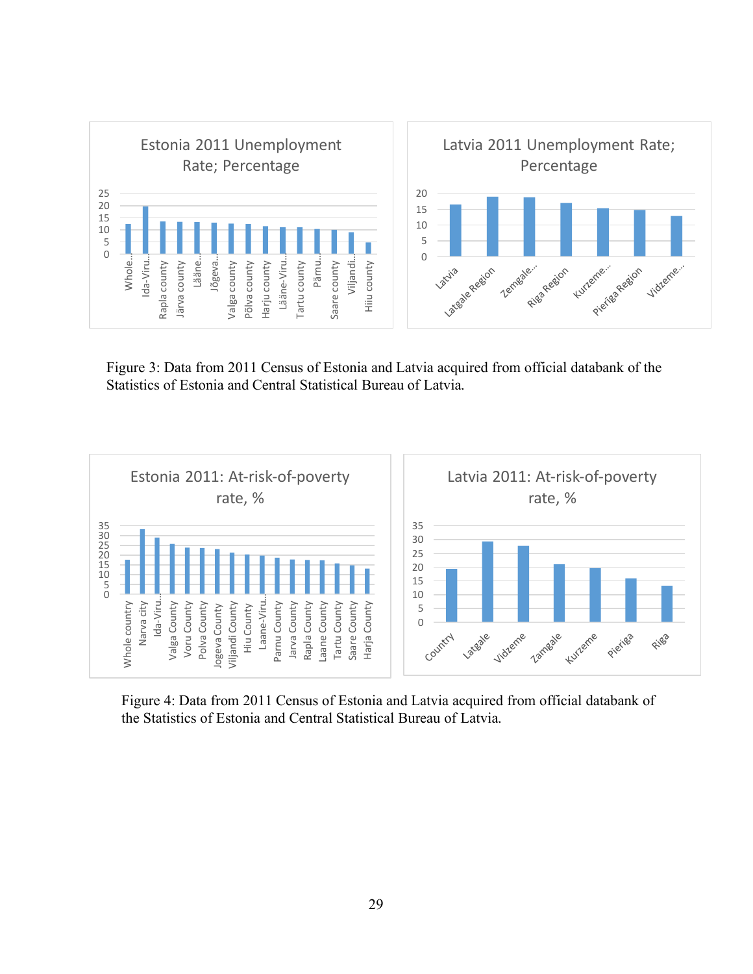

Figure 3: Data from 2011 Census of Estonia and Latvia acquired from official databank of the Statistics of Estonia and Central Statistical Bureau of Latvia.



Figure 4: Data from 2011 Census of Estonia and Latvia acquired from official databank of the Statistics of Estonia and Central Statistical Bureau of Latvia.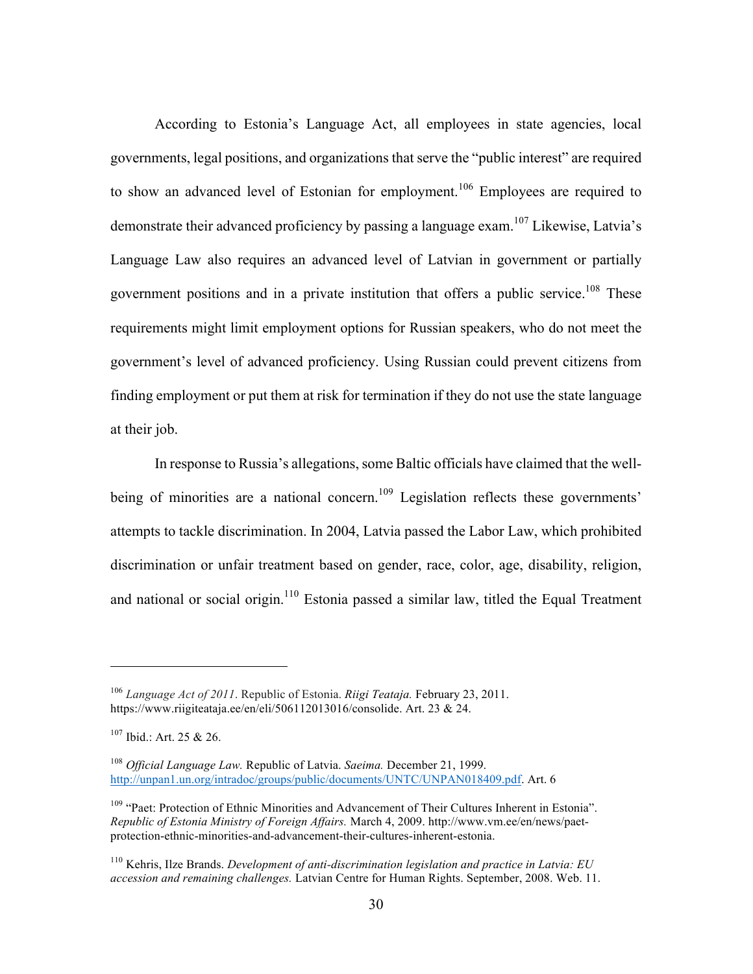According to Estonia's Language Act, all employees in state agencies, local governments, legal positions, and organizations that serve the "public interest" are required to show an advanced level of Estonian for employment.<sup>106</sup> Employees are required to demonstrate their advanced proficiency by passing a language exam.<sup>107</sup> Likewise, Latvia's Language Law also requires an advanced level of Latvian in government or partially government positions and in a private institution that offers a public service.<sup>108</sup> These requirements might limit employment options for Russian speakers, who do not meet the government's level of advanced proficiency. Using Russian could prevent citizens from finding employment or put them at risk for termination if they do not use the state language at their job.

In response to Russia's allegations, some Baltic officials have claimed that the wellbeing of minorities are a national concern.<sup>109</sup> Legislation reflects these governments' attempts to tackle discrimination. In 2004, Latvia passed the Labor Law, which prohibited discrimination or unfair treatment based on gender, race, color, age, disability, religion, and national or social origin. $110$  Estonia passed a similar law, titled the Equal Treatment

<sup>106</sup> *Language Act of 2011*. Republic of Estonia. *Riigi Teataja.* February 23, 2011. https://www.riigiteataja.ee/en/eli/506112013016/consolide. Art. 23 & 24.

 $107$  Ibid.: Art. 25 & 26.

<sup>108</sup> *Official Language Law.* Republic of Latvia. *Saeima.* December 21, 1999. http://unpan1.un.org/intradoc/groups/public/documents/UNTC/UNPAN018409.pdf. Art. 6

<sup>&</sup>lt;sup>109</sup> "Paet: Protection of Ethnic Minorities and Advancement of Their Cultures Inherent in Estonia". *Republic of Estonia Ministry of Foreign Affairs.* March 4, 2009. http://www.vm.ee/en/news/paetprotection-ethnic-minorities-and-advancement-their-cultures-inherent-estonia.

<sup>110</sup> Kehris, Ilze Brands. *Development of anti-discrimination legislation and practice in Latvia: EU accession and remaining challenges.* Latvian Centre for Human Rights. September, 2008. Web. 11.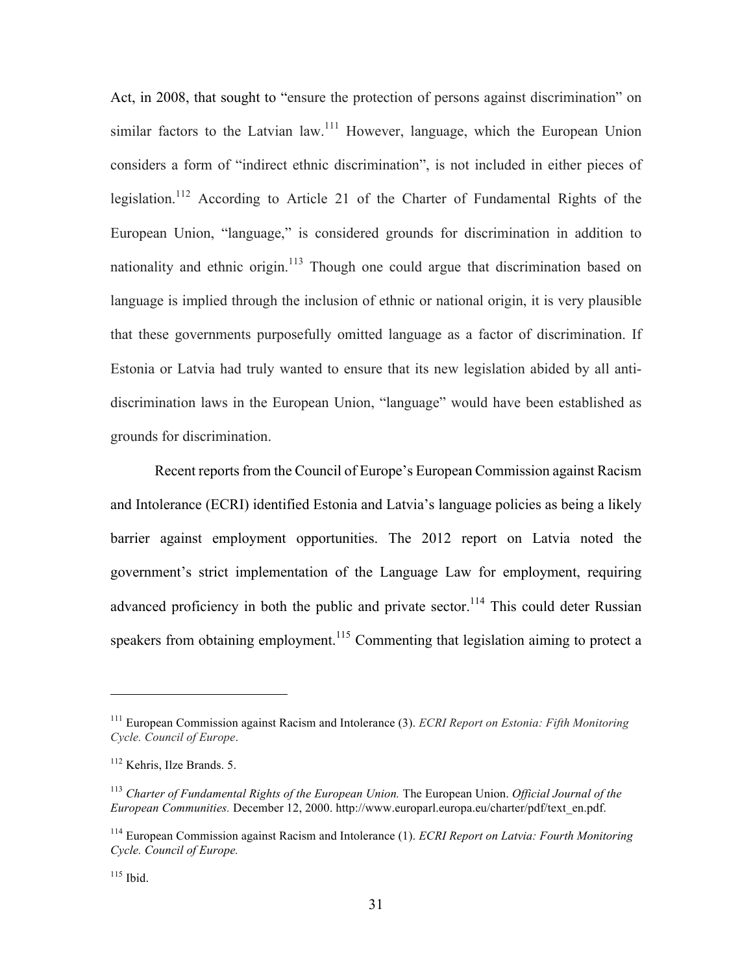Act, in 2008, that sought to "ensure the protection of persons against discrimination" on similar factors to the Latvian law.<sup>111</sup> However, language, which the European Union considers a form of "indirect ethnic discrimination", is not included in either pieces of legislation.<sup>112</sup> According to Article 21 of the Charter of Fundamental Rights of the European Union, "language," is considered grounds for discrimination in addition to nationality and ethnic origin. $113$  Though one could argue that discrimination based on language is implied through the inclusion of ethnic or national origin, it is very plausible that these governments purposefully omitted language as a factor of discrimination. If Estonia or Latvia had truly wanted to ensure that its new legislation abided by all antidiscrimination laws in the European Union, "language" would have been established as grounds for discrimination.

Recent reports from the Council of Europe's European Commission against Racism and Intolerance (ECRI) identified Estonia and Latvia's language policies as being a likely barrier against employment opportunities. The 2012 report on Latvia noted the government's strict implementation of the Language Law for employment, requiring advanced proficiency in both the public and private sector.<sup>114</sup> This could deter Russian speakers from obtaining employment.<sup>115</sup> Commenting that legislation aiming to protect a

<sup>111</sup> European Commission against Racism and Intolerance (3). *ECRI Report on Estonia: Fifth Monitoring Cycle. Council of Europe*.

<sup>112</sup> Kehris, Ilze Brands. 5.

<sup>113</sup> *Charter of Fundamental Rights of the European Union.* The European Union. *Official Journal of the European Communities.* December 12, 2000. http://www.europarl.europa.eu/charter/pdf/text\_en.pdf.

<sup>114</sup> European Commission against Racism and Intolerance (1). *ECRI Report on Latvia: Fourth Monitoring Cycle. Council of Europe.* 

 $115$  Ibid.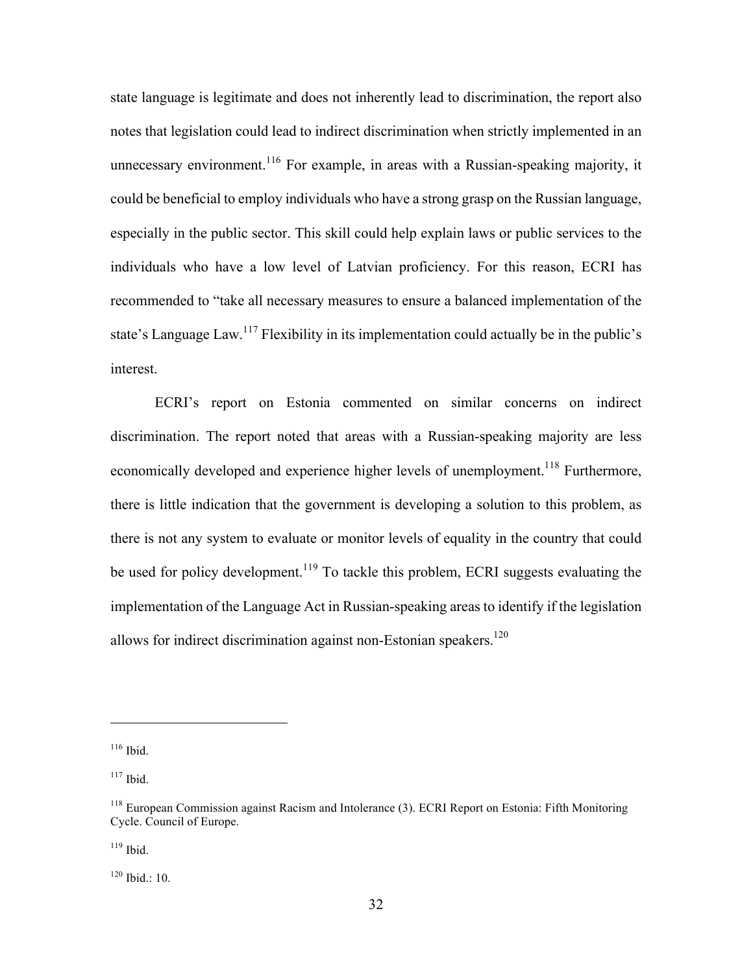state language is legitimate and does not inherently lead to discrimination, the report also notes that legislation could lead to indirect discrimination when strictly implemented in an unnecessary environment.<sup>116</sup> For example, in areas with a Russian-speaking majority, it could be beneficial to employ individuals who have a strong grasp on the Russian language, especially in the public sector. This skill could help explain laws or public services to the individuals who have a low level of Latvian proficiency. For this reason, ECRI has recommended to "take all necessary measures to ensure a balanced implementation of the state's Language Law.<sup>117</sup> Flexibility in its implementation could actually be in the public's interest.

ECRI's report on Estonia commented on similar concerns on indirect discrimination. The report noted that areas with a Russian-speaking majority are less economically developed and experience higher levels of unemployment.<sup>118</sup> Furthermore, there is little indication that the government is developing a solution to this problem, as there is not any system to evaluate or monitor levels of equality in the country that could be used for policy development.<sup>119</sup> To tackle this problem, ECRI suggests evaluating the implementation of the Language Act in Russian-speaking areas to identify if the legislation allows for indirect discrimination against non-Estonian speakers.<sup>120</sup>

 $\overline{a}$ 

 $119$  Ibid.

<sup>120</sup> Ibid.: 10.

 $116$  Ibid.

 $117$  Ibid.

<sup>&</sup>lt;sup>118</sup> European Commission against Racism and Intolerance (3). ECRI Report on Estonia: Fifth Monitoring Cycle. Council of Europe.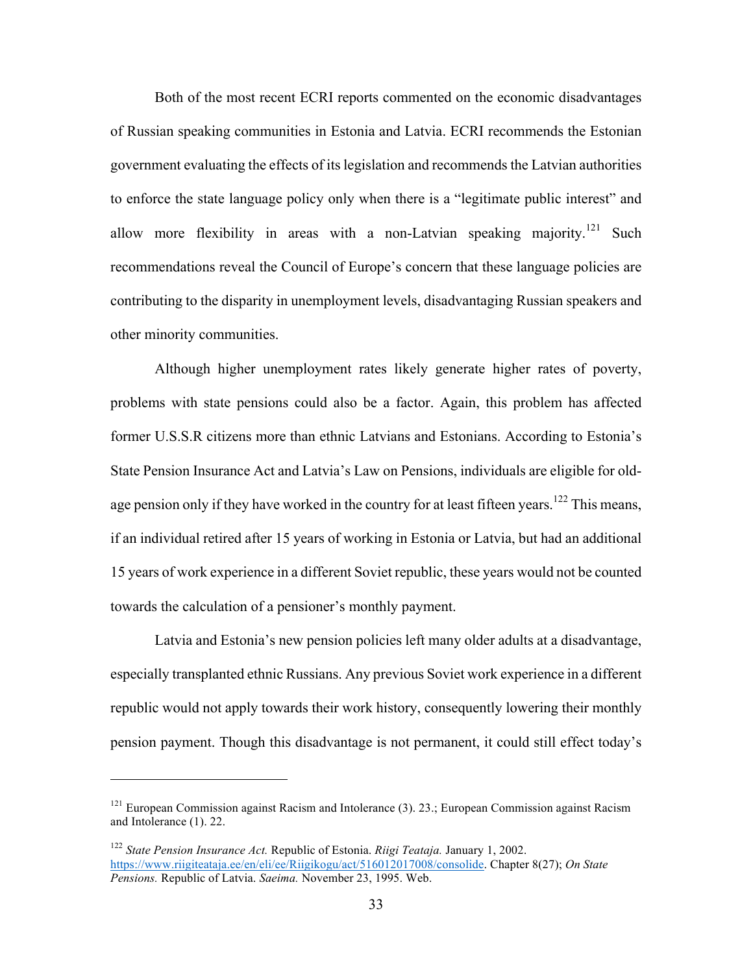Both of the most recent ECRI reports commented on the economic disadvantages of Russian speaking communities in Estonia and Latvia. ECRI recommends the Estonian government evaluating the effects of its legislation and recommends the Latvian authorities to enforce the state language policy only when there is a "legitimate public interest" and allow more flexibility in areas with a non-Latvian speaking majority.<sup>121</sup> Such recommendations reveal the Council of Europe's concern that these language policies are contributing to the disparity in unemployment levels, disadvantaging Russian speakers and other minority communities.

Although higher unemployment rates likely generate higher rates of poverty, problems with state pensions could also be a factor. Again, this problem has affected former U.S.S.R citizens more than ethnic Latvians and Estonians. According to Estonia's State Pension Insurance Act and Latvia's Law on Pensions, individuals are eligible for oldage pension only if they have worked in the country for at least fifteen years.<sup>122</sup> This means, if an individual retired after 15 years of working in Estonia or Latvia, but had an additional 15 years of work experience in a different Soviet republic, these years would not be counted towards the calculation of a pensioner's monthly payment.

Latvia and Estonia's new pension policies left many older adults at a disadvantage, especially transplanted ethnic Russians. Any previous Soviet work experience in a different republic would not apply towards their work history, consequently lowering their monthly pension payment. Though this disadvantage is not permanent, it could still effect today's

 $121$  European Commission against Racism and Intolerance (3). 23.; European Commission against Racism and Intolerance (1). 22.

<sup>122</sup> *State Pension Insurance Act.* Republic of Estonia. *Riigi Teataja.* January 1, 2002. https://www.riigiteataja.ee/en/eli/ee/Riigikogu/act/516012017008/consolide. Chapter 8(27); *On State Pensions.* Republic of Latvia. *Saeima.* November 23, 1995. Web.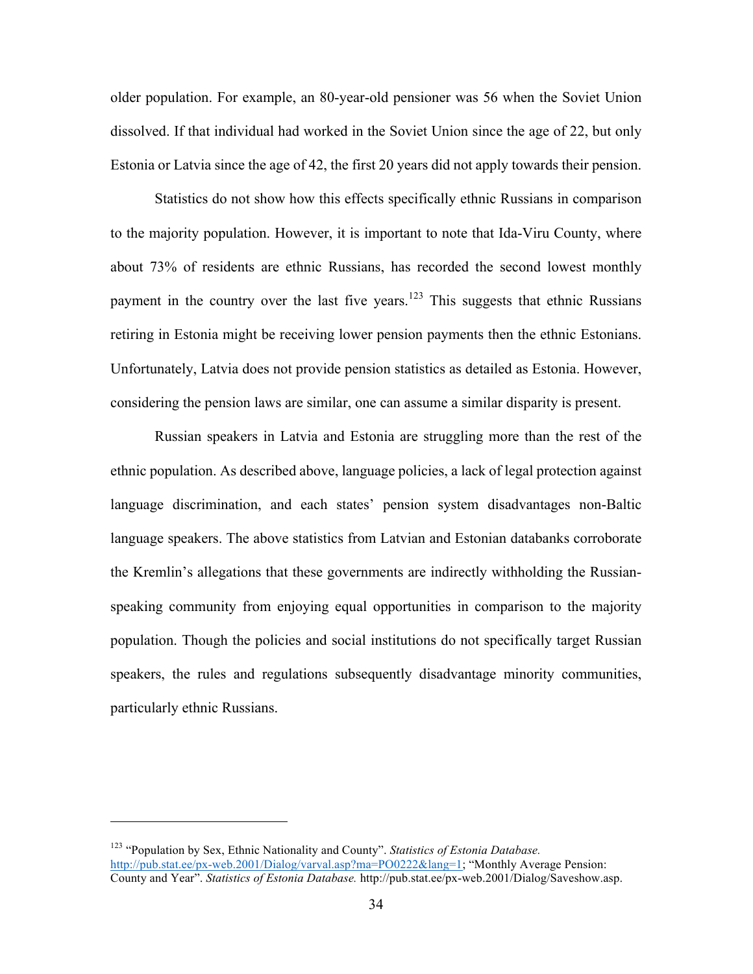older population. For example, an 80-year-old pensioner was 56 when the Soviet Union dissolved. If that individual had worked in the Soviet Union since the age of 22, but only Estonia or Latvia since the age of 42, the first 20 years did not apply towards their pension.

Statistics do not show how this effects specifically ethnic Russians in comparison to the majority population. However, it is important to note that Ida-Viru County, where about 73% of residents are ethnic Russians, has recorded the second lowest monthly payment in the country over the last five years.<sup>123</sup> This suggests that ethnic Russians retiring in Estonia might be receiving lower pension payments then the ethnic Estonians. Unfortunately, Latvia does not provide pension statistics as detailed as Estonia. However, considering the pension laws are similar, one can assume a similar disparity is present.

Russian speakers in Latvia and Estonia are struggling more than the rest of the ethnic population. As described above, language policies, a lack of legal protection against language discrimination, and each states' pension system disadvantages non-Baltic language speakers. The above statistics from Latvian and Estonian databanks corroborate the Kremlin's allegations that these governments are indirectly withholding the Russianspeaking community from enjoying equal opportunities in comparison to the majority population. Though the policies and social institutions do not specifically target Russian speakers, the rules and regulations subsequently disadvantage minority communities, particularly ethnic Russians.

<sup>123</sup> "Population by Sex, Ethnic Nationality and County". *Statistics of Estonia Database.* http://pub.stat.ee/px-web.2001/Dialog/varval.asp?ma=PO0222&lang=1; "Monthly Average Pension: County and Year". *Statistics of Estonia Database.* http://pub.stat.ee/px-web.2001/Dialog/Saveshow.asp.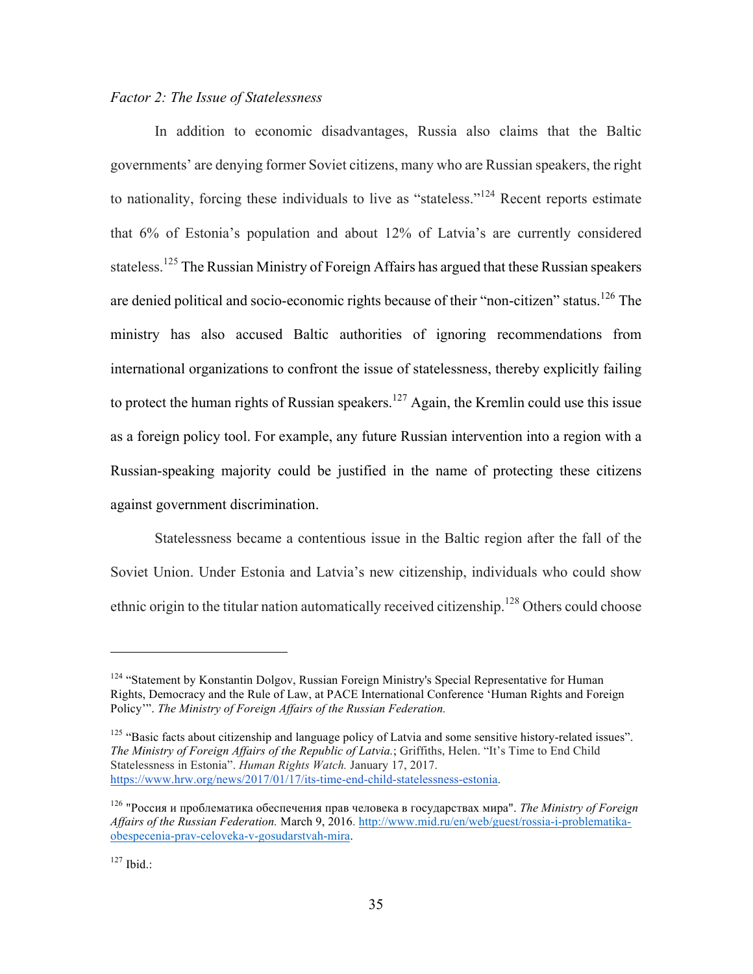## *Factor 2: The Issue of Statelessness*

In addition to economic disadvantages, Russia also claims that the Baltic governments' are denying former Soviet citizens, many who are Russian speakers, the right to nationality, forcing these individuals to live as "stateless."<sup>124</sup> Recent reports estimate that 6% of Estonia's population and about 12% of Latvia's are currently considered stateless.<sup>125</sup> The Russian Ministry of Foreign Affairs has argued that these Russian speakers are denied political and socio-economic rights because of their "non-citizen" status.<sup>126</sup> The ministry has also accused Baltic authorities of ignoring recommendations from international organizations to confront the issue of statelessness, thereby explicitly failing to protect the human rights of Russian speakers.<sup>127</sup> Again, the Kremlin could use this issue as a foreign policy tool. For example, any future Russian intervention into a region with a Russian-speaking majority could be justified in the name of protecting these citizens against government discrimination.

Statelessness became a contentious issue in the Baltic region after the fall of the Soviet Union. Under Estonia and Latvia's new citizenship, individuals who could show ethnic origin to the titular nation automatically received citizenship.<sup>128</sup> Others could choose

<sup>&</sup>lt;sup>124</sup> "Statement by Konstantin Dolgov, Russian Foreign Ministry's Special Representative for Human Rights, Democracy and the Rule of Law, at PACE International Conference 'Human Rights and Foreign Policy'". *The Ministry of Foreign Affairs of the Russian Federation.*

<sup>&</sup>lt;sup>125</sup> "Basic facts about citizenship and language policy of Latvia and some sensitive history-related issues". *The Ministry of Foreign Affairs of the Republic of Latvia.*; Griffiths, Helen. "It's Time to End Child Statelessness in Estonia". *Human Rights Watch.* January 17, 2017. https://www.hrw.org/news/2017/01/17/its-time-end-child-statelessness-estonia.

<sup>126</sup> "Россия и проблематика обеспечения прав человека в государствах мира". *The Ministry of Foreign Affairs of the Russian Federation.* March 9, 2016. http://www.mid.ru/en/web/guest/rossia-i-problematikaobespecenia-prav-celoveka-v-gosudarstvah-mira.

 $127$  Ibid.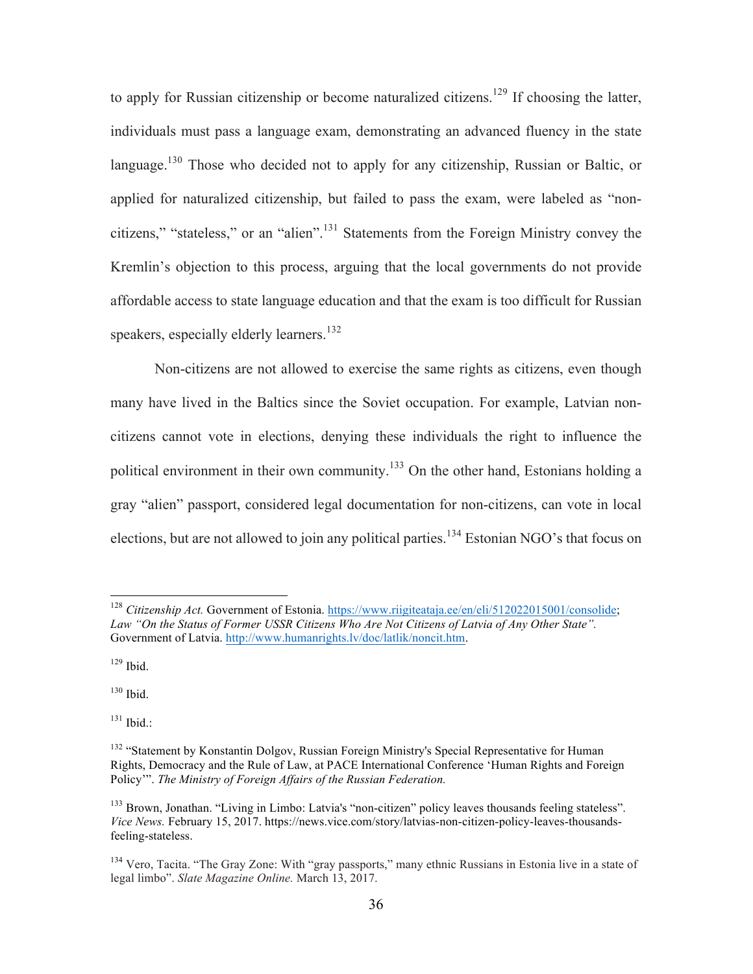to apply for Russian citizenship or become naturalized citizens.<sup>129</sup> If choosing the latter, individuals must pass a language exam, demonstrating an advanced fluency in the state language.<sup>130</sup> Those who decided not to apply for any citizenship, Russian or Baltic, or applied for naturalized citizenship, but failed to pass the exam, were labeled as "noncitizens," "stateless," or an "alien".<sup>131</sup> Statements from the Foreign Ministry convey the Kremlin's objection to this process, arguing that the local governments do not provide affordable access to state language education and that the exam is too difficult for Russian speakers, especially elderly learners.<sup>132</sup>

Non-citizens are not allowed to exercise the same rights as citizens, even though many have lived in the Baltics since the Soviet occupation. For example, Latvian noncitizens cannot vote in elections, denying these individuals the right to influence the political environment in their own community.<sup>133</sup> On the other hand, Estonians holding a gray "alien" passport, considered legal documentation for non-citizens, can vote in local elections, but are not allowed to join any political parties.<sup>134</sup> Estonian NGO's that focus on

 $129$  Ibid.

<sup>130</sup> Ibid.

 $^{131}$  Ibid.:

 <sup>128</sup> *Citizenship Act.* Government of Estonia. https://www.riigiteataja.ee/en/eli/512022015001/consolide; *Law "On the Status of Former USSR Citizens Who Are Not Citizens of Latvia of Any Other State".*  Government of Latvia. http://www.humanrights.lv/doc/latlik/noncit.htm.

<sup>&</sup>lt;sup>132</sup> "Statement by Konstantin Dolgov, Russian Foreign Ministry's Special Representative for Human Rights, Democracy and the Rule of Law, at PACE International Conference 'Human Rights and Foreign Policy'". *The Ministry of Foreign Affairs of the Russian Federation.*

<sup>&</sup>lt;sup>133</sup> Brown, Jonathan. "Living in Limbo: Latvia's "non-citizen" policy leaves thousands feeling stateless". *Vice News.* February 15, 2017. https://news.vice.com/story/latvias-non-citizen-policy-leaves-thousandsfeeling-stateless.

<sup>&</sup>lt;sup>134</sup> Vero, Tacita. "The Gray Zone: With "gray passports," many ethnic Russians in Estonia live in a state of legal limbo". *Slate Magazine Online.* March 13, 2017.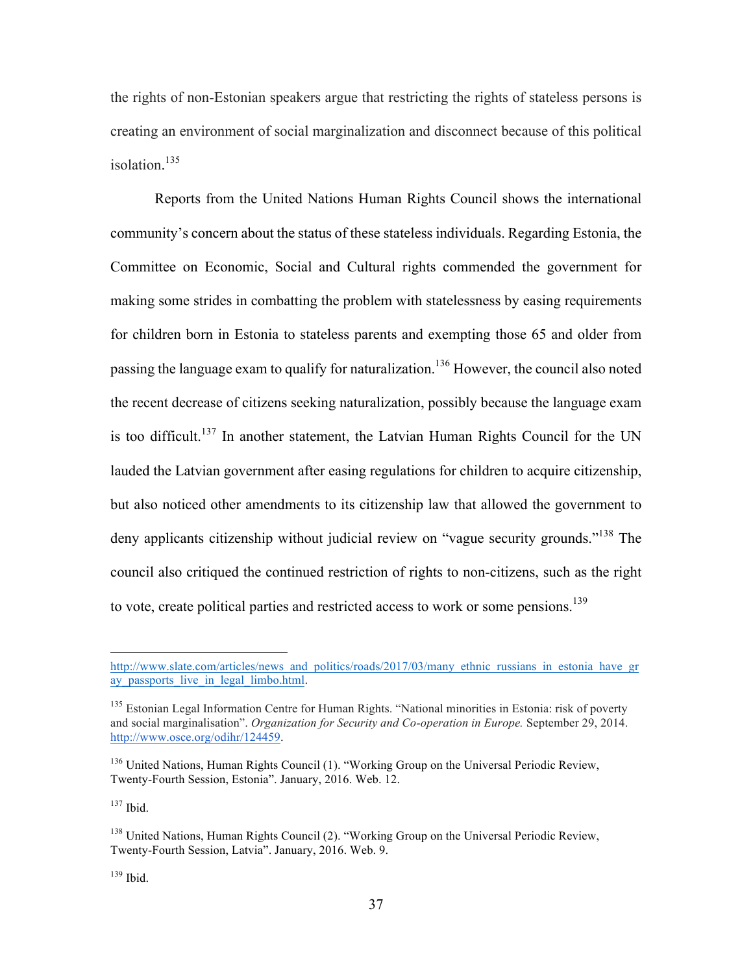the rights of non-Estonian speakers argue that restricting the rights of stateless persons is creating an environment of social marginalization and disconnect because of this political isolation. 135

Reports from the United Nations Human Rights Council shows the international community's concern about the status of these stateless individuals. Regarding Estonia, the Committee on Economic, Social and Cultural rights commended the government for making some strides in combatting the problem with statelessness by easing requirements for children born in Estonia to stateless parents and exempting those 65 and older from passing the language exam to qualify for naturalization.<sup>136</sup> However, the council also noted the recent decrease of citizens seeking naturalization, possibly because the language exam is too difficult.<sup>137</sup> In another statement, the Latvian Human Rights Council for the UN lauded the Latvian government after easing regulations for children to acquire citizenship, but also noticed other amendments to its citizenship law that allowed the government to deny applicants citizenship without judicial review on "vague security grounds."<sup>138</sup> The council also critiqued the continued restriction of rights to non-citizens, such as the right to vote, create political parties and restricted access to work or some pensions.<sup>139</sup>

 $137$  Ibid.

 $139$  Ibid.

http://www.slate.com/articles/news\_and\_politics/roads/2017/03/many\_ethnic\_russians\_in\_estonia\_have\_gr ay passports live in legal limbo.html.

<sup>&</sup>lt;sup>135</sup> Estonian Legal Information Centre for Human Rights. "National minorities in Estonia: risk of poverty and social marginalisation". *Organization for Security and Co-operation in Europe.* September 29, 2014. http://www.osce.org/odihr/124459.

<sup>&</sup>lt;sup>136</sup> United Nations, Human Rights Council (1). "Working Group on the Universal Periodic Review, Twenty-Fourth Session, Estonia". January, 2016. Web. 12.

<sup>&</sup>lt;sup>138</sup> United Nations, Human Rights Council (2). "Working Group on the Universal Periodic Review, Twenty-Fourth Session, Latvia". January, 2016. Web. 9.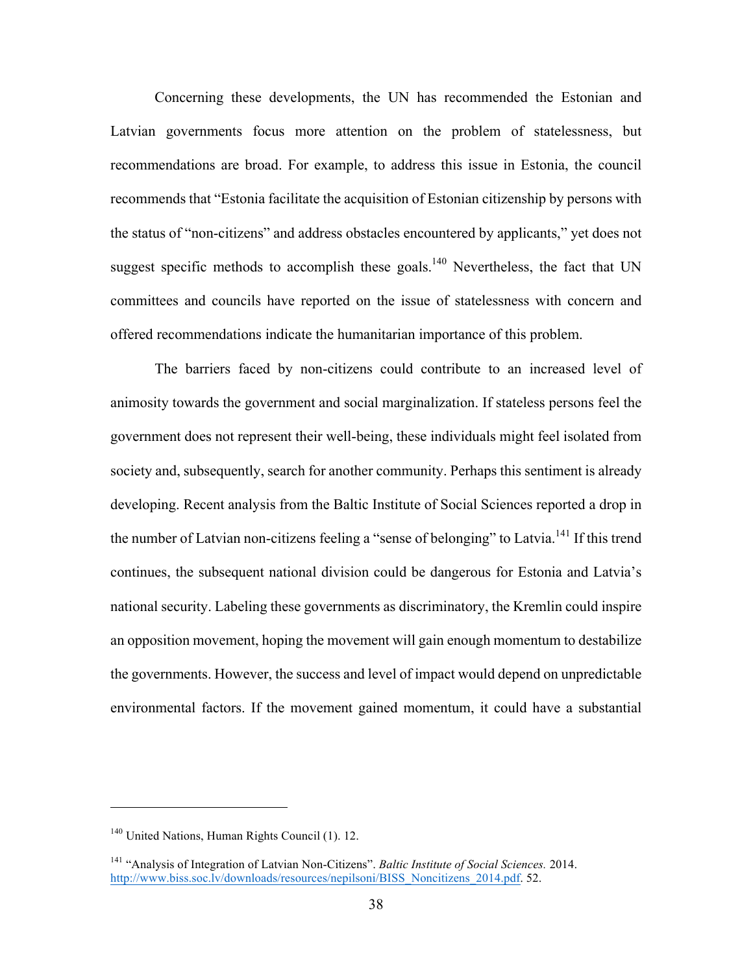Concerning these developments, the UN has recommended the Estonian and Latvian governments focus more attention on the problem of statelessness, but recommendations are broad. For example, to address this issue in Estonia, the council recommends that "Estonia facilitate the acquisition of Estonian citizenship by persons with the status of "non-citizens" and address obstacles encountered by applicants," yet does not suggest specific methods to accomplish these goals.<sup>140</sup> Nevertheless, the fact that UN committees and councils have reported on the issue of statelessness with concern and offered recommendations indicate the humanitarian importance of this problem.

The barriers faced by non-citizens could contribute to an increased level of animosity towards the government and social marginalization. If stateless persons feel the government does not represent their well-being, these individuals might feel isolated from society and, subsequently, search for another community. Perhaps this sentiment is already developing. Recent analysis from the Baltic Institute of Social Sciences reported a drop in the number of Latvian non-citizens feeling a "sense of belonging" to Latvia.<sup>141</sup> If this trend continues, the subsequent national division could be dangerous for Estonia and Latvia's national security. Labeling these governments as discriminatory, the Kremlin could inspire an opposition movement, hoping the movement will gain enough momentum to destabilize the governments. However, the success and level of impact would depend on unpredictable environmental factors. If the movement gained momentum, it could have a substantial

<sup>&</sup>lt;sup>140</sup> United Nations, Human Rights Council (1). 12.

<sup>141</sup> "Analysis of Integration of Latvian Non-Citizens". *Baltic Institute of Social Sciences.* 2014. http://www.biss.soc.lv/downloads/resources/nepilsoni/BISS\_Noncitizens\_2014.pdf. 52.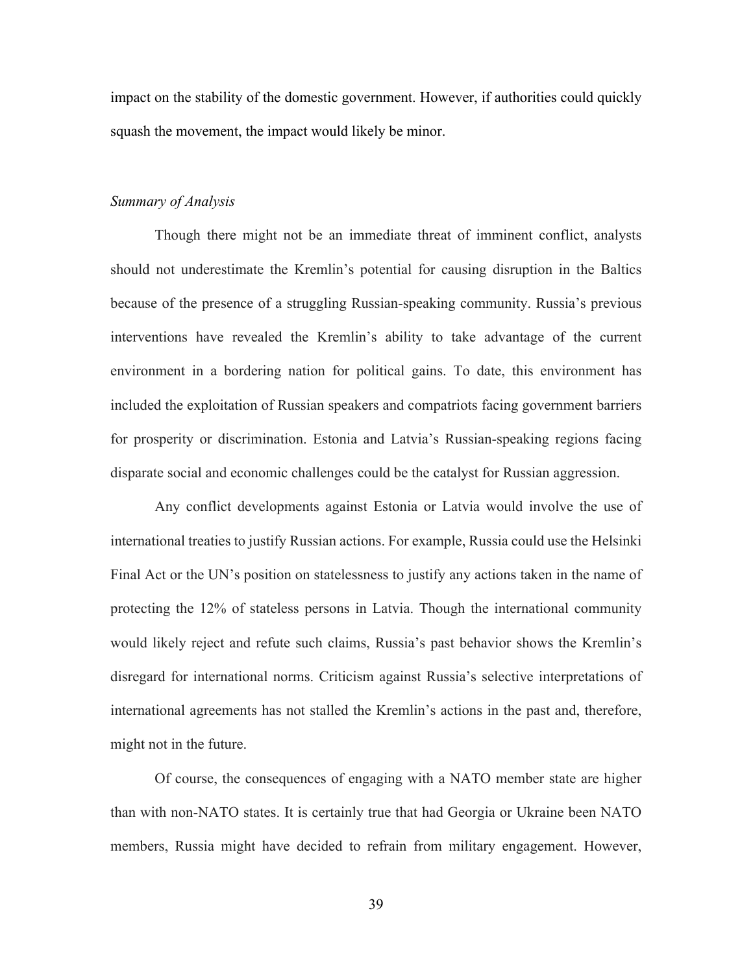impact on the stability of the domestic government. However, if authorities could quickly squash the movement, the impact would likely be minor.

#### *Summary of Analysis*

Though there might not be an immediate threat of imminent conflict, analysts should not underestimate the Kremlin's potential for causing disruption in the Baltics because of the presence of a struggling Russian-speaking community. Russia's previous interventions have revealed the Kremlin's ability to take advantage of the current environment in a bordering nation for political gains. To date, this environment has included the exploitation of Russian speakers and compatriots facing government barriers for prosperity or discrimination. Estonia and Latvia's Russian-speaking regions facing disparate social and economic challenges could be the catalyst for Russian aggression.

Any conflict developments against Estonia or Latvia would involve the use of international treaties to justify Russian actions. For example, Russia could use the Helsinki Final Act or the UN's position on statelessness to justify any actions taken in the name of protecting the 12% of stateless persons in Latvia. Though the international community would likely reject and refute such claims, Russia's past behavior shows the Kremlin's disregard for international norms. Criticism against Russia's selective interpretations of international agreements has not stalled the Kremlin's actions in the past and, therefore, might not in the future.

Of course, the consequences of engaging with a NATO member state are higher than with non-NATO states. It is certainly true that had Georgia or Ukraine been NATO members, Russia might have decided to refrain from military engagement. However,

39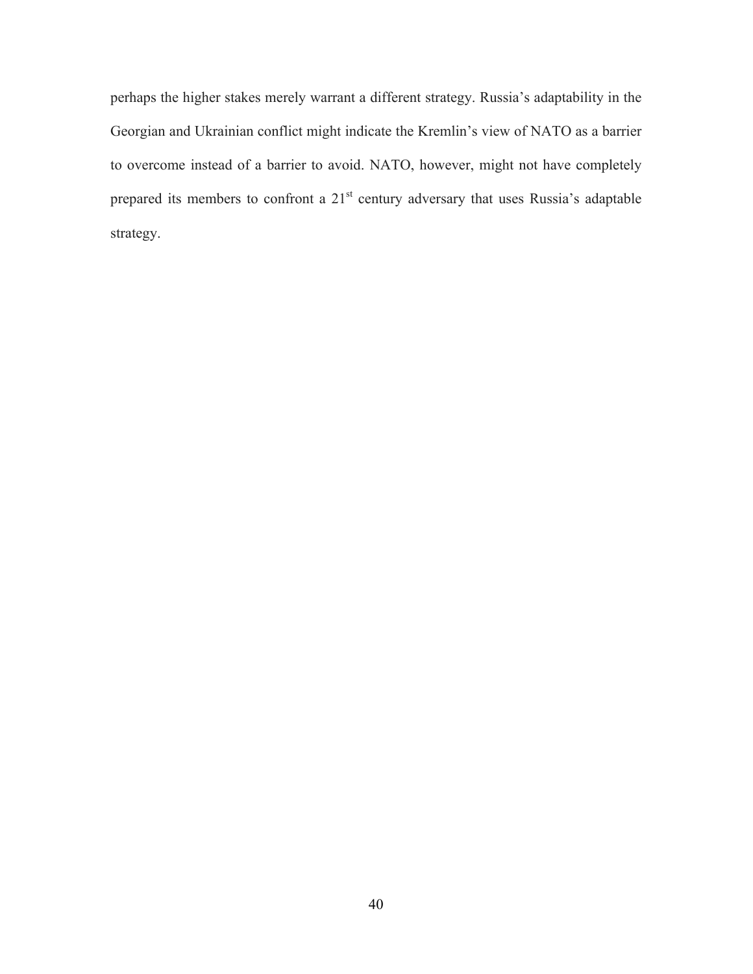perhaps the higher stakes merely warrant a different strategy. Russia's adaptability in the Georgian and Ukrainian conflict might indicate the Kremlin's view of NATO as a barrier to overcome instead of a barrier to avoid. NATO, however, might not have completely prepared its members to confront a 21<sup>st</sup> century adversary that uses Russia's adaptable strategy.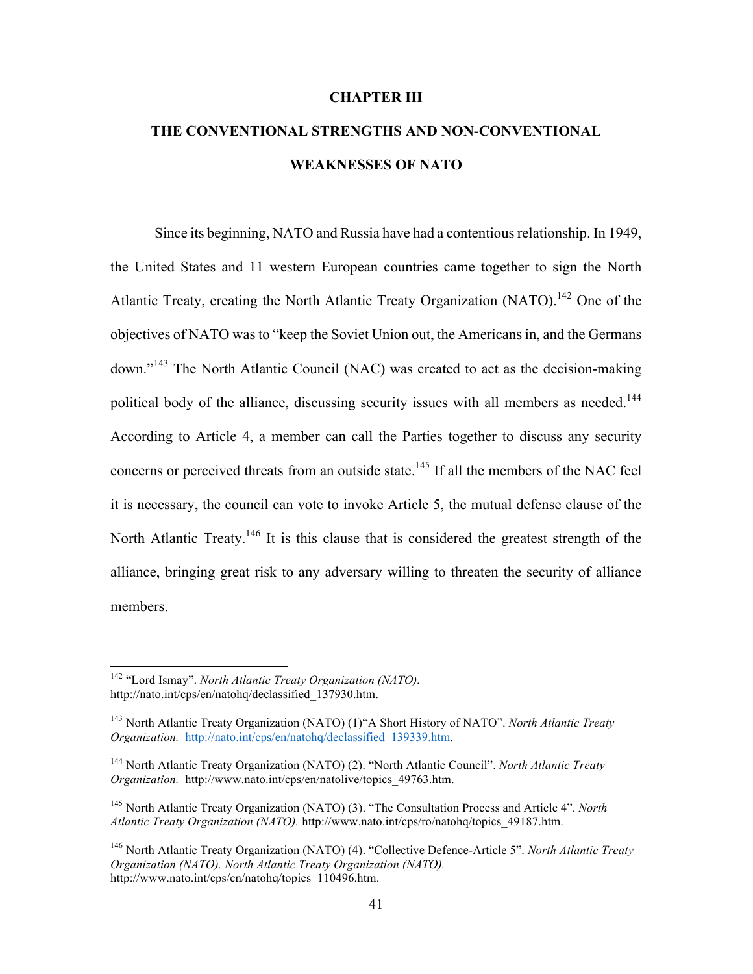#### **CHAPTER III**

# **THE CONVENTIONAL STRENGTHS AND NON-CONVENTIONAL WEAKNESSES OF NATO**

Since its beginning, NATO and Russia have had a contentious relationship. In 1949, the United States and 11 western European countries came together to sign the North Atlantic Treaty, creating the North Atlantic Treaty Organization (NATO).<sup>142</sup> One of the objectives of NATO was to "keep the Soviet Union out, the Americans in, and the Germans down."<sup>143</sup> The North Atlantic Council (NAC) was created to act as the decision-making political body of the alliance, discussing security issues with all members as needed.<sup>144</sup> According to Article 4, a member can call the Parties together to discuss any security concerns or perceived threats from an outside state.<sup>145</sup> If all the members of the NAC feel it is necessary, the council can vote to invoke Article 5, the mutual defense clause of the North Atlantic Treaty.<sup>146</sup> It is this clause that is considered the greatest strength of the alliance, bringing great risk to any adversary willing to threaten the security of alliance members.

 <sup>142</sup> "Lord Ismay". *North Atlantic Treaty Organization (NATO).* http://nato.int/cps/en/natohq/declassified\_137930.htm.

<sup>143</sup> North Atlantic Treaty Organization (NATO) (1)"A Short History of NATO". *North Atlantic Treaty Organization.* http://nato.int/cps/en/natohq/declassified\_139339.htm.

<sup>144</sup> North Atlantic Treaty Organization (NATO) (2). "North Atlantic Council". *North Atlantic Treaty Organization.* http://www.nato.int/cps/en/natolive/topics\_49763.htm.

<sup>145</sup> North Atlantic Treaty Organization (NATO) (3). "The Consultation Process and Article 4". *North Atlantic Treaty Organization (NATO).* http://www.nato.int/cps/ro/natohq/topics\_49187.htm.

<sup>146</sup> North Atlantic Treaty Organization (NATO) (4). "Collective Defence-Article 5". *North Atlantic Treaty Organization (NATO). North Atlantic Treaty Organization (NATO).* http://www.nato.int/cps/cn/natohq/topics\_110496.htm.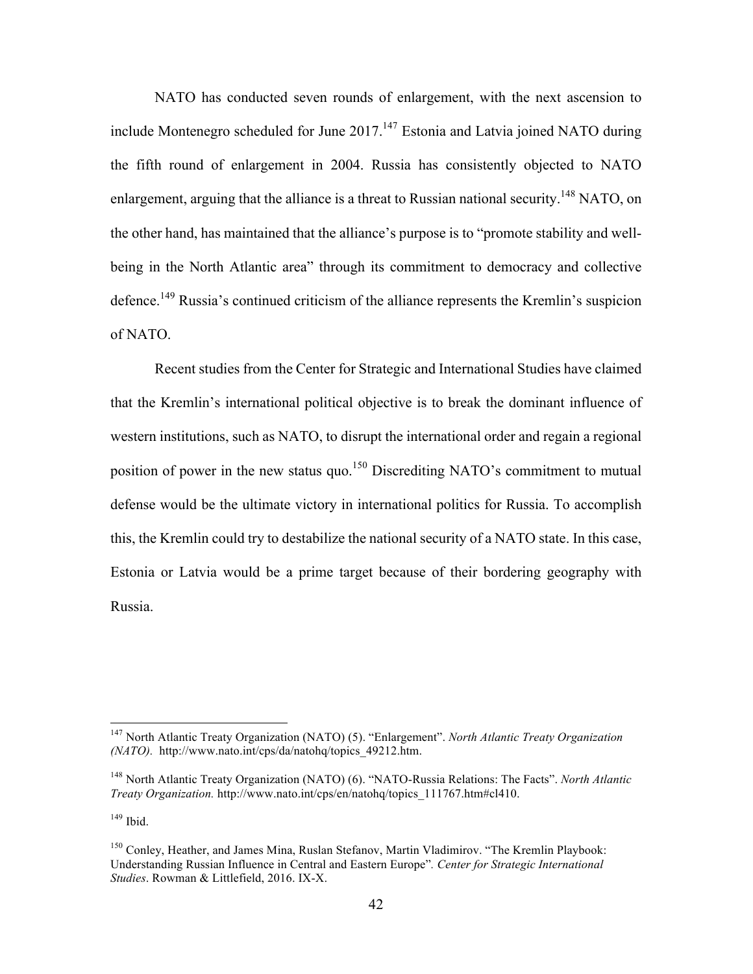NATO has conducted seven rounds of enlargement, with the next ascension to include Montenegro scheduled for June  $2017$ .<sup>147</sup> Estonia and Latvia joined NATO during the fifth round of enlargement in 2004. Russia has consistently objected to NATO enlargement, arguing that the alliance is a threat to Russian national security.<sup>148</sup> NATO, on the other hand, has maintained that the alliance's purpose is to "promote stability and wellbeing in the North Atlantic area" through its commitment to democracy and collective defence.<sup>149</sup> Russia's continued criticism of the alliance represents the Kremlin's suspicion of NATO.

Recent studies from the Center for Strategic and International Studies have claimed that the Kremlin's international political objective is to break the dominant influence of western institutions, such as NATO, to disrupt the international order and regain a regional position of power in the new status quo.<sup>150</sup> Discrediting NATO's commitment to mutual defense would be the ultimate victory in international politics for Russia. To accomplish this, the Kremlin could try to destabilize the national security of a NATO state. In this case, Estonia or Latvia would be a prime target because of their bordering geography with Russia.

 $149$  Ibid.

 <sup>147</sup> North Atlantic Treaty Organization (NATO) (5). "Enlargement". *North Atlantic Treaty Organization (NATO).* http://www.nato.int/cps/da/natohq/topics\_49212.htm.

<sup>148</sup> North Atlantic Treaty Organization (NATO) (6). "NATO-Russia Relations: The Facts". *North Atlantic Treaty Organization.* http://www.nato.int/cps/en/natohq/topics\_111767.htm#cl410.

<sup>&</sup>lt;sup>150</sup> Conley, Heather, and James Mina, Ruslan Stefanov, Martin Vladimirov. "The Kremlin Playbook: Understanding Russian Influence in Central and Eastern Europe"*. Center for Strategic International Studies*. Rowman & Littlefield, 2016. IX-X.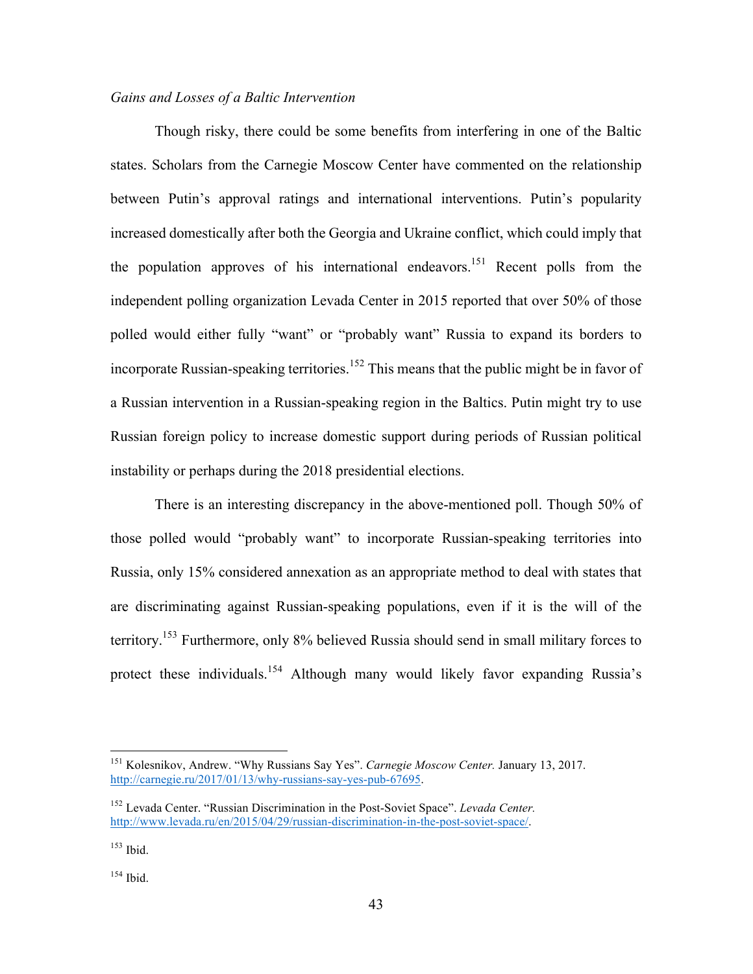## *Gains and Losses of a Baltic Intervention*

Though risky, there could be some benefits from interfering in one of the Baltic states. Scholars from the Carnegie Moscow Center have commented on the relationship between Putin's approval ratings and international interventions. Putin's popularity increased domestically after both the Georgia and Ukraine conflict, which could imply that the population approves of his international endeavors.<sup>151</sup> Recent polls from the independent polling organization Levada Center in 2015 reported that over 50% of those polled would either fully "want" or "probably want" Russia to expand its borders to incorporate Russian-speaking territories.<sup>152</sup> This means that the public might be in favor of a Russian intervention in a Russian-speaking region in the Baltics. Putin might try to use Russian foreign policy to increase domestic support during periods of Russian political instability or perhaps during the 2018 presidential elections.

There is an interesting discrepancy in the above-mentioned poll. Though 50% of those polled would "probably want" to incorporate Russian-speaking territories into Russia, only 15% considered annexation as an appropriate method to deal with states that are discriminating against Russian-speaking populations, even if it is the will of the territory.153 Furthermore, only 8% believed Russia should send in small military forces to protect these individuals.<sup>154</sup> Although many would likely favor expanding Russia's

 <sup>151</sup> Kolesnikov, Andrew. "Why Russians Say Yes". *Carnegie Moscow Center.* January 13, 2017. http://carnegie.ru/2017/01/13/why-russians-say-yes-pub-67695.

<sup>152</sup> Levada Center. "Russian Discrimination in the Post-Soviet Space". *Levada Center.* http://www.levada.ru/en/2015/04/29/russian-discrimination-in-the-post-soviet-space/.

 $153$  Ibid.

<sup>154</sup> Ibid.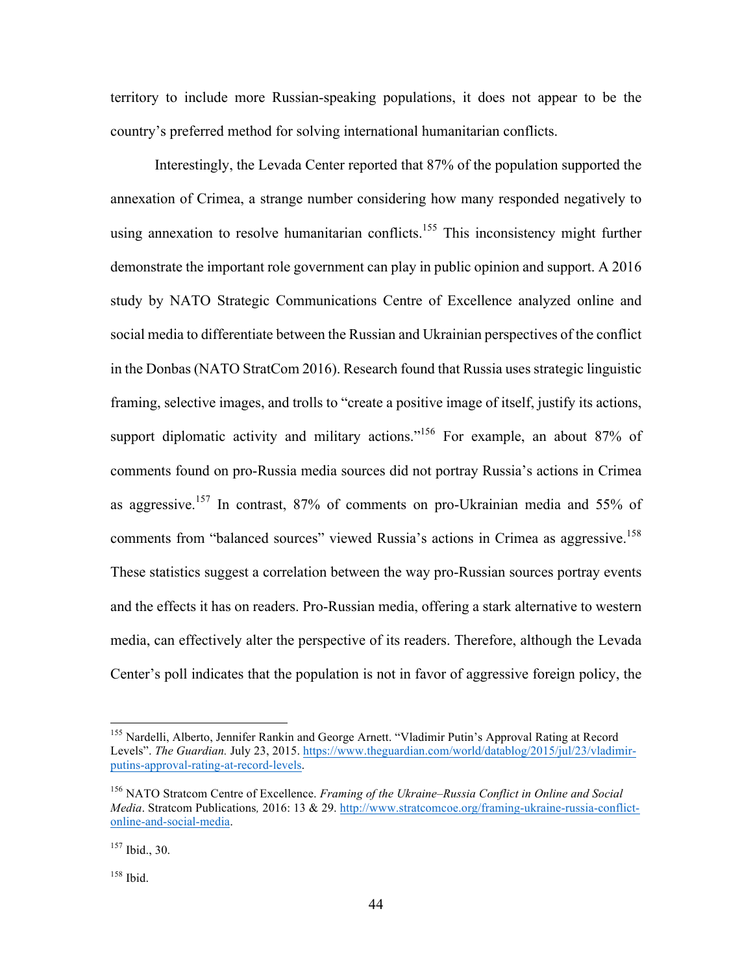territory to include more Russian-speaking populations, it does not appear to be the country's preferred method for solving international humanitarian conflicts.

Interestingly, the Levada Center reported that 87% of the population supported the annexation of Crimea, a strange number considering how many responded negatively to using annexation to resolve humanitarian conflicts.<sup>155</sup> This inconsistency might further demonstrate the important role government can play in public opinion and support. A 2016 study by NATO Strategic Communications Centre of Excellence analyzed online and social media to differentiate between the Russian and Ukrainian perspectives of the conflict in the Donbas (NATO StratCom 2016). Research found that Russia uses strategic linguistic framing, selective images, and trolls to "create a positive image of itself, justify its actions, support diplomatic activity and military actions."<sup>156</sup> For example, an about 87% of comments found on pro-Russia media sources did not portray Russia's actions in Crimea as aggressive.<sup>157</sup> In contrast, 87% of comments on pro-Ukrainian media and 55% of comments from "balanced sources" viewed Russia's actions in Crimea as aggressive.<sup>158</sup> These statistics suggest a correlation between the way pro-Russian sources portray events and the effects it has on readers. Pro-Russian media, offering a stark alternative to western media, can effectively alter the perspective of its readers. Therefore, although the Levada Center's poll indicates that the population is not in favor of aggressive foreign policy, the

<sup>&</sup>lt;sup>155</sup> Nardelli, Alberto, Jennifer Rankin and George Arnett. "Vladimir Putin's Approval Rating at Record Levels". The Guardian. July 23, 2015. https://www.theguardian.com/world/datablog/2015/jul/23/vladimirputins-approval-rating-at-record-levels.

<sup>156</sup> NATO Stratcom Centre of Excellence. *Framing of the Ukraine–Russia Conflict in Online and Social Media*. Stratcom Publications*,* 2016: 13 & 29. http://www.stratcomcoe.org/framing-ukraine-russia-conflictonline-and-social-media.

<sup>157</sup> Ibid., 30.

<sup>158</sup> Ibid.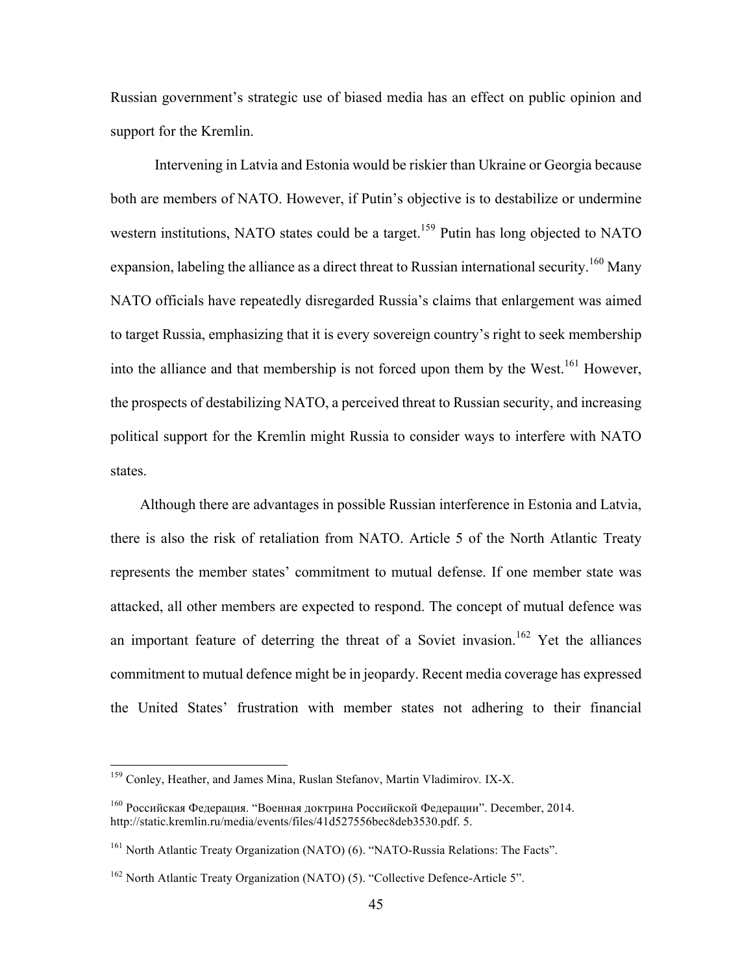Russian government's strategic use of biased media has an effect on public opinion and support for the Kremlin.

Intervening in Latvia and Estonia would be riskier than Ukraine or Georgia because both are members of NATO. However, if Putin's objective is to destabilize or undermine western institutions, NATO states could be a target.<sup>159</sup> Putin has long objected to NATO expansion, labeling the alliance as a direct threat to Russian international security.<sup>160</sup> Many NATO officials have repeatedly disregarded Russia's claims that enlargement was aimed to target Russia, emphasizing that it is every sovereign country's right to seek membership into the alliance and that membership is not forced upon them by the West.<sup>161</sup> However, the prospects of destabilizing NATO, a perceived threat to Russian security, and increasing political support for the Kremlin might Russia to consider ways to interfere with NATO states.

 Although there are advantages in possible Russian interference in Estonia and Latvia, there is also the risk of retaliation from NATO. Article 5 of the North Atlantic Treaty represents the member states' commitment to mutual defense. If one member state was attacked, all other members are expected to respond. The concept of mutual defence was an important feature of deterring the threat of a Soviet invasion.<sup>162</sup> Yet the alliances commitment to mutual defence might be in jeopardy. Recent media coverage has expressed the United States' frustration with member states not adhering to their financial

 <sup>159</sup> Conley, Heather, and James Mina, Ruslan Stefanov, Martin Vladimirov*.* IX-X.

<sup>160</sup> Российская Федерация. "Военная доктрина Российской Федерации". December, 2014. http://static.kremlin.ru/media/events/files/41d527556bec8deb3530.pdf. 5.

<sup>161</sup> North Atlantic Treaty Organization (NATO) (6). "NATO-Russia Relations: The Facts".

<sup>&</sup>lt;sup>162</sup> North Atlantic Treaty Organization (NATO) (5). "Collective Defence-Article 5".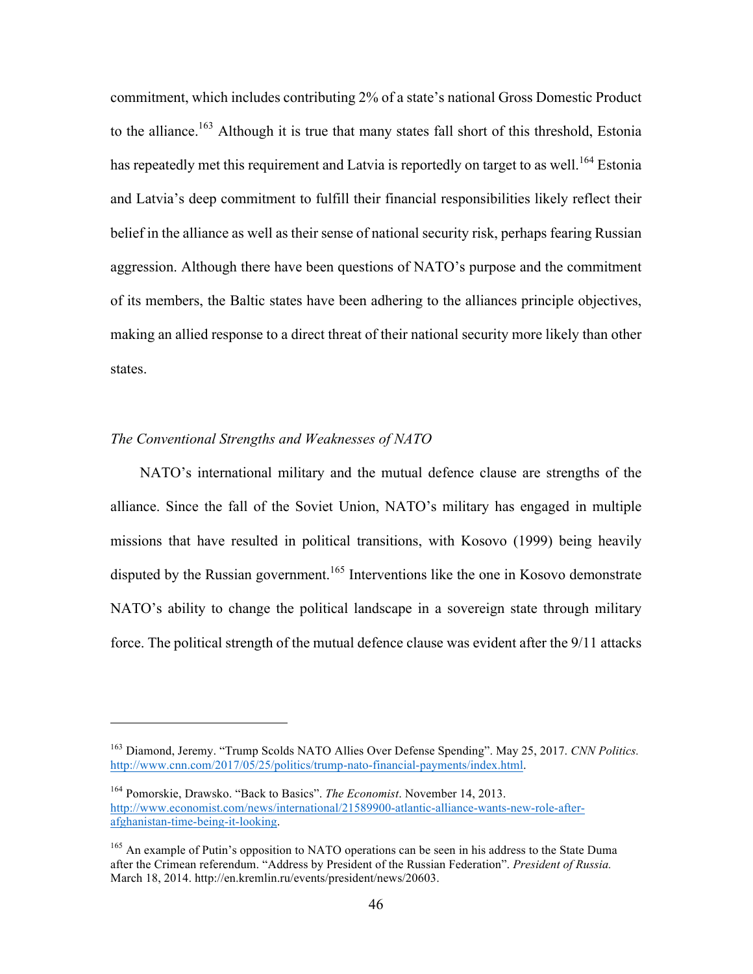commitment, which includes contributing 2% of a state's national Gross Domestic Product to the alliance.<sup>163</sup> Although it is true that many states fall short of this threshold, Estonia has repeatedly met this requirement and Latvia is reportedly on target to as well.<sup>164</sup> Estonia and Latvia's deep commitment to fulfill their financial responsibilities likely reflect their belief in the alliance as well as their sense of national security risk, perhaps fearing Russian aggression. Although there have been questions of NATO's purpose and the commitment of its members, the Baltic states have been adhering to the alliances principle objectives, making an allied response to a direct threat of their national security more likely than other states.

## *The Conventional Strengths and Weaknesses of NATO*

 $\overline{a}$ 

 NATO's international military and the mutual defence clause are strengths of the alliance. Since the fall of the Soviet Union, NATO's military has engaged in multiple missions that have resulted in political transitions, with Kosovo (1999) being heavily disputed by the Russian government.<sup>165</sup> Interventions like the one in Kosovo demonstrate NATO's ability to change the political landscape in a sovereign state through military force. The political strength of the mutual defence clause was evident after the 9/11 attacks

<sup>163</sup> Diamond, Jeremy. "Trump Scolds NATO Allies Over Defense Spending". May 25, 2017. *CNN Politics.*  http://www.cnn.com/2017/05/25/politics/trump-nato-financial-payments/index.html.

<sup>164</sup> Pomorskie, Drawsko. "Back to Basics". *The Economist*. November 14, 2013. http://www.economist.com/news/international/21589900-atlantic-alliance-wants-new-role-afterafghanistan-time-being-it-looking.

<sup>&</sup>lt;sup>165</sup> An example of Putin's opposition to NATO operations can be seen in his address to the State Duma after the Crimean referendum. "Address by President of the Russian Federation". *President of Russia.*  March 18, 2014. http://en.kremlin.ru/events/president/news/20603.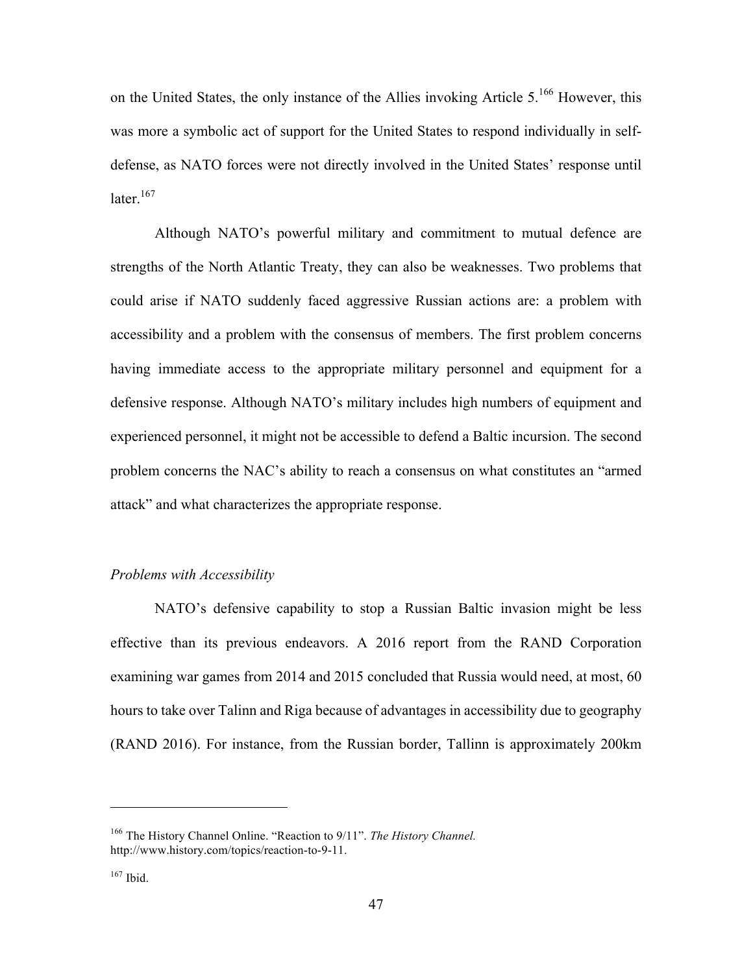on the United States, the only instance of the Allies invoking Article  $5.^{166}$  However, this was more a symbolic act of support for the United States to respond individually in selfdefense, as NATO forces were not directly involved in the United States' response until later.<sup>167</sup>

Although NATO's powerful military and commitment to mutual defence are strengths of the North Atlantic Treaty, they can also be weaknesses. Two problems that could arise if NATO suddenly faced aggressive Russian actions are: a problem with accessibility and a problem with the consensus of members. The first problem concerns having immediate access to the appropriate military personnel and equipment for a defensive response. Although NATO's military includes high numbers of equipment and experienced personnel, it might not be accessible to defend a Baltic incursion. The second problem concerns the NAC's ability to reach a consensus on what constitutes an "armed attack" and what characterizes the appropriate response.

# *Problems with Accessibility*

NATO's defensive capability to stop a Russian Baltic invasion might be less effective than its previous endeavors. A 2016 report from the RAND Corporation examining war games from 2014 and 2015 concluded that Russia would need, at most, 60 hours to take over Talinn and Riga because of advantages in accessibility due to geography (RAND 2016). For instance, from the Russian border, Tallinn is approximately 200km

<sup>166</sup> The History Channel Online. "Reaction to 9/11". *The History Channel.* http://www.history.com/topics/reaction-to-9-11.

 $167$  Ibid.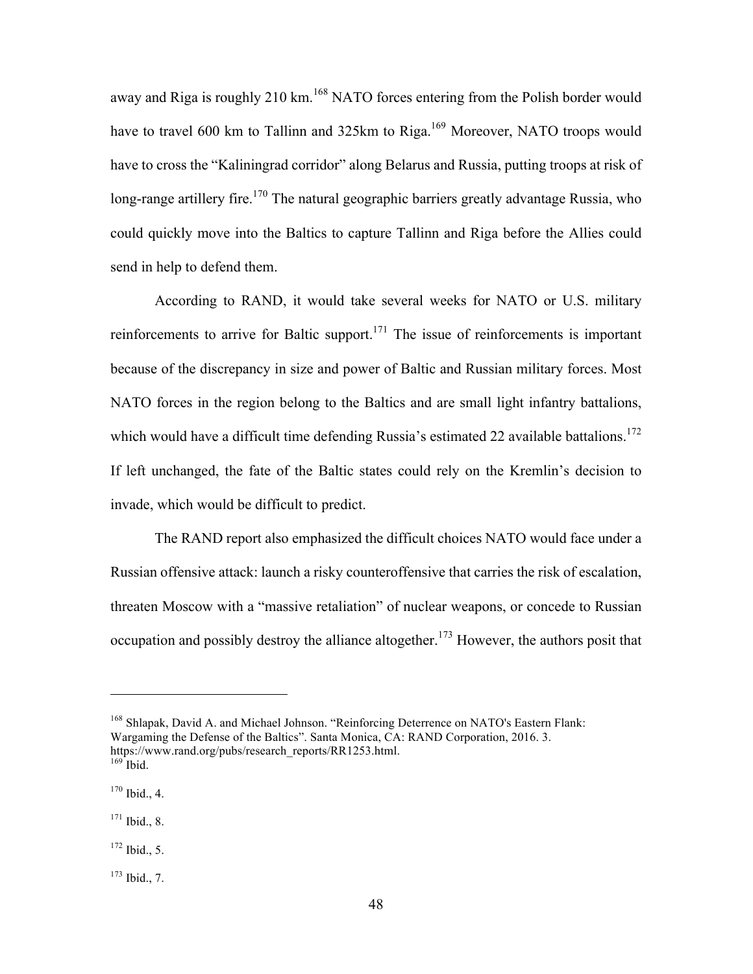away and Riga is roughly 210 km.<sup>168</sup> NATO forces entering from the Polish border would have to travel 600 km to Tallinn and 325km to Riga.<sup>169</sup> Moreover, NATO troops would have to cross the "Kaliningrad corridor" along Belarus and Russia, putting troops at risk of long-range artillery fire.<sup>170</sup> The natural geographic barriers greatly advantage Russia, who could quickly move into the Baltics to capture Tallinn and Riga before the Allies could send in help to defend them.

According to RAND, it would take several weeks for NATO or U.S. military reinforcements to arrive for Baltic support.<sup>171</sup> The issue of reinforcements is important because of the discrepancy in size and power of Baltic and Russian military forces. Most NATO forces in the region belong to the Baltics and are small light infantry battalions, which would have a difficult time defending Russia's estimated 22 available battalions.<sup>172</sup> If left unchanged, the fate of the Baltic states could rely on the Kremlin's decision to invade, which would be difficult to predict.

The RAND report also emphasized the difficult choices NATO would face under a Russian offensive attack: launch a risky counteroffensive that carries the risk of escalation, threaten Moscow with a "massive retaliation" of nuclear weapons, or concede to Russian occupation and possibly destroy the alliance altogether.<sup>173</sup> However, the authors posit that

<sup>168</sup> Shlapak, David A. and Michael Johnson. "Reinforcing Deterrence on NATO's Eastern Flank: Wargaming the Defense of the Baltics". Santa Monica, CA: RAND Corporation, 2016. 3. https://www.rand.org/pubs/research\_reports/RR1253.html. <sup>169</sup> Ibid.

 $170$  Ibid., 4.

<sup>171</sup> Ibid., 8.

 $172$  Ibid., 5.

 $173$  Ibid., 7.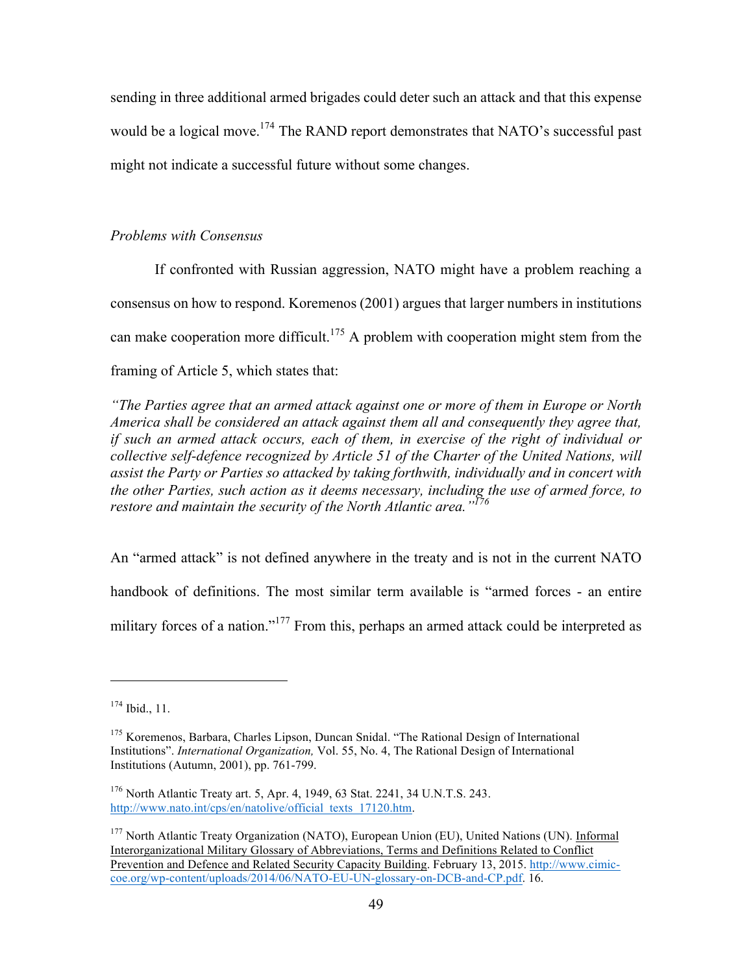sending in three additional armed brigades could deter such an attack and that this expense would be a logical move.<sup>174</sup> The RAND report demonstrates that NATO's successful past might not indicate a successful future without some changes.

## *Problems with Consensus*

If confronted with Russian aggression, NATO might have a problem reaching a consensus on how to respond. Koremenos (2001) argues that larger numbers in institutions can make cooperation more difficult.<sup>175</sup> A problem with cooperation might stem from the framing of Article 5, which states that:

*"The Parties agree that an armed attack against one or more of them in Europe or North America shall be considered an attack against them all and consequently they agree that, if such an armed attack occurs, each of them, in exercise of the right of individual or collective self-defence recognized by Article 51 of the Charter of the United Nations, will assist the Party or Parties so attacked by taking forthwith, individually and in concert with the other Parties, such action as it deems necessary, including the use of armed force, to restore and maintain the security of the North Atlantic area."176*

An "armed attack" is not defined anywhere in the treaty and is not in the current NATO handbook of definitions. The most similar term available is "armed forces - an entire military forces of a nation."<sup>177</sup> From this, perhaps an armed attack could be interpreted as

<sup>174</sup> Ibid., 11.

<sup>&</sup>lt;sup>175</sup> Koremenos, Barbara, Charles Lipson, Duncan Snidal. "The Rational Design of International Institutions". *International Organization,* Vol. 55, No. 4, The Rational Design of International Institutions (Autumn, 2001), pp. 761-799.

<sup>176</sup> North Atlantic Treaty art. 5, Apr. 4, 1949, 63 Stat. 2241, 34 U.N.T.S. 243. http://www.nato.int/cps/en/natolive/official\_texts\_17120.htm.

<sup>&</sup>lt;sup>177</sup> North Atlantic Treaty Organization (NATO), European Union (EU), United Nations (UN). Informal Interorganizational Military Glossary of Abbreviations, Terms and Definitions Related to Conflict Prevention and Defence and Related Security Capacity Building. February 13, 2015. http://www.cimiccoe.org/wp-content/uploads/2014/06/NATO-EU-UN-glossary-on-DCB-and-CP.pdf. 16.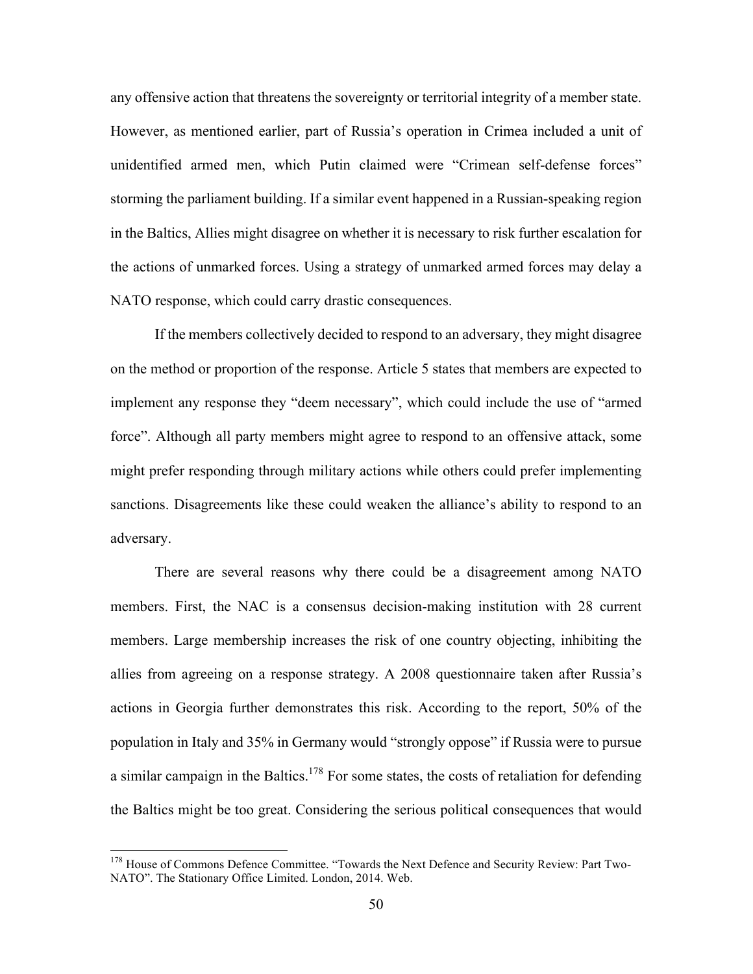any offensive action that threatens the sovereignty or territorial integrity of a member state. However, as mentioned earlier, part of Russia's operation in Crimea included a unit of unidentified armed men, which Putin claimed were "Crimean self-defense forces" storming the parliament building. If a similar event happened in a Russian-speaking region in the Baltics, Allies might disagree on whether it is necessary to risk further escalation for the actions of unmarked forces. Using a strategy of unmarked armed forces may delay a NATO response, which could carry drastic consequences.

If the members collectively decided to respond to an adversary, they might disagree on the method or proportion of the response. Article 5 states that members are expected to implement any response they "deem necessary", which could include the use of "armed force". Although all party members might agree to respond to an offensive attack, some might prefer responding through military actions while others could prefer implementing sanctions. Disagreements like these could weaken the alliance's ability to respond to an adversary.

There are several reasons why there could be a disagreement among NATO members. First, the NAC is a consensus decision-making institution with 28 current members. Large membership increases the risk of one country objecting, inhibiting the allies from agreeing on a response strategy. A 2008 questionnaire taken after Russia's actions in Georgia further demonstrates this risk. According to the report, 50% of the population in Italy and 35% in Germany would "strongly oppose" if Russia were to pursue a similar campaign in the Baltics.<sup>178</sup> For some states, the costs of retaliation for defending the Baltics might be too great. Considering the serious political consequences that would

<sup>&</sup>lt;sup>178</sup> House of Commons Defence Committee. "Towards the Next Defence and Security Review: Part Two-NATO". The Stationary Office Limited. London, 2014. Web.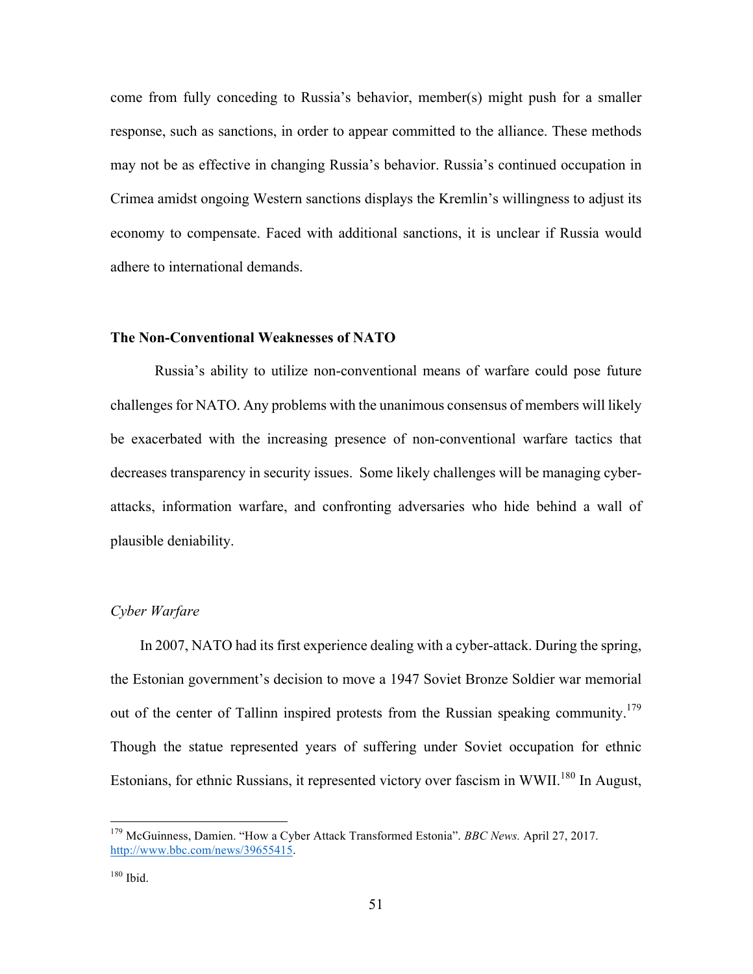come from fully conceding to Russia's behavior, member(s) might push for a smaller response, such as sanctions, in order to appear committed to the alliance. These methods may not be as effective in changing Russia's behavior. Russia's continued occupation in Crimea amidst ongoing Western sanctions displays the Kremlin's willingness to adjust its economy to compensate. Faced with additional sanctions, it is unclear if Russia would adhere to international demands.

### **The Non-Conventional Weaknesses of NATO**

Russia's ability to utilize non-conventional means of warfare could pose future challenges for NATO. Any problems with the unanimous consensus of members will likely be exacerbated with the increasing presence of non-conventional warfare tactics that decreases transparency in security issues. Some likely challenges will be managing cyberattacks, information warfare, and confronting adversaries who hide behind a wall of plausible deniability.

## *Cyber Warfare*

 In 2007, NATO had its first experience dealing with a cyber-attack. During the spring, the Estonian government's decision to move a 1947 Soviet Bronze Soldier war memorial out of the center of Tallinn inspired protests from the Russian speaking community.<sup>179</sup> Though the statue represented years of suffering under Soviet occupation for ethnic Estonians, for ethnic Russians, it represented victory over fascism in WWII.<sup>180</sup> In August,

 <sup>179</sup> McGuinness, Damien. "How a Cyber Attack Transformed Estonia". *BBC News.* April 27, 2017. http://www.bbc.com/news/39655415.

 $180$  Ibid.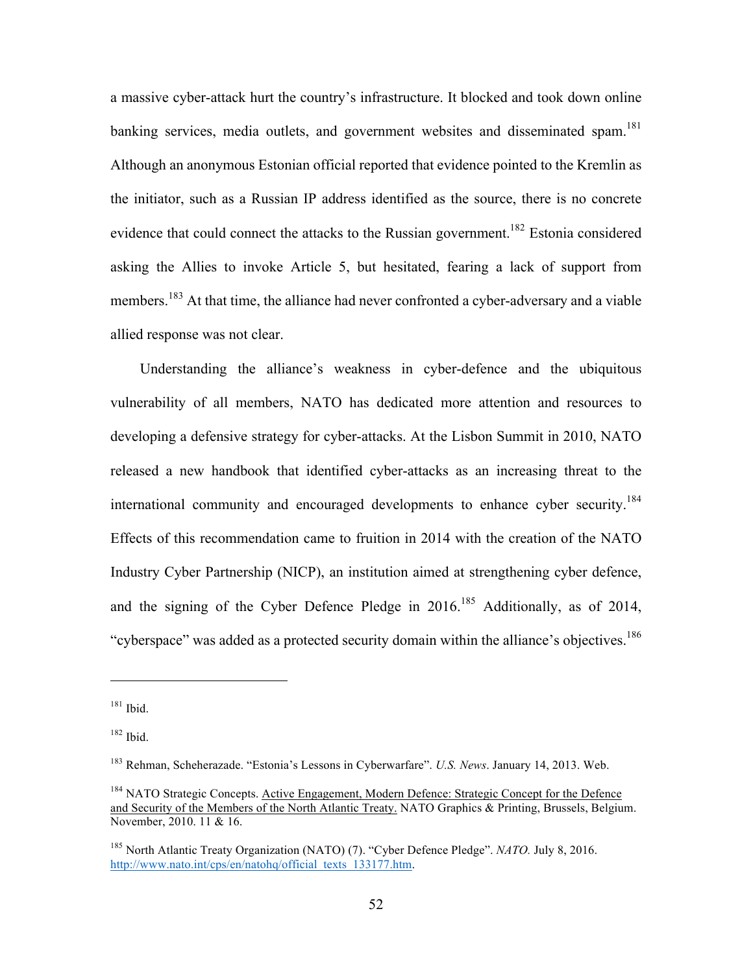a massive cyber-attack hurt the country's infrastructure. It blocked and took down online banking services, media outlets, and government websites and disseminated spam.<sup>181</sup> Although an anonymous Estonian official reported that evidence pointed to the Kremlin as the initiator, such as a Russian IP address identified as the source, there is no concrete evidence that could connect the attacks to the Russian government.<sup>182</sup> Estonia considered asking the Allies to invoke Article 5, but hesitated, fearing a lack of support from members.<sup>183</sup> At that time, the alliance had never confronted a cyber-adversary and a viable allied response was not clear.

 Understanding the alliance's weakness in cyber-defence and the ubiquitous vulnerability of all members, NATO has dedicated more attention and resources to developing a defensive strategy for cyber-attacks. At the Lisbon Summit in 2010, NATO released a new handbook that identified cyber-attacks as an increasing threat to the international community and encouraged developments to enhance cyber security.<sup>184</sup> Effects of this recommendation came to fruition in 2014 with the creation of the NATO Industry Cyber Partnership (NICP), an institution aimed at strengthening cyber defence, and the signing of the Cyber Defence Pledge in  $2016$ <sup>185</sup> Additionally, as of 2014, "cyberspace" was added as a protected security domain within the alliance's objectives.<sup>186</sup>

 $181$  Ibid.

 $182$  Ibid.

<sup>183</sup> Rehman, Scheherazade. "Estonia's Lessons in Cyberwarfare". *U.S. News*. January 14, 2013. Web.

<sup>&</sup>lt;sup>184</sup> NATO Strategic Concepts. Active Engagement, Modern Defence: Strategic Concept for the Defence and Security of the Members of the North Atlantic Treaty. NATO Graphics & Printing, Brussels, Belgium. November, 2010. 11 & 16.

<sup>185</sup> North Atlantic Treaty Organization (NATO) (7). "Cyber Defence Pledge". *NATO.* July 8, 2016. http://www.nato.int/cps/en/natohq/official\_texts\_133177.htm.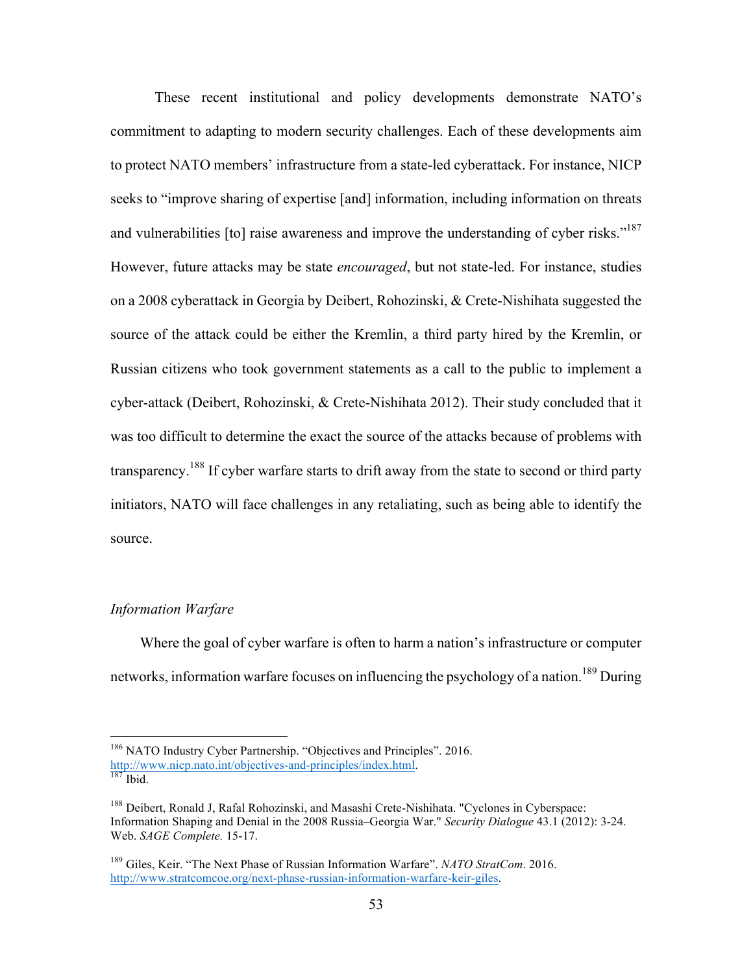These recent institutional and policy developments demonstrate NATO's commitment to adapting to modern security challenges. Each of these developments aim to protect NATO members' infrastructure from a state-led cyberattack. For instance, NICP seeks to "improve sharing of expertise [and] information, including information on threats and vulnerabilities [to] raise awareness and improve the understanding of cyber risks."<sup>187</sup> However, future attacks may be state *encouraged*, but not state-led. For instance, studies on a 2008 cyberattack in Georgia by Deibert, Rohozinski, & Crete-Nishihata suggested the source of the attack could be either the Kremlin, a third party hired by the Kremlin, or Russian citizens who took government statements as a call to the public to implement a cyber-attack (Deibert, Rohozinski, & Crete-Nishihata 2012). Their study concluded that it was too difficult to determine the exact the source of the attacks because of problems with transparency.<sup>188</sup> If cyber warfare starts to drift away from the state to second or third party initiators, NATO will face challenges in any retaliating, such as being able to identify the source.

# *Information Warfare*

 Where the goal of cyber warfare is often to harm a nation's infrastructure or computer networks, information warfare focuses on influencing the psychology of a nation.<sup>189</sup> During

<sup>&</sup>lt;sup>186</sup> NATO Industry Cyber Partnership. "Objectives and Principles". 2016. http://www.nicp.nato.int/objectives-and-principles/index.html.<br><sup>187</sup> Ibid.

<sup>&</sup>lt;sup>188</sup> Deibert, Ronald J, Rafal Rohozinski, and Masashi Crete-Nishihata. "Cyclones in Cyberspace: Information Shaping and Denial in the 2008 Russia–Georgia War." *Security Dialogue* 43.1 (2012): 3-24. Web. *SAGE Complete.* 15-17.

<sup>189</sup> Giles, Keir. "The Next Phase of Russian Information Warfare". *NATO StratCom*. 2016. http://www.stratcomcoe.org/next-phase-russian-information-warfare-keir-giles.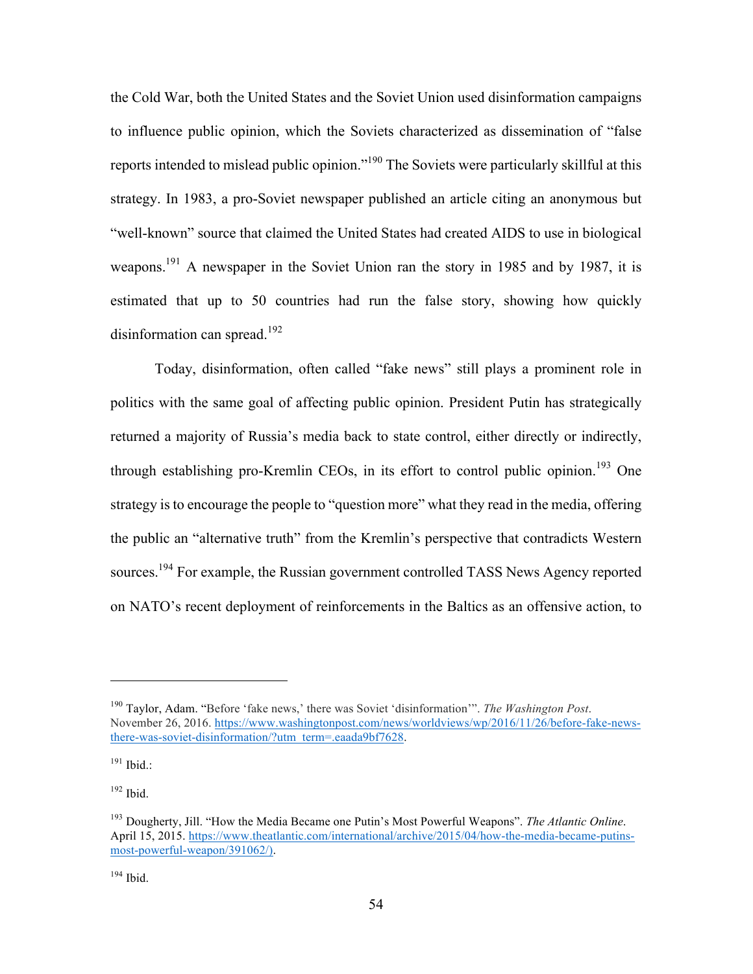the Cold War, both the United States and the Soviet Union used disinformation campaigns to influence public opinion, which the Soviets characterized as dissemination of "false reports intended to mislead public opinion."<sup>190</sup> The Soviets were particularly skillful at this strategy. In 1983, a pro-Soviet newspaper published an article citing an anonymous but "well-known" source that claimed the United States had created AIDS to use in biological weapons.<sup>191</sup> A newspaper in the Soviet Union ran the story in 1985 and by 1987, it is estimated that up to 50 countries had run the false story, showing how quickly disinformation can spread.<sup>192</sup>

Today, disinformation, often called "fake news" still plays a prominent role in politics with the same goal of affecting public opinion. President Putin has strategically returned a majority of Russia's media back to state control, either directly or indirectly, through establishing pro-Kremlin CEOs, in its effort to control public opinion.<sup>193</sup> One strategy is to encourage the people to "question more" what they read in the media, offering the public an "alternative truth" from the Kremlin's perspective that contradicts Western sources.<sup>194</sup> For example, the Russian government controlled TASS News Agency reported on NATO's recent deployment of reinforcements in the Baltics as an offensive action, to

<sup>191</sup> Ibid.:

 $\overline{a}$ 

 $192$  Ibid.

 $194$  Ibid.

<sup>190</sup> Taylor, Adam. "Before 'fake news,' there was Soviet 'disinformation'". *The Washington Post*. November 26, 2016. https://www.washingtonpost.com/news/worldviews/wp/2016/11/26/before-fake-newsthere-was-soviet-disinformation/?utm\_term=.eaada9bf7628.

<sup>193</sup> Dougherty, Jill. "How the Media Became one Putin's Most Powerful Weapons". *The Atlantic Online*. April 15, 2015. https://www.theatlantic.com/international/archive/2015/04/how-the-media-became-putinsmost-powerful-weapon/391062/).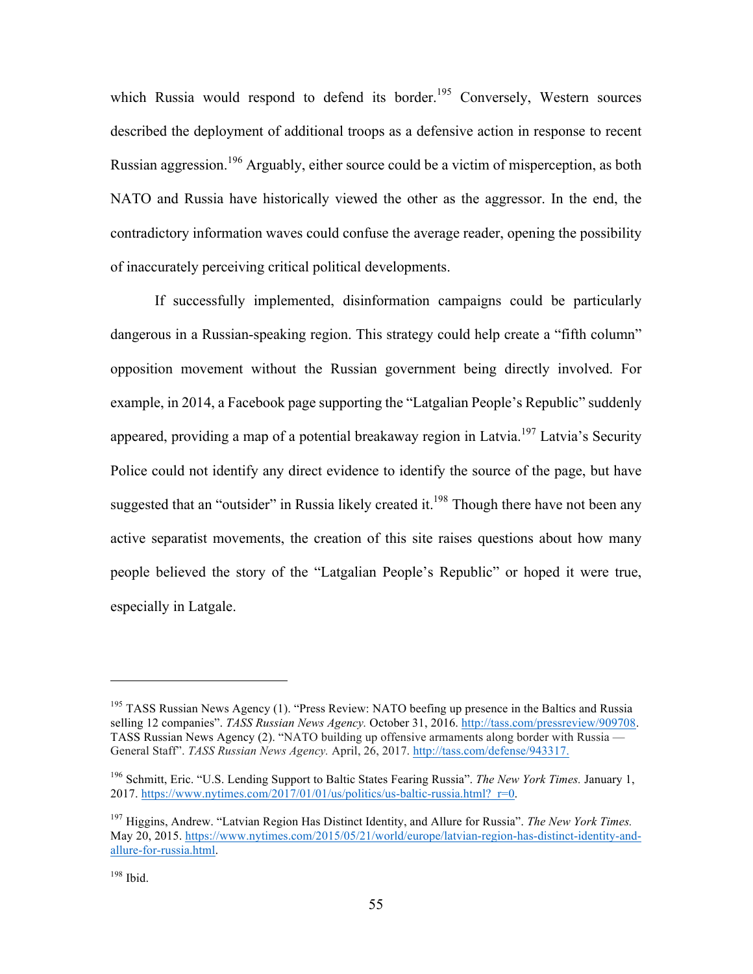which Russia would respond to defend its border.<sup>195</sup> Conversely, Western sources described the deployment of additional troops as a defensive action in response to recent Russian aggression.<sup>196</sup> Arguably, either source could be a victim of misperception, as both NATO and Russia have historically viewed the other as the aggressor. In the end, the contradictory information waves could confuse the average reader, opening the possibility of inaccurately perceiving critical political developments.

If successfully implemented, disinformation campaigns could be particularly dangerous in a Russian-speaking region. This strategy could help create a "fifth column" opposition movement without the Russian government being directly involved. For example, in 2014, a Facebook page supporting the "Latgalian People's Republic" suddenly appeared, providing a map of a potential breakaway region in Latvia.<sup>197</sup> Latvia's Security Police could not identify any direct evidence to identify the source of the page, but have suggested that an "outsider" in Russia likely created it.<sup>198</sup> Though there have not been any active separatist movements, the creation of this site raises questions about how many people believed the story of the "Latgalian People's Republic" or hoped it were true, especially in Latgale.

<sup>&</sup>lt;sup>195</sup> TASS Russian News Agency (1). "Press Review: NATO beefing up presence in the Baltics and Russia selling 12 companies". *TASS Russian News Agency.* October 31, 2016. http://tass.com/pressreview/909708. TASS Russian News Agency (2). "NATO building up offensive armaments along border with Russia — General Staff". *TASS Russian News Agency.* April, 26, 2017. http://tass.com/defense/943317.

<sup>196</sup> Schmitt, Eric. "U.S. Lending Support to Baltic States Fearing Russia". *The New York Times.* January 1, 2017. https://www.nytimes.com/2017/01/01/us/politics/us-baltic-russia.html? $r=0$ .

<sup>197</sup> Higgins, Andrew. "Latvian Region Has Distinct Identity, and Allure for Russia". *The New York Times.* May 20, 2015. https://www.nytimes.com/2015/05/21/world/europe/latvian-region-has-distinct-identity-andallure-for-russia.html.

 $198$  Ibid.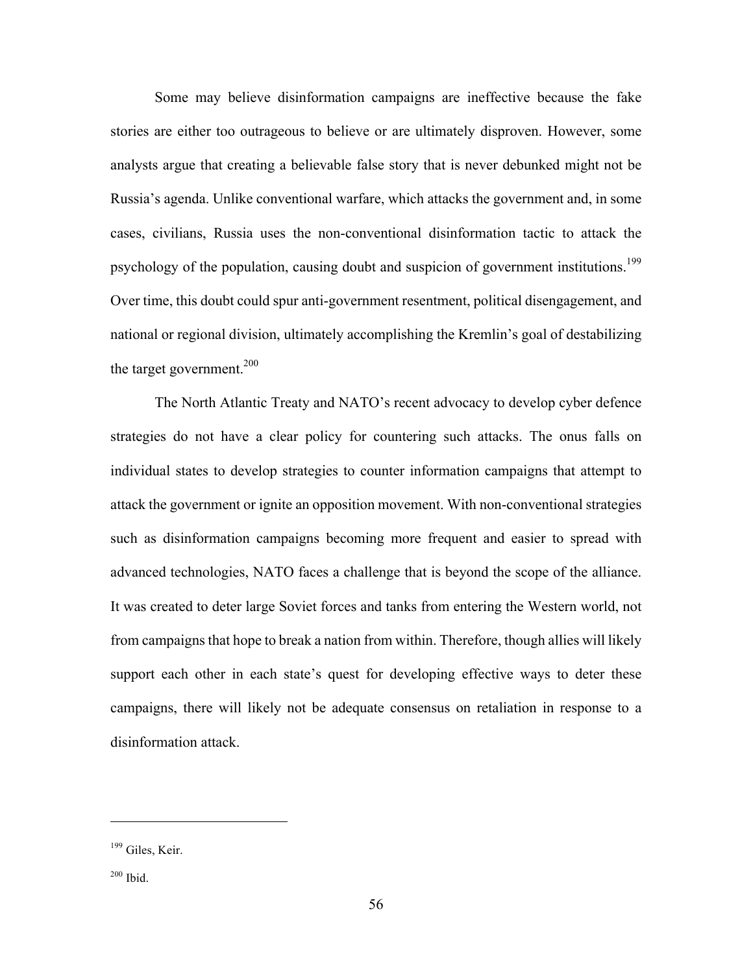Some may believe disinformation campaigns are ineffective because the fake stories are either too outrageous to believe or are ultimately disproven. However, some analysts argue that creating a believable false story that is never debunked might not be Russia's agenda. Unlike conventional warfare, which attacks the government and, in some cases, civilians, Russia uses the non-conventional disinformation tactic to attack the psychology of the population, causing doubt and suspicion of government institutions.<sup>199</sup> Over time, this doubt could spur anti-government resentment, political disengagement, and national or regional division, ultimately accomplishing the Kremlin's goal of destabilizing the target government. 200

The North Atlantic Treaty and NATO's recent advocacy to develop cyber defence strategies do not have a clear policy for countering such attacks. The onus falls on individual states to develop strategies to counter information campaigns that attempt to attack the government or ignite an opposition movement. With non-conventional strategies such as disinformation campaigns becoming more frequent and easier to spread with advanced technologies, NATO faces a challenge that is beyond the scope of the alliance. It was created to deter large Soviet forces and tanks from entering the Western world, not from campaigns that hope to break a nation from within. Therefore, though allies will likely support each other in each state's quest for developing effective ways to deter these campaigns, there will likely not be adequate consensus on retaliation in response to a disinformation attack.

<sup>&</sup>lt;sup>199</sup> Giles, Keir.

<sup>200</sup> Ibid.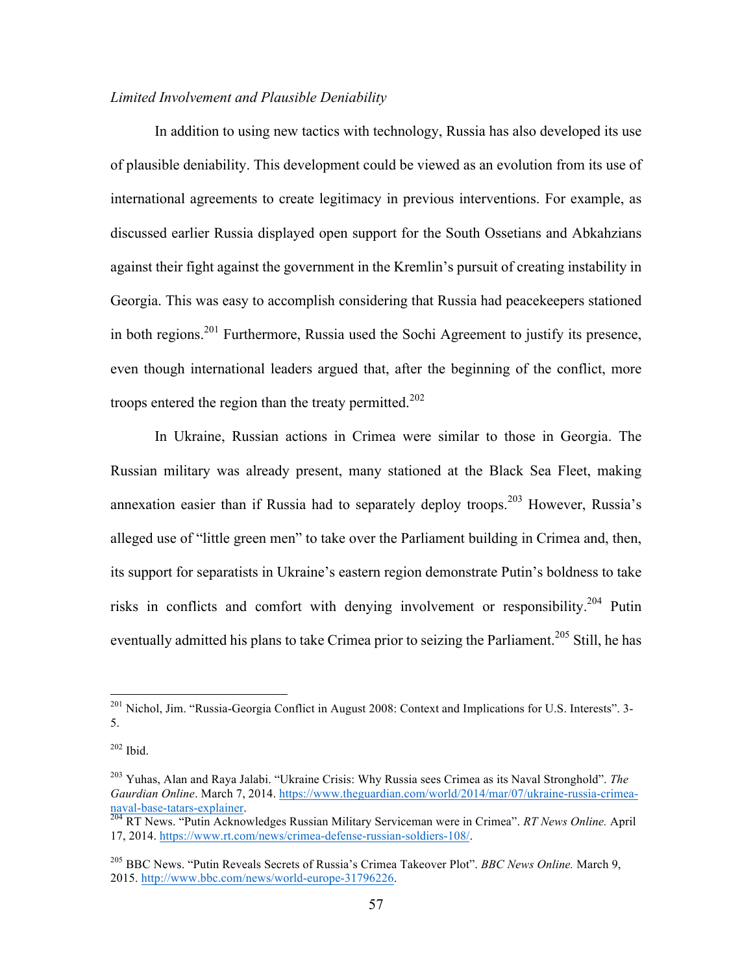## *Limited Involvement and Plausible Deniability*

In addition to using new tactics with technology, Russia has also developed its use of plausible deniability. This development could be viewed as an evolution from its use of international agreements to create legitimacy in previous interventions. For example, as discussed earlier Russia displayed open support for the South Ossetians and Abkahzians against their fight against the government in the Kremlin's pursuit of creating instability in Georgia. This was easy to accomplish considering that Russia had peacekeepers stationed in both regions.<sup>201</sup> Furthermore, Russia used the Sochi Agreement to justify its presence, even though international leaders argued that, after the beginning of the conflict, more troops entered the region than the treaty permitted.<sup>202</sup>

In Ukraine, Russian actions in Crimea were similar to those in Georgia. The Russian military was already present, many stationed at the Black Sea Fleet, making annexation easier than if Russia had to separately deploy troops.<sup>203</sup> However, Russia's alleged use of "little green men" to take over the Parliament building in Crimea and, then, its support for separatists in Ukraine's eastern region demonstrate Putin's boldness to take risks in conflicts and comfort with denying involvement or responsibility.204 Putin eventually admitted his plans to take Crimea prior to seizing the Parliament.<sup>205</sup> Still, he has

<sup>&</sup>lt;sup>201</sup> Nichol, Jim. "Russia-Georgia Conflict in August 2008: Context and Implications for U.S. Interests". 3-5.

<sup>202</sup> Ibid.

<sup>203</sup> Yuhas, Alan and Raya Jalabi. "Ukraine Crisis: Why Russia sees Crimea as its Naval Stronghold". *The Gaurdian Online*. March 7, 2014. https://www.theguardian.com/world/2014/mar/07/ukraine-russia-crimeanaval-base-tatars-explainer. <sup>204</sup> RT News. "Putin Acknowledges Russian Military Serviceman were in Crimea". *RT News Online.* April

<sup>17, 2014.</sup> https://www.rt.com/news/crimea-defense-russian-soldiers-108/.

<sup>205</sup> BBC News. "Putin Reveals Secrets of Russia's Crimea Takeover Plot". *BBC News Online.* March 9, 2015. http://www.bbc.com/news/world-europe-31796226.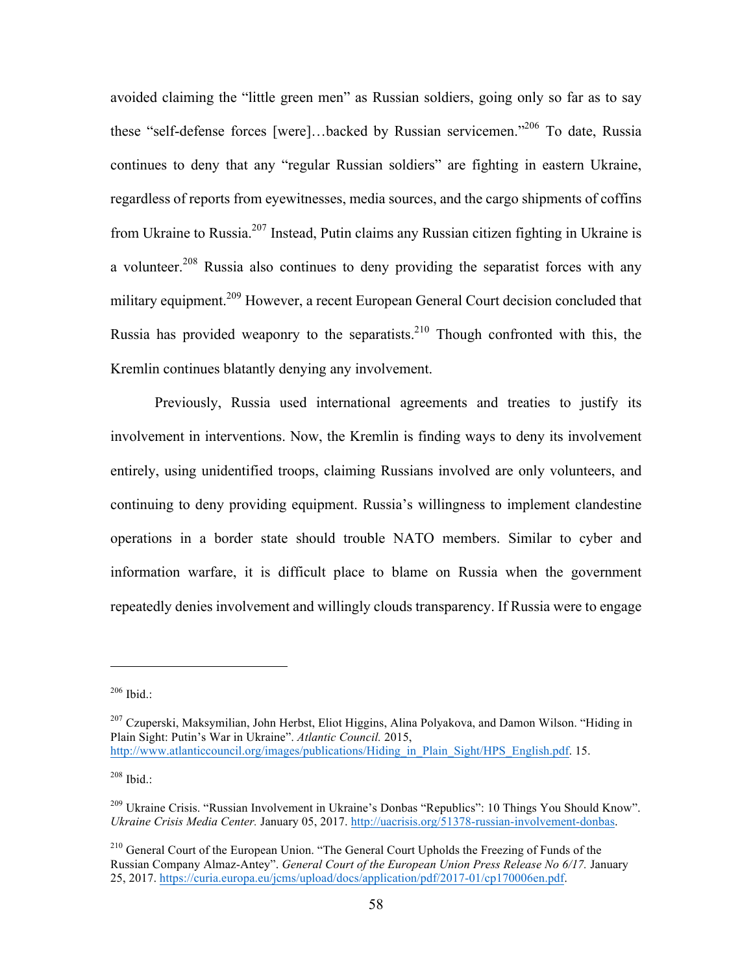avoided claiming the "little green men" as Russian soldiers, going only so far as to say these "self-defense forces [were]...backed by Russian servicemen."<sup>206</sup> To date, Russia continues to deny that any "regular Russian soldiers" are fighting in eastern Ukraine, regardless of reports from eyewitnesses, media sources, and the cargo shipments of coffins from Ukraine to Russia.<sup>207</sup> Instead, Putin claims any Russian citizen fighting in Ukraine is a volunteer.<sup>208</sup> Russia also continues to deny providing the separatist forces with any military equipment.<sup>209</sup> However, a recent European General Court decision concluded that Russia has provided weaponry to the separatists.<sup>210</sup> Though confronted with this, the Kremlin continues blatantly denying any involvement.

Previously, Russia used international agreements and treaties to justify its involvement in interventions. Now, the Kremlin is finding ways to deny its involvement entirely, using unidentified troops, claiming Russians involved are only volunteers, and continuing to deny providing equipment. Russia's willingness to implement clandestine operations in a border state should trouble NATO members. Similar to cyber and information warfare, it is difficult place to blame on Russia when the government repeatedly denies involvement and willingly clouds transparency. If Russia were to engage

 $206$  Ibid.:

 $^{207}$  Czuperski, Maksymilian, John Herbst, Eliot Higgins, Alina Polyakova, and Damon Wilson. "Hiding in Plain Sight: Putin's War in Ukraine". *Atlantic Council.* 2015, http://www.atlanticcouncil.org/images/publications/Hiding\_in\_Plain\_Sight/HPS\_English.pdf. 15.

 $208$  Ibid.:

<sup>209</sup> Ukraine Crisis. "Russian Involvement in Ukraine's Donbas "Republics": 10 Things You Should Know". *Ukraine Crisis Media Center.* January 05, 2017. http://uacrisis.org/51378-russian-involvement-donbas.

<sup>&</sup>lt;sup>210</sup> General Court of the European Union. "The General Court Upholds the Freezing of Funds of the Russian Company Almaz-Antey". *General Court of the European Union Press Release No 6/17.* January 25, 2017. https://curia.europa.eu/jcms/upload/docs/application/pdf/2017-01/cp170006en.pdf.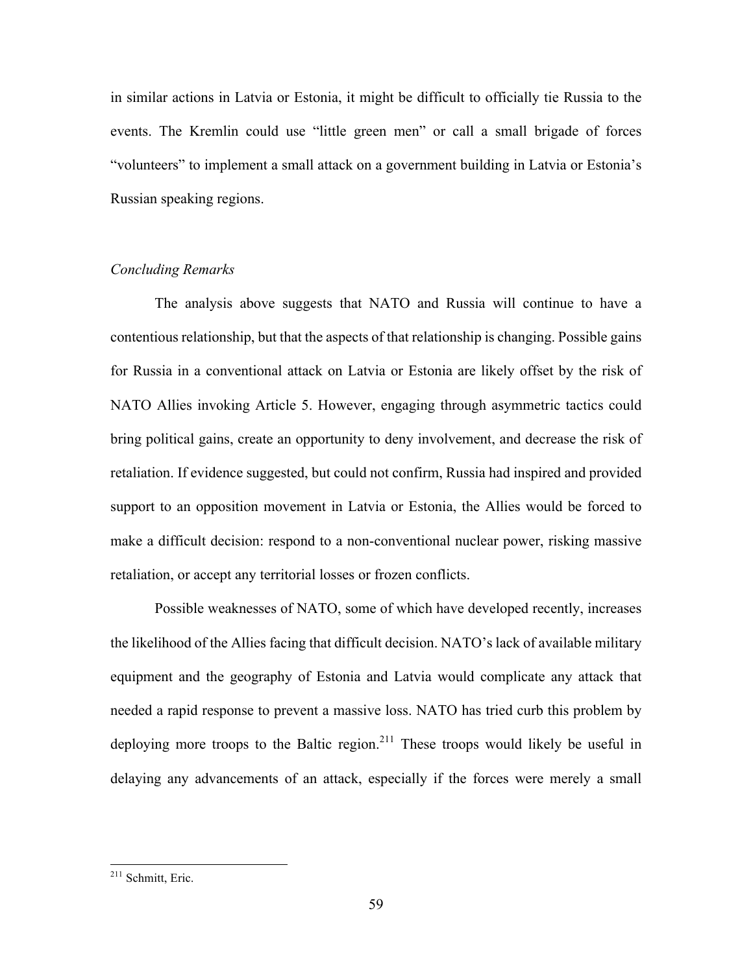in similar actions in Latvia or Estonia, it might be difficult to officially tie Russia to the events. The Kremlin could use "little green men" or call a small brigade of forces "volunteers" to implement a small attack on a government building in Latvia or Estonia's Russian speaking regions.

#### *Concluding Remarks*

The analysis above suggests that NATO and Russia will continue to have a contentious relationship, but that the aspects of that relationship is changing. Possible gains for Russia in a conventional attack on Latvia or Estonia are likely offset by the risk of NATO Allies invoking Article 5. However, engaging through asymmetric tactics could bring political gains, create an opportunity to deny involvement, and decrease the risk of retaliation. If evidence suggested, but could not confirm, Russia had inspired and provided support to an opposition movement in Latvia or Estonia, the Allies would be forced to make a difficult decision: respond to a non-conventional nuclear power, risking massive retaliation, or accept any territorial losses or frozen conflicts.

Possible weaknesses of NATO, some of which have developed recently, increases the likelihood of the Allies facing that difficult decision. NATO's lack of available military equipment and the geography of Estonia and Latvia would complicate any attack that needed a rapid response to prevent a massive loss. NATO has tried curb this problem by deploying more troops to the Baltic region.<sup>211</sup> These troops would likely be useful in delaying any advancements of an attack, especially if the forces were merely a small

 <sup>211</sup> Schmitt, Eric.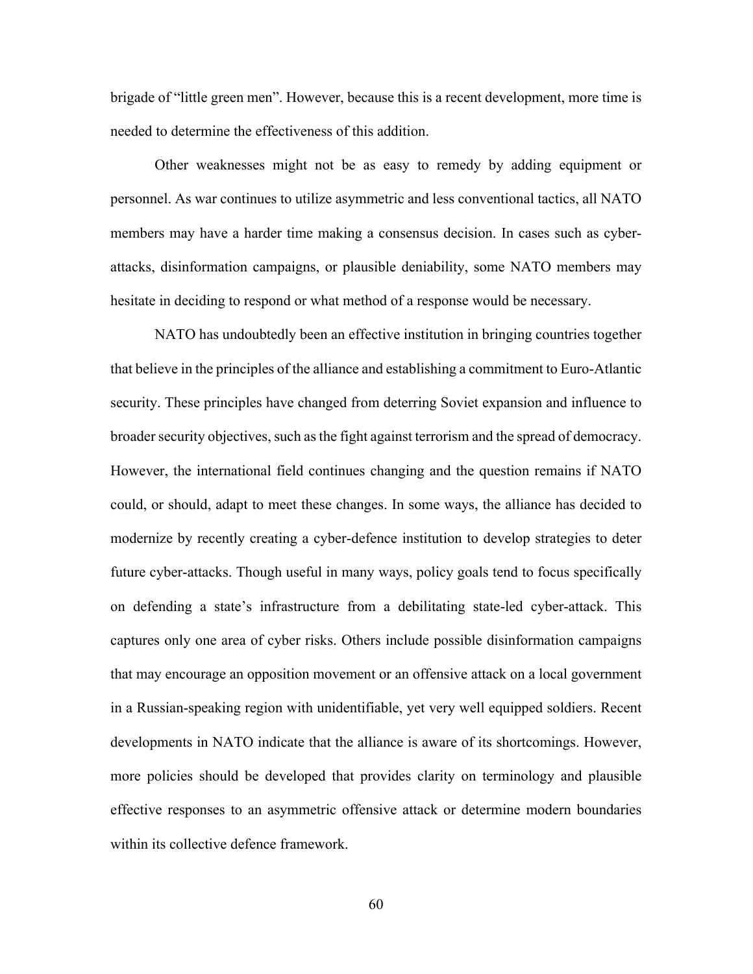brigade of "little green men". However, because this is a recent development, more time is needed to determine the effectiveness of this addition.

Other weaknesses might not be as easy to remedy by adding equipment or personnel. As war continues to utilize asymmetric and less conventional tactics, all NATO members may have a harder time making a consensus decision. In cases such as cyberattacks, disinformation campaigns, or plausible deniability, some NATO members may hesitate in deciding to respond or what method of a response would be necessary.

NATO has undoubtedly been an effective institution in bringing countries together that believe in the principles of the alliance and establishing a commitment to Euro-Atlantic security. These principles have changed from deterring Soviet expansion and influence to broader security objectives, such as the fight against terrorism and the spread of democracy. However, the international field continues changing and the question remains if NATO could, or should, adapt to meet these changes. In some ways, the alliance has decided to modernize by recently creating a cyber-defence institution to develop strategies to deter future cyber-attacks. Though useful in many ways, policy goals tend to focus specifically on defending a state's infrastructure from a debilitating state-led cyber-attack. This captures only one area of cyber risks. Others include possible disinformation campaigns that may encourage an opposition movement or an offensive attack on a local government in a Russian-speaking region with unidentifiable, yet very well equipped soldiers. Recent developments in NATO indicate that the alliance is aware of its shortcomings. However, more policies should be developed that provides clarity on terminology and plausible effective responses to an asymmetric offensive attack or determine modern boundaries within its collective defence framework.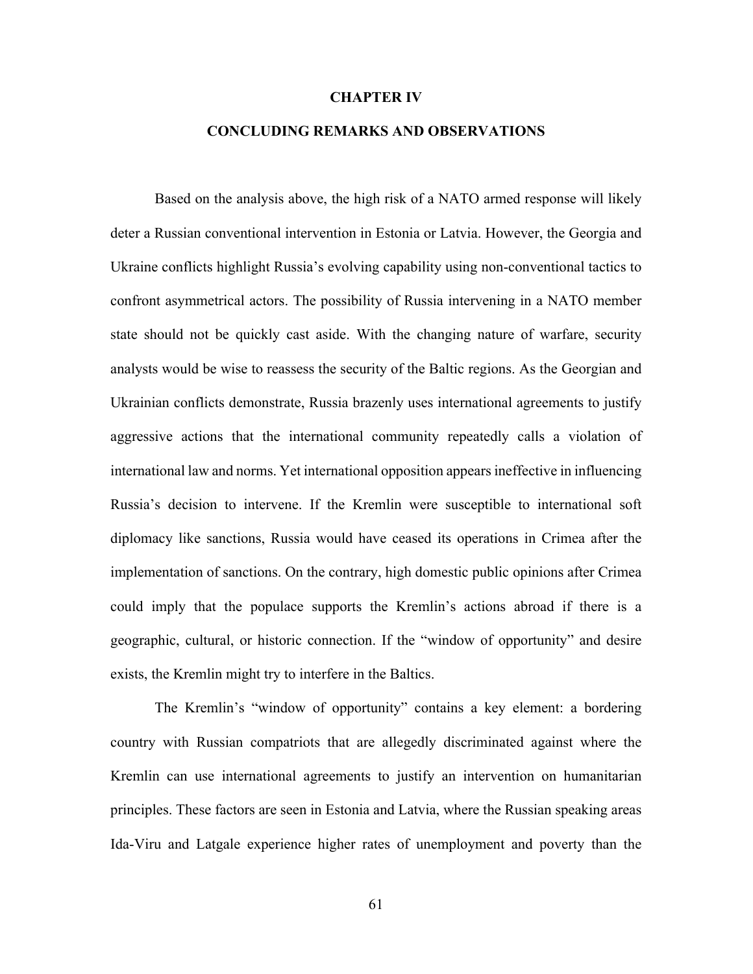#### **CHAPTER IV**

## **CONCLUDING REMARKS AND OBSERVATIONS**

Based on the analysis above, the high risk of a NATO armed response will likely deter a Russian conventional intervention in Estonia or Latvia. However, the Georgia and Ukraine conflicts highlight Russia's evolving capability using non-conventional tactics to confront asymmetrical actors. The possibility of Russia intervening in a NATO member state should not be quickly cast aside. With the changing nature of warfare, security analysts would be wise to reassess the security of the Baltic regions. As the Georgian and Ukrainian conflicts demonstrate, Russia brazenly uses international agreements to justify aggressive actions that the international community repeatedly calls a violation of international law and norms. Yet international opposition appears ineffective in influencing Russia's decision to intervene. If the Kremlin were susceptible to international soft diplomacy like sanctions, Russia would have ceased its operations in Crimea after the implementation of sanctions. On the contrary, high domestic public opinions after Crimea could imply that the populace supports the Kremlin's actions abroad if there is a geographic, cultural, or historic connection. If the "window of opportunity" and desire exists, the Kremlin might try to interfere in the Baltics.

The Kremlin's "window of opportunity" contains a key element: a bordering country with Russian compatriots that are allegedly discriminated against where the Kremlin can use international agreements to justify an intervention on humanitarian principles. These factors are seen in Estonia and Latvia, where the Russian speaking areas Ida-Viru and Latgale experience higher rates of unemployment and poverty than the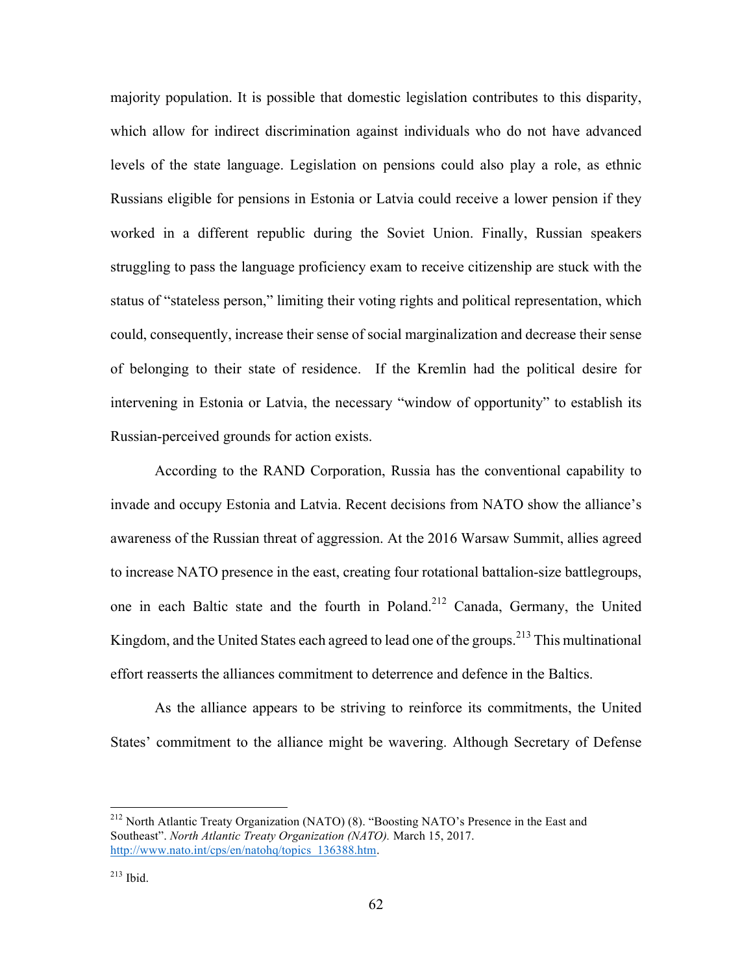majority population. It is possible that domestic legislation contributes to this disparity, which allow for indirect discrimination against individuals who do not have advanced levels of the state language. Legislation on pensions could also play a role, as ethnic Russians eligible for pensions in Estonia or Latvia could receive a lower pension if they worked in a different republic during the Soviet Union. Finally, Russian speakers struggling to pass the language proficiency exam to receive citizenship are stuck with the status of "stateless person," limiting their voting rights and political representation, which could, consequently, increase their sense of social marginalization and decrease their sense of belonging to their state of residence. If the Kremlin had the political desire for intervening in Estonia or Latvia, the necessary "window of opportunity" to establish its Russian-perceived grounds for action exists.

According to the RAND Corporation, Russia has the conventional capability to invade and occupy Estonia and Latvia. Recent decisions from NATO show the alliance's awareness of the Russian threat of aggression. At the 2016 Warsaw Summit, allies agreed to increase NATO presence in the east, creating four rotational battalion-size battlegroups, one in each Baltic state and the fourth in Poland.<sup>212</sup> Canada, Germany, the United Kingdom, and the United States each agreed to lead one of the groups.<sup>213</sup> This multinational effort reasserts the alliances commitment to deterrence and defence in the Baltics.

As the alliance appears to be striving to reinforce its commitments, the United States' commitment to the alliance might be wavering. Although Secretary of Defense

 <sup>212</sup> North Atlantic Treaty Organization (NATO) (8). "Boosting NATO's Presence in the East and Southeast". *North Atlantic Treaty Organization (NATO).* March 15, 2017. http://www.nato.int/cps/en/natohq/topics\_136388.htm.

 $213$  Ibid.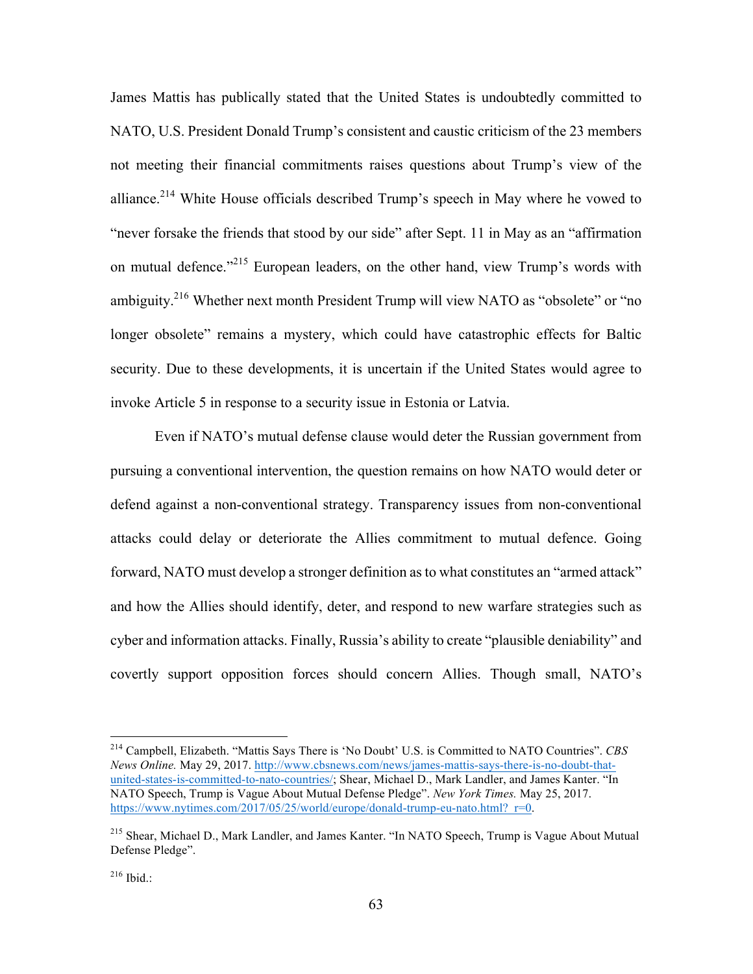James Mattis has publically stated that the United States is undoubtedly committed to NATO, U.S. President Donald Trump's consistent and caustic criticism of the 23 members not meeting their financial commitments raises questions about Trump's view of the alliance.<sup>214</sup> White House officials described Trump's speech in May where he vowed to "never forsake the friends that stood by our side" after Sept. 11 in May as an "affirmation on mutual defence."<sup>215</sup> European leaders, on the other hand, view Trump's words with ambiguity.<sup>216</sup> Whether next month President Trump will view NATO as "obsolete" or "no longer obsolete" remains a mystery, which could have catastrophic effects for Baltic security. Due to these developments, it is uncertain if the United States would agree to invoke Article 5 in response to a security issue in Estonia or Latvia.

Even if NATO's mutual defense clause would deter the Russian government from pursuing a conventional intervention, the question remains on how NATO would deter or defend against a non-conventional strategy. Transparency issues from non-conventional attacks could delay or deteriorate the Allies commitment to mutual defence. Going forward, NATO must develop a stronger definition as to what constitutes an "armed attack" and how the Allies should identify, deter, and respond to new warfare strategies such as cyber and information attacks. Finally, Russia's ability to create "plausible deniability" and covertly support opposition forces should concern Allies. Though small, NATO's

 <sup>214</sup> Campbell, Elizabeth. "Mattis Says There is 'No Doubt' U.S. is Committed to NATO Countries". *CBS News Online.* May 29, 2017. http://www.cbsnews.com/news/james-mattis-says-there-is-no-doubt-thatunited-states-is-committed-to-nato-countries/; Shear, Michael D., Mark Landler, and James Kanter. "In NATO Speech, Trump is Vague About Mutual Defense Pledge". *New York Times.* May 25, 2017. https://www.nytimes.com/2017/05/25/world/europe/donald-trump-eu-nato.html?\_r=0.

<sup>215</sup> Shear, Michael D., Mark Landler, and James Kanter. "In NATO Speech, Trump is Vague About Mutual Defense Pledge".

 $^{216}$  Ibid.: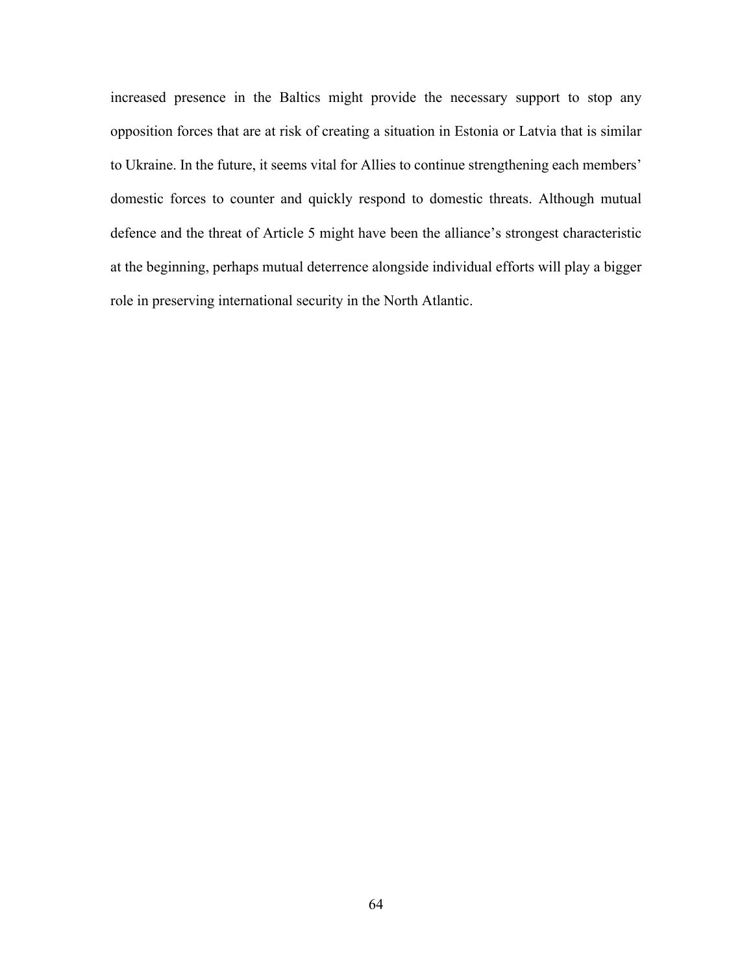increased presence in the Baltics might provide the necessary support to stop any opposition forces that are at risk of creating a situation in Estonia or Latvia that is similar to Ukraine. In the future, it seems vital for Allies to continue strengthening each members' domestic forces to counter and quickly respond to domestic threats. Although mutual defence and the threat of Article 5 might have been the alliance's strongest characteristic at the beginning, perhaps mutual deterrence alongside individual efforts will play a bigger role in preserving international security in the North Atlantic.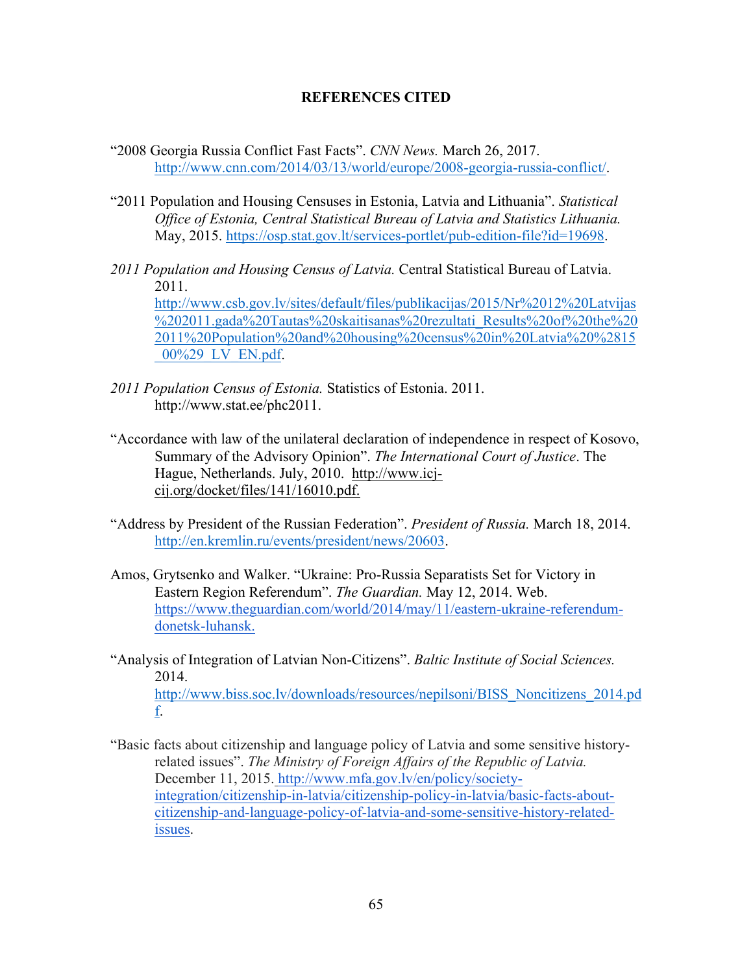## **REFERENCES CITED**

- "2008 Georgia Russia Conflict Fast Facts". *CNN News.* March 26, 2017. http://www.cnn.com/2014/03/13/world/europe/2008-georgia-russia-conflict/.
- "2011 Population and Housing Censuses in Estonia, Latvia and Lithuania". *Statistical Office of Estonia, Central Statistical Bureau of Latvia and Statistics Lithuania.* May, 2015. https://osp.stat.gov.lt/services-portlet/pub-edition-file?id=19698.
- *2011 Population and Housing Census of Latvia.* Central Statistical Bureau of Latvia. 2011. http://www.csb.gov.lv/sites/default/files/publikacijas/2015/Nr%2012%20Latvijas %202011.gada%20Tautas%20skaitisanas%20rezultati\_Results%20of%20the%20 2011%20Population%20and%20housing%20census%20in%20Latvia%20%2815 \_00%29\_LV\_EN.pdf.
- *2011 Population Census of Estonia.* Statistics of Estonia. 2011. http://www.stat.ee/phc2011.
- "Accordance with law of the unilateral declaration of independence in respect of Kosovo, Summary of the Advisory Opinion". *The International Court of Justice*. The Hague, Netherlands. July, 2010. http://www.icjcij.org/docket/files/141/16010.pdf.
- "Address by President of the Russian Federation". *President of Russia.* March 18, 2014. http://en.kremlin.ru/events/president/news/20603.
- Amos, Grytsenko and Walker. "Ukraine: Pro-Russia Separatists Set for Victory in Eastern Region Referendum". *The Guardian.* May 12, 2014. Web. https://www.theguardian.com/world/2014/may/11/eastern-ukraine-referendumdonetsk-luhansk.
- "Analysis of Integration of Latvian Non-Citizens". *Baltic Institute of Social Sciences.*  2014. http://www.biss.soc.lv/downloads/resources/nepilsoni/BISS\_Noncitizens\_2014.pd f.
- "Basic facts about citizenship and language policy of Latvia and some sensitive historyrelated issues". *The Ministry of Foreign Affairs of the Republic of Latvia.*  December 11, 2015. http://www.mfa.gov.lv/en/policy/societyintegration/citizenship-in-latvia/citizenship-policy-in-latvia/basic-facts-aboutcitizenship-and-language-policy-of-latvia-and-some-sensitive-history-relatedissues.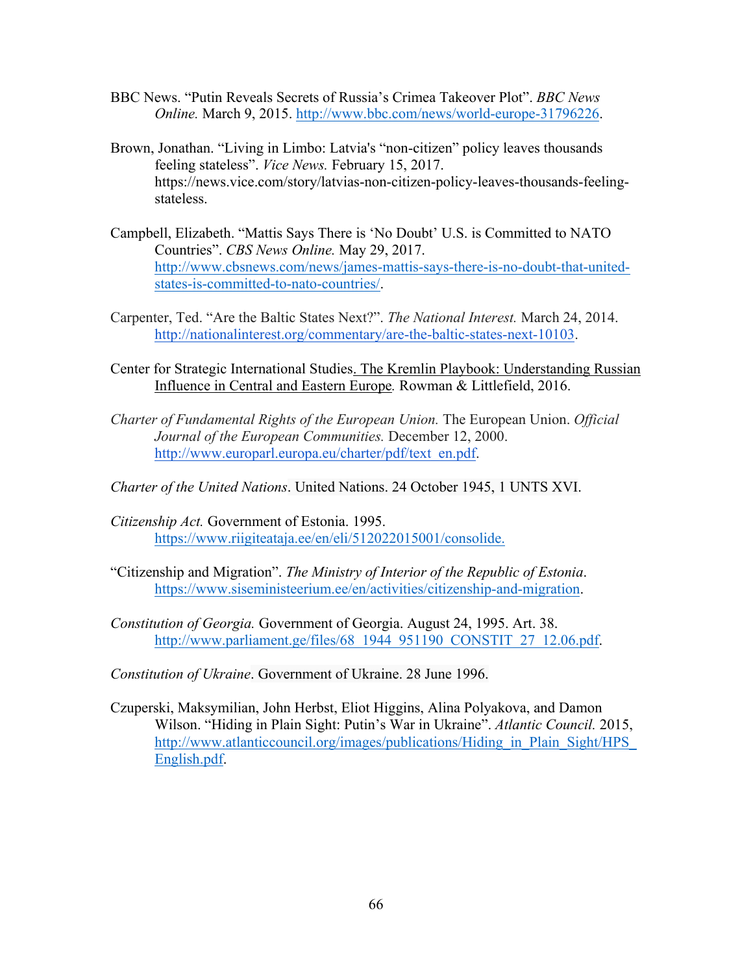- BBC News. "Putin Reveals Secrets of Russia's Crimea Takeover Plot". *BBC News Online.* March 9, 2015. http://www.bbc.com/news/world-europe-31796226.
- Brown, Jonathan. "Living in Limbo: Latvia's "non-citizen" policy leaves thousands feeling stateless". *Vice News.* February 15, 2017. https://news.vice.com/story/latvias-non-citizen-policy-leaves-thousands-feelingstateless.
- Campbell, Elizabeth. "Mattis Says There is 'No Doubt' U.S. is Committed to NATO Countries". *CBS News Online.* May 29, 2017. http://www.cbsnews.com/news/james-mattis-says-there-is-no-doubt-that-unitedstates-is-committed-to-nato-countries/.
- Carpenter, Ted. "Are the Baltic States Next?". *The National Interest.* March 24, 2014. http://nationalinterest.org/commentary/are-the-baltic-states-next-10103.
- Center for Strategic International Studies. The Kremlin Playbook: Understanding Russian Influence in Central and Eastern Europe*.* Rowman & Littlefield, 2016.
- *Charter of Fundamental Rights of the European Union.* The European Union. *Official Journal of the European Communities.* December 12, 2000. http://www.europarl.europa.eu/charter/pdf/text\_en.pdf.
- *Charter of the United Nations*. United Nations. 24 October 1945, 1 UNTS XVI.
- *Citizenship Act.* Government of Estonia. 1995. https://www.riigiteataja.ee/en/eli/512022015001/consolide.
- "Citizenship and Migration". *The Ministry of Interior of the Republic of Estonia*. https://www.siseministeerium.ee/en/activities/citizenship-and-migration.
- *Constitution of Georgia.* Government of Georgia. August 24, 1995. Art. 38. http://www.parliament.ge/files/68\_1944\_951190\_CONSTIT\_27\_12.06.pdf.
- *Constitution of Ukraine*. Government of Ukraine. 28 June 1996.
- Czuperski, Maksymilian, John Herbst, Eliot Higgins, Alina Polyakova, and Damon Wilson. "Hiding in Plain Sight: Putin's War in Ukraine". *Atlantic Council.* 2015, http://www.atlanticcouncil.org/images/publications/Hiding\_in\_Plain\_Sight/HPS\_ English.pdf.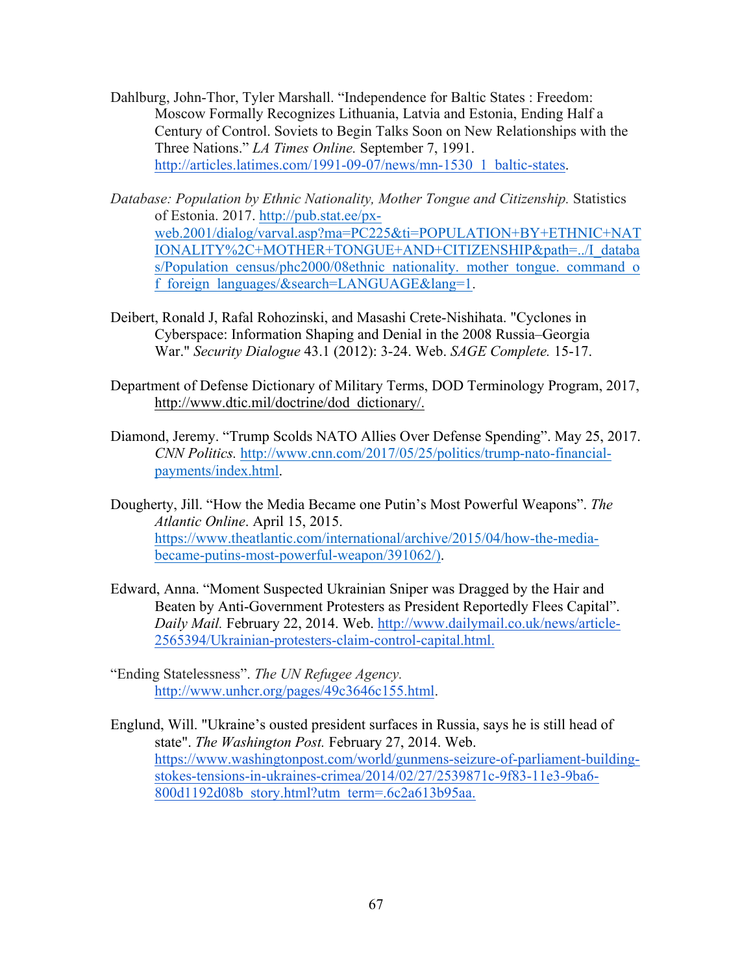- Dahlburg, John-Thor, Tyler Marshall. "Independence for Baltic States : Freedom: Moscow Formally Recognizes Lithuania, Latvia and Estonia, Ending Half a Century of Control. Soviets to Begin Talks Soon on New Relationships with the Three Nations." *LA Times Online.* September 7, 1991. http://articles.latimes.com/1991-09-07/news/mn-1530\_1\_baltic-states.
- *Database: Population by Ethnic Nationality, Mother Tongue and Citizenship. Statistics* of Estonia. 2017. http://pub.stat.ee/pxweb.2001/dialog/varval.asp?ma=PC225&ti=POPULATION+BY+ETHNIC+NAT IONALITY%2C+MOTHER+TONGUE+AND+CITIZENSHIP&path=../I\_databa s/Population\_census/phc2000/08ethnic\_nationality.\_mother\_tongue.\_command\_o f\_foreign\_languages/&search=LANGUAGE&lang=1.
- Deibert, Ronald J, Rafal Rohozinski, and Masashi Crete-Nishihata. "Cyclones in Cyberspace: Information Shaping and Denial in the 2008 Russia–Georgia War." *Security Dialogue* 43.1 (2012): 3-24. Web. *SAGE Complete.* 15-17.
- Department of Defense Dictionary of Military Terms, DOD Terminology Program, 2017, http://www.dtic.mil/doctrine/dod\_dictionary/.
- Diamond, Jeremy. "Trump Scolds NATO Allies Over Defense Spending". May 25, 2017. *CNN Politics.* http://www.cnn.com/2017/05/25/politics/trump-nato-financialpayments/index.html.
- Dougherty, Jill. "How the Media Became one Putin's Most Powerful Weapons". *The Atlantic Online*. April 15, 2015. https://www.theatlantic.com/international/archive/2015/04/how-the-mediabecame-putins-most-powerful-weapon/391062/).
- Edward, Anna. "Moment Suspected Ukrainian Sniper was Dragged by the Hair and Beaten by Anti-Government Protesters as President Reportedly Flees Capital". *Daily Mail.* February 22, 2014. Web. http://www.dailymail.co.uk/news/article-2565394/Ukrainian-protesters-claim-control-capital.html.
- "Ending Statelessness". *The UN Refugee Agency.* http://www.unhcr.org/pages/49c3646c155.html.
- Englund, Will. "Ukraine's ousted president surfaces in Russia, says he is still head of state". *The Washington Post.* February 27, 2014. Web. https://www.washingtonpost.com/world/gunmens-seizure-of-parliament-buildingstokes-tensions-in-ukraines-crimea/2014/02/27/2539871c-9f83-11e3-9ba6- 800d1192d08b\_story.html?utm\_term=.6c2a613b95aa.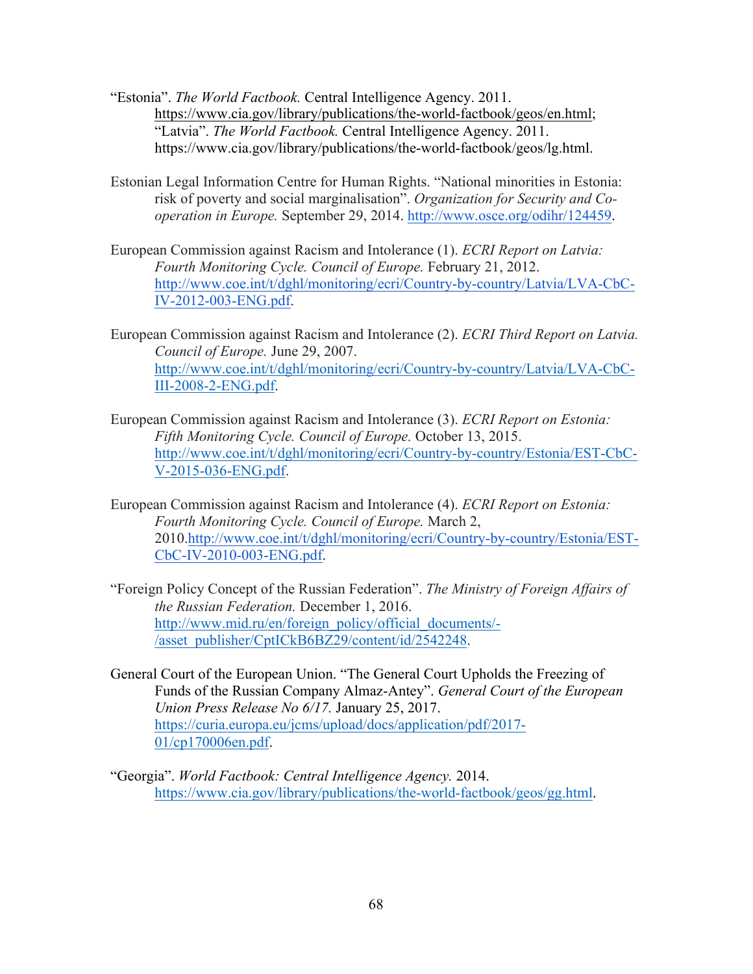- "Estonia". *The World Factbook.* Central Intelligence Agency. 2011. https://www.cia.gov/library/publications/the-world-factbook/geos/en.html; "Latvia". *The World Factbook.* Central Intelligence Agency. 2011. https://www.cia.gov/library/publications/the-world-factbook/geos/lg.html.
- Estonian Legal Information Centre for Human Rights. "National minorities in Estonia: risk of poverty and social marginalisation". *Organization for Security and Cooperation in Europe.* September 29, 2014. http://www.osce.org/odihr/124459.
- European Commission against Racism and Intolerance (1). *ECRI Report on Latvia: Fourth Monitoring Cycle. Council of Europe.* February 21, 2012. http://www.coe.int/t/dghl/monitoring/ecri/Country-by-country/Latvia/LVA-CbC-IV-2012-003-ENG.pdf.
- European Commission against Racism and Intolerance (2). *ECRI Third Report on Latvia. Council of Europe.* June 29, 2007. http://www.coe.int/t/dghl/monitoring/ecri/Country-by-country/Latvia/LVA-CbC-III-2008-2-ENG.pdf.
- European Commission against Racism and Intolerance (3). *ECRI Report on Estonia: Fifth Monitoring Cycle. Council of Europe.* October 13, 2015. http://www.coe.int/t/dghl/monitoring/ecri/Country-by-country/Estonia/EST-CbC-V-2015-036-ENG.pdf.
- European Commission against Racism and Intolerance (4). *ECRI Report on Estonia: Fourth Monitoring Cycle. Council of Europe.* March 2, 2010.http://www.coe.int/t/dghl/monitoring/ecri/Country-by-country/Estonia/EST-CbC-IV-2010-003-ENG.pdf.
- "Foreign Policy Concept of the Russian Federation". *The Ministry of Foreign Affairs of the Russian Federation.* December 1, 2016. http://www.mid.ru/en/foreign\_policy/official\_documents/- /asset\_publisher/CptICkB6BZ29/content/id/2542248.
- General Court of the European Union. "The General Court Upholds the Freezing of Funds of the Russian Company Almaz-Antey". *General Court of the European Union Press Release No 6/17.* January 25, 2017. https://curia.europa.eu/jcms/upload/docs/application/pdf/2017- 01/cp170006en.pdf.
- "Georgia". *World Factbook: Central Intelligence Agency.* 2014. https://www.cia.gov/library/publications/the-world-factbook/geos/gg.html.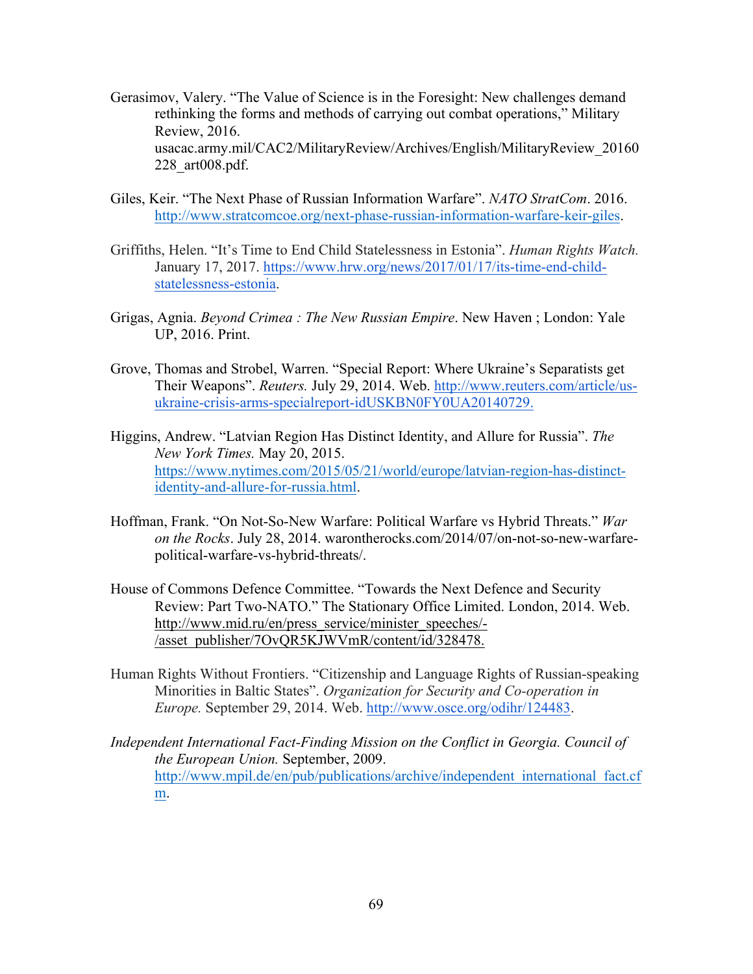- Gerasimov, Valery. "The Value of Science is in the Foresight: New challenges demand rethinking the forms and methods of carrying out combat operations," Military Review, 2016. usacac.army.mil/CAC2/MilitaryReview/Archives/English/MilitaryReview\_20160 228\_art008.pdf.
- Giles, Keir. "The Next Phase of Russian Information Warfare". *NATO StratCom*. 2016. http://www.stratcomcoe.org/next-phase-russian-information-warfare-keir-giles.
- Griffiths, Helen. "It's Time to End Child Statelessness in Estonia". *Human Rights Watch.* January 17, 2017. https://www.hrw.org/news/2017/01/17/its-time-end-childstatelessness-estonia.
- Grigas, Agnia. *Beyond Crimea : The New Russian Empire*. New Haven ; London: Yale UP, 2016. Print.
- Grove, Thomas and Strobel, Warren. "Special Report: Where Ukraine's Separatists get Their Weapons". *Reuters.* July 29, 2014. Web. http://www.reuters.com/article/usukraine-crisis-arms-specialreport-idUSKBN0FY0UA20140729.
- Higgins, Andrew. "Latvian Region Has Distinct Identity, and Allure for Russia". *The New York Times.* May 20, 2015. https://www.nytimes.com/2015/05/21/world/europe/latvian-region-has-distinctidentity-and-allure-for-russia.html.
- Hoffman, Frank. "On Not-So-New Warfare: Political Warfare vs Hybrid Threats." *War on the Rocks*. July 28, 2014. warontherocks.com/2014/07/on-not-so-new-warfarepolitical-warfare-vs-hybrid-threats/.
- House of Commons Defence Committee. "Towards the Next Defence and Security Review: Part Two-NATO." The Stationary Office Limited. London, 2014. Web. http://www.mid.ru/en/press\_service/minister\_speeches/-/asset\_publisher/7OvQR5KJWVmR/content/id/328478.
- Human Rights Without Frontiers. "Citizenship and Language Rights of Russian-speaking Minorities in Baltic States". *Organization for Security and Co-operation in Europe.* September 29, 2014. Web. http://www.osce.org/odihr/124483.
- *Independent International Fact-Finding Mission on the Conflict in Georgia. Council of the European Union.* September, 2009. http://www.mpil.de/en/pub/publications/archive/independent\_international\_fact.cf m.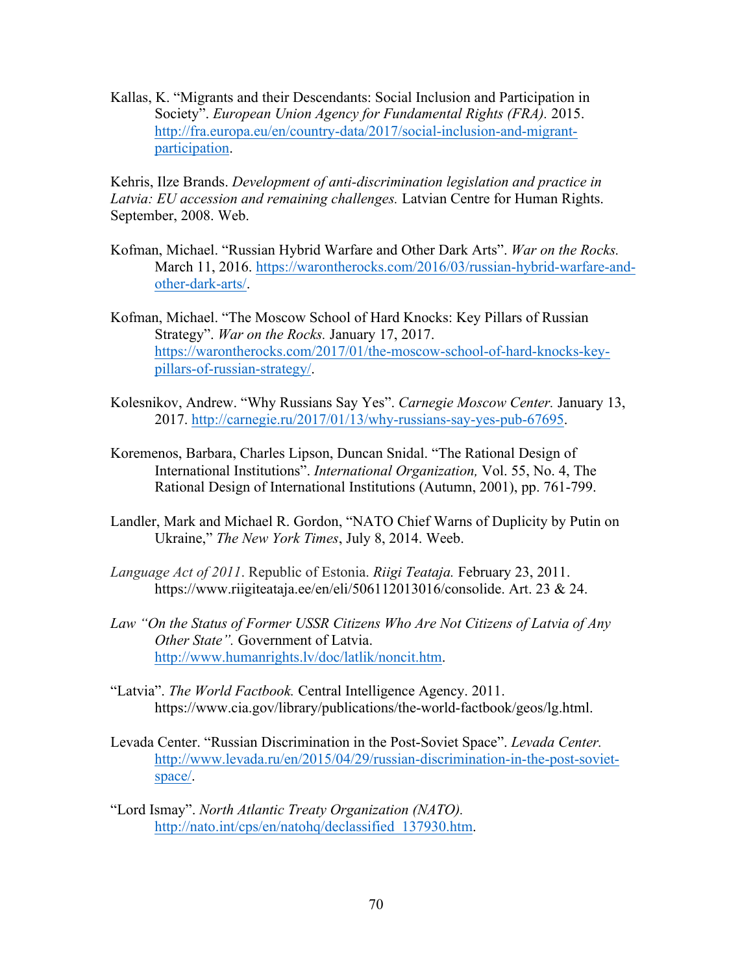Kallas, K. "Migrants and their Descendants: Social Inclusion and Participation in Society". *European Union Agency for Fundamental Rights (FRA).* 2015. http://fra.europa.eu/en/country-data/2017/social-inclusion-and-migrantparticipation.

Kehris, Ilze Brands. *Development of anti-discrimination legislation and practice in Latvia: EU accession and remaining challenges.* Latvian Centre for Human Rights. September, 2008. Web.

- Kofman, Michael. "Russian Hybrid Warfare and Other Dark Arts". *War on the Rocks.*  March 11, 2016. https://warontherocks.com/2016/03/russian-hybrid-warfare-andother-dark-arts/.
- Kofman, Michael. "The Moscow School of Hard Knocks: Key Pillars of Russian Strategy". *War on the Rocks.* January 17, 2017. https://warontherocks.com/2017/01/the-moscow-school-of-hard-knocks-keypillars-of-russian-strategy/.
- Kolesnikov, Andrew. "Why Russians Say Yes". *Carnegie Moscow Center.* January 13, 2017. http://carnegie.ru/2017/01/13/why-russians-say-yes-pub-67695.
- Koremenos, Barbara, Charles Lipson, Duncan Snidal. "The Rational Design of International Institutions". *International Organization,* Vol. 55, No. 4, The Rational Design of International Institutions (Autumn, 2001), pp. 761-799.
- Landler, Mark and Michael R. Gordon, "NATO Chief Warns of Duplicity by Putin on Ukraine," *The New York Times*, July 8, 2014. Weeb.
- *Language Act of 2011*. Republic of Estonia. *Riigi Teataja.* February 23, 2011. https://www.riigiteataja.ee/en/eli/506112013016/consolide. Art. 23 & 24.
- *Law "On the Status of Former USSR Citizens Who Are Not Citizens of Latvia of Any Other State".* Government of Latvia. http://www.humanrights.lv/doc/latlik/noncit.htm.
- "Latvia". *The World Factbook.* Central Intelligence Agency. 2011. https://www.cia.gov/library/publications/the-world-factbook/geos/lg.html.
- Levada Center. "Russian Discrimination in the Post-Soviet Space". *Levada Center.* http://www.levada.ru/en/2015/04/29/russian-discrimination-in-the-post-sovietspace/.
- "Lord Ismay". *North Atlantic Treaty Organization (NATO).* http://nato.int/cps/en/natohq/declassified\_137930.htm.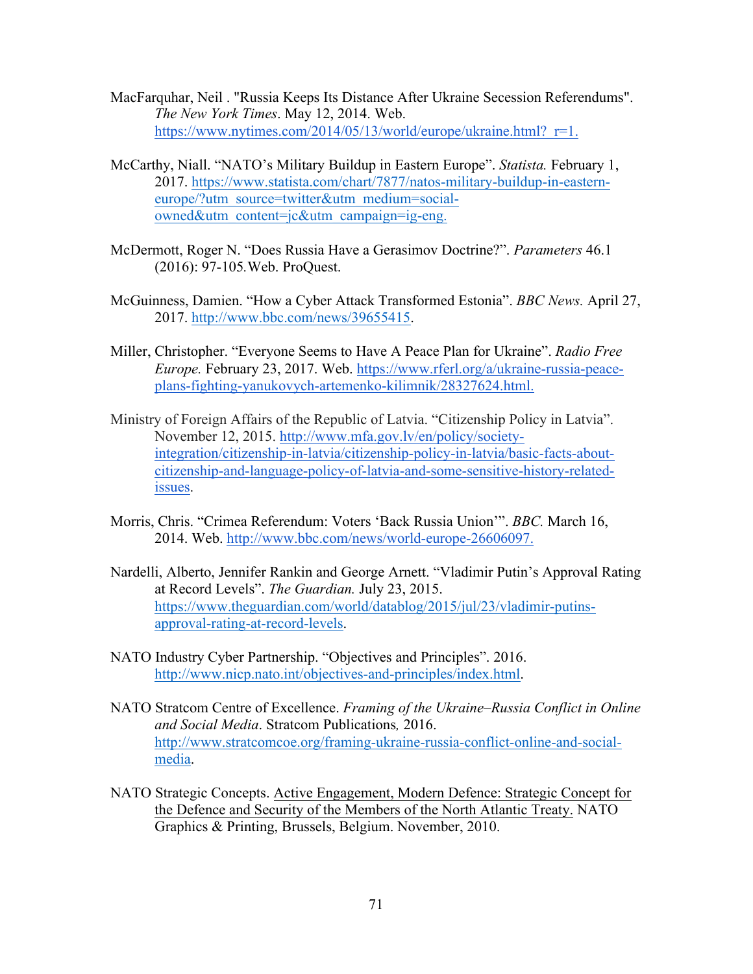- MacFarquhar, Neil . "Russia Keeps Its Distance After Ukraine Secession Referendums". *The New York Times*. May 12, 2014. Web. https://www.nytimes.com/2014/05/13/world/europe/ukraine.html? r=1.
- McCarthy, Niall. "NATO's Military Buildup in Eastern Europe". *Statista.* February 1, 2017. https://www.statista.com/chart/7877/natos-military-buildup-in-easterneurope/?utm\_source=twitter&utm\_medium=socialowned&utm\_content=jc&utm\_campaign=ig-eng.
- McDermott, Roger N. "Does Russia Have a Gerasimov Doctrine?". *Parameters* 46.1 (2016): 97-105*.*Web. ProQuest.
- McGuinness, Damien. "How a Cyber Attack Transformed Estonia". *BBC News.* April 27, 2017. http://www.bbc.com/news/39655415.
- Miller, Christopher. "Everyone Seems to Have A Peace Plan for Ukraine". *Radio Free Europe.* February 23, 2017. Web. https://www.rferl.org/a/ukraine-russia-peaceplans-fighting-yanukovych-artemenko-kilimnik/28327624.html.
- Ministry of Foreign Affairs of the Republic of Latvia. "Citizenship Policy in Latvia". November 12, 2015. http://www.mfa.gov.lv/en/policy/societyintegration/citizenship-in-latvia/citizenship-policy-in-latvia/basic-facts-aboutcitizenship-and-language-policy-of-latvia-and-some-sensitive-history-relatedissues.
- Morris, Chris. "Crimea Referendum: Voters 'Back Russia Union'". *BBC.* March 16, 2014. Web. http://www.bbc.com/news/world-europe-26606097.
- Nardelli, Alberto, Jennifer Rankin and George Arnett. "Vladimir Putin's Approval Rating at Record Levels". *The Guardian.* July 23, 2015. https://www.theguardian.com/world/datablog/2015/jul/23/vladimir-putinsapproval-rating-at-record-levels.
- NATO Industry Cyber Partnership. "Objectives and Principles". 2016. http://www.nicp.nato.int/objectives-and-principles/index.html.
- NATO Stratcom Centre of Excellence. *Framing of the Ukraine–Russia Conflict in Online and Social Media*. Stratcom Publications*,* 2016. http://www.stratcomcoe.org/framing-ukraine-russia-conflict-online-and-socialmedia.
- NATO Strategic Concepts. Active Engagement, Modern Defence: Strategic Concept for the Defence and Security of the Members of the North Atlantic Treaty. NATO Graphics & Printing, Brussels, Belgium. November, 2010.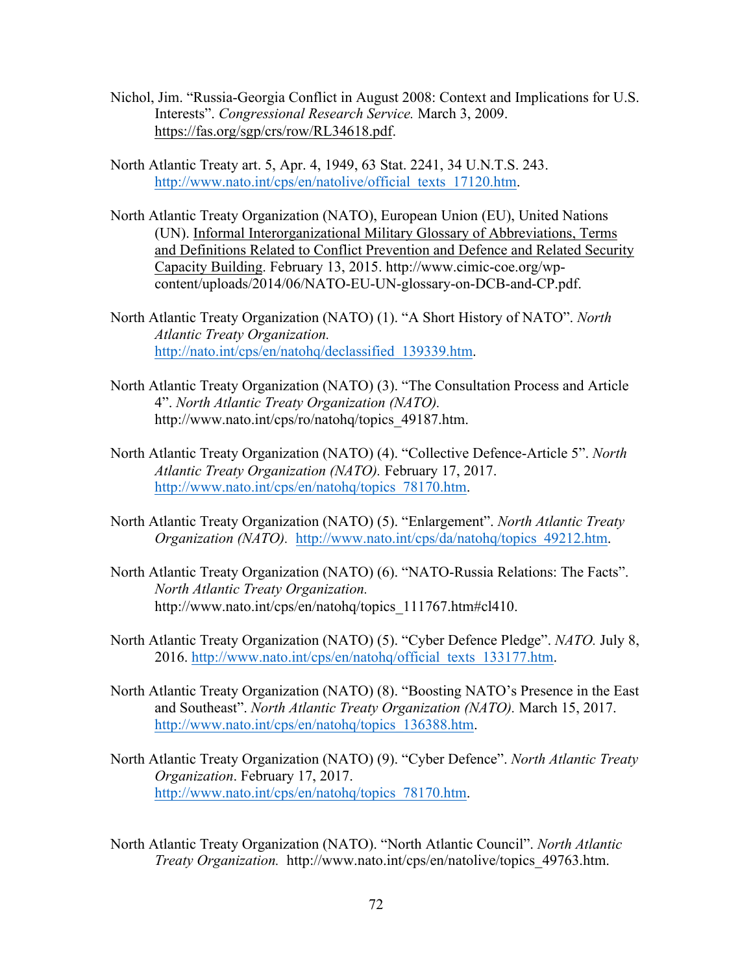- Nichol, Jim. "Russia-Georgia Conflict in August 2008: Context and Implications for U.S. Interests". *Congressional Research Service.* March 3, 2009. https://fas.org/sgp/crs/row/RL34618.pdf.
- North Atlantic Treaty art. 5, Apr. 4, 1949, 63 Stat. 2241, 34 U.N.T.S. 243. http://www.nato.int/cps/en/natolive/official\_texts\_17120.htm.
- North Atlantic Treaty Organization (NATO), European Union (EU), United Nations (UN). Informal Interorganizational Military Glossary of Abbreviations, Terms and Definitions Related to Conflict Prevention and Defence and Related Security Capacity Building. February 13, 2015. http://www.cimic-coe.org/wpcontent/uploads/2014/06/NATO-EU-UN-glossary-on-DCB-and-CP.pdf.
- North Atlantic Treaty Organization (NATO) (1). "A Short History of NATO". *North Atlantic Treaty Organization.*  http://nato.int/cps/en/natohq/declassified\_139339.htm.
- North Atlantic Treaty Organization (NATO) (3). "The Consultation Process and Article 4". *North Atlantic Treaty Organization (NATO).*  http://www.nato.int/cps/ro/natohq/topics\_49187.htm.
- North Atlantic Treaty Organization (NATO) (4). "Collective Defence-Article 5". *North Atlantic Treaty Organization (NATO).* February 17, 2017. http://www.nato.int/cps/en/natohq/topics\_78170.htm.
- North Atlantic Treaty Organization (NATO) (5). "Enlargement". *North Atlantic Treaty Organization (NATO).* http://www.nato.int/cps/da/natohq/topics\_49212.htm.
- North Atlantic Treaty Organization (NATO) (6). "NATO-Russia Relations: The Facts". *North Atlantic Treaty Organization.*  http://www.nato.int/cps/en/natohq/topics\_111767.htm#cl410.
- North Atlantic Treaty Organization (NATO) (5). "Cyber Defence Pledge". *NATO.* July 8, 2016. http://www.nato.int/cps/en/natohq/official\_texts\_133177.htm.
- North Atlantic Treaty Organization (NATO) (8). "Boosting NATO's Presence in the East and Southeast". *North Atlantic Treaty Organization (NATO).* March 15, 2017. http://www.nato.int/cps/en/natohq/topics\_136388.htm.
- North Atlantic Treaty Organization (NATO) (9). "Cyber Defence". *North Atlantic Treaty Organization*. February 17, 2017. http://www.nato.int/cps/en/natohq/topics\_78170.htm.
- North Atlantic Treaty Organization (NATO). "North Atlantic Council". *North Atlantic Treaty Organization.* http://www.nato.int/cps/en/natolive/topics\_49763.htm.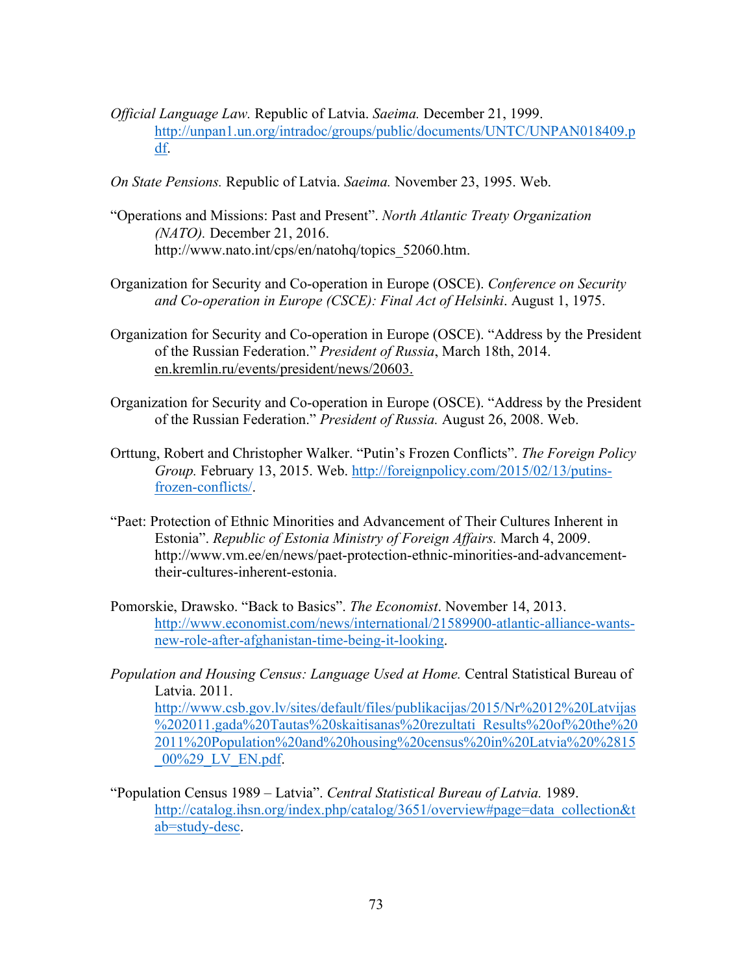- *Official Language Law.* Republic of Latvia. *Saeima.* December 21, 1999. http://unpan1.un.org/intradoc/groups/public/documents/UNTC/UNPAN018409.p df.
- *On State Pensions.* Republic of Latvia. *Saeima.* November 23, 1995. Web.
- "Operations and Missions: Past and Present". *North Atlantic Treaty Organization (NATO).* December 21, 2016. http://www.nato.int/cps/en/natohq/topics\_52060.htm.
- Organization for Security and Co-operation in Europe (OSCE). *Conference on Security and Co-operation in Europe (CSCE): Final Act of Helsinki*. August 1, 1975.
- Organization for Security and Co-operation in Europe (OSCE). "Address by the President of the Russian Federation." *President of Russia*, March 18th, 2014. en.kremlin.ru/events/president/news/20603.
- Organization for Security and Co-operation in Europe (OSCE). "Address by the President of the Russian Federation." *President of Russia.* August 26, 2008. Web.
- Orttung, Robert and Christopher Walker. "Putin's Frozen Conflicts". *The Foreign Policy Group.* February 13, 2015. Web. http://foreignpolicy.com/2015/02/13/putinsfrozen-conflicts/.
- "Paet: Protection of Ethnic Minorities and Advancement of Their Cultures Inherent in Estonia". *Republic of Estonia Ministry of Foreign Affairs.* March 4, 2009. http://www.vm.ee/en/news/paet-protection-ethnic-minorities-and-advancementtheir-cultures-inherent-estonia.
- Pomorskie, Drawsko. "Back to Basics". *The Economist*. November 14, 2013. http://www.economist.com/news/international/21589900-atlantic-alliance-wantsnew-role-after-afghanistan-time-being-it-looking.
- *Population and Housing Census: Language Used at Home.* Central Statistical Bureau of Latvia. 2011. http://www.csb.gov.lv/sites/default/files/publikacijas/2015/Nr%2012%20Latvijas %202011.gada%20Tautas%20skaitisanas%20rezultati\_Results%20of%20the%20 2011%20Population%20and%20housing%20census%20in%20Latvia%20%2815 \_00%29\_LV\_EN.pdf.
- "Population Census 1989 Latvia". *Central Statistical Bureau of Latvia.* 1989. http://catalog.ihsn.org/index.php/catalog/3651/overview#page=data\_collection&t ab=study-desc.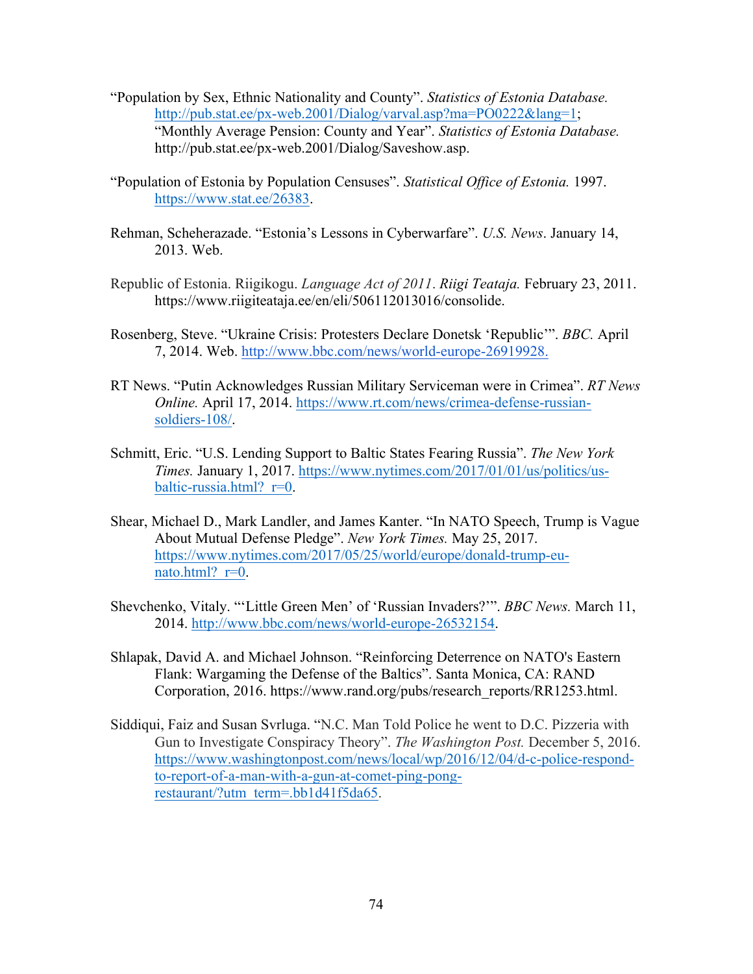- "Population by Sex, Ethnic Nationality and County". *Statistics of Estonia Database.* http://pub.stat.ee/px-web.2001/Dialog/varval.asp?ma=PO0222&lang=1; "Monthly Average Pension: County and Year". *Statistics of Estonia Database.*  http://pub.stat.ee/px-web.2001/Dialog/Saveshow.asp.
- "Population of Estonia by Population Censuses". *Statistical Office of Estonia.* 1997. https://www.stat.ee/26383.
- Rehman, Scheherazade. "Estonia's Lessons in Cyberwarfare". *U.S. News*. January 14, 2013. Web.
- Republic of Estonia. Riigikogu. *Language Act of 2011*. *Riigi Teataja.* February 23, 2011. https://www.riigiteataja.ee/en/eli/506112013016/consolide.
- Rosenberg, Steve. "Ukraine Crisis: Protesters Declare Donetsk 'Republic'". *BBC.* April 7, 2014. Web. http://www.bbc.com/news/world-europe-26919928.
- RT News. "Putin Acknowledges Russian Military Serviceman were in Crimea". *RT News Online.* April 17, 2014. https://www.rt.com/news/crimea-defense-russiansoldiers-108/.
- Schmitt, Eric. "U.S. Lending Support to Baltic States Fearing Russia". *The New York Times.* January 1, 2017. https://www.nytimes.com/2017/01/01/us/politics/usbaltic-russia.html?  $r=0$ .
- Shear, Michael D., Mark Landler, and James Kanter. "In NATO Speech, Trump is Vague About Mutual Defense Pledge". *New York Times.* May 25, 2017. https://www.nytimes.com/2017/05/25/world/europe/donald-trump-eunato.html? $r=0$ .
- Shevchenko, Vitaly. "'Little Green Men' of 'Russian Invaders?'". *BBC News.* March 11, 2014. http://www.bbc.com/news/world-europe-26532154.
- Shlapak, David A. and Michael Johnson. "Reinforcing Deterrence on NATO's Eastern Flank: Wargaming the Defense of the Baltics". Santa Monica, CA: RAND Corporation, 2016. https://www.rand.org/pubs/research\_reports/RR1253.html.
- Siddiqui, Faiz and Susan Svrluga. "N.C. Man Told Police he went to D.C. Pizzeria with Gun to Investigate Conspiracy Theory". *The Washington Post.* December 5, 2016. https://www.washingtonpost.com/news/local/wp/2016/12/04/d-c-police-respondto-report-of-a-man-with-a-gun-at-comet-ping-pongrestaurant/?utm\_term=.bb1d41f5da65.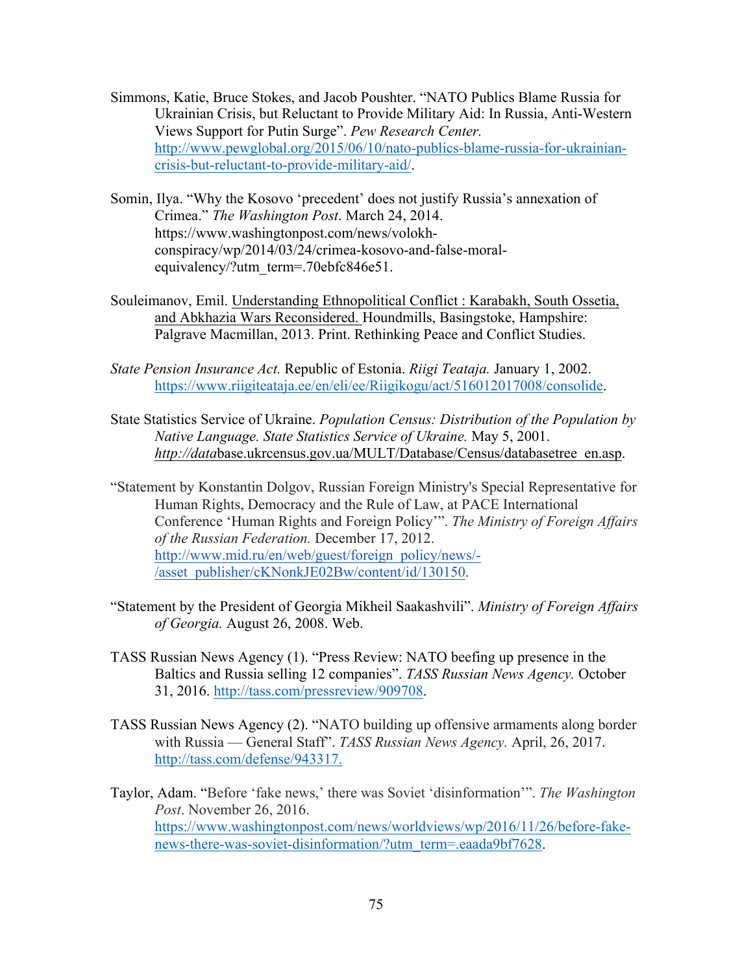- Simmons, Katie, Bruce Stokes, and Jacob Poushter. "NATO Publics Blame Russia for Ukrainian Crisis, but Reluctant to Provide Military Aid: In Russia, Anti-Western Views Support for Putin Surge". *Pew Research Center.*  http://www.pewglobal.org/2015/06/10/nato-publics-blame-russia-for-ukrainiancrisis-but-reluctant-to-provide-military-aid/.
- Somin, Ilya. "Why the Kosovo 'precedent' does not justify Russia's annexation of Crimea." *The Washington Post*. March 24, 2014. https://www.washingtonpost.com/news/volokhconspiracy/wp/2014/03/24/crimea-kosovo-and-false-moralequivalency/?utm\_term=.70ebfc846e51.
- Souleimanov, Emil. Understanding Ethnopolitical Conflict : Karabakh, South Ossetia, and Abkhazia Wars Reconsidered. Houndmills, Basingstoke, Hampshire: Palgrave Macmillan, 2013. Print. Rethinking Peace and Conflict Studies.
- *State Pension Insurance Act.* Republic of Estonia. *Riigi Teataja.* January 1, 2002. https://www.riigiteataja.ee/en/eli/ee/Riigikogu/act/516012017008/consolide.
- State Statistics Service of Ukraine. *Population Census: Distribution of the Population by Native Language. State Statistics Service of Ukraine.* May 5, 2001. *http://data*base.ukrcensus.gov.ua/MULT/Database/Census/databasetree\_en.asp.
- "Statement by Konstantin Dolgov, Russian Foreign Ministry's Special Representative for Human Rights, Democracy and the Rule of Law, at PACE International Conference 'Human Rights and Foreign Policy'". *The Ministry of Foreign Affairs of the Russian Federation.* December 17, 2012. http://www.mid.ru/en/web/guest/foreign\_policy/news/- /asset\_publisher/cKNonkJE02Bw/content/id/130150.
- "Statement by the President of Georgia Mikheil Saakashvili". *Ministry of Foreign Affairs of Georgia.* August 26, 2008. Web.
- TASS Russian News Agency (1). "Press Review: NATO beefing up presence in the Baltics and Russia selling 12 companies". *TASS Russian News Agency.* October 31, 2016. http://tass.com/pressreview/909708.
- TASS Russian News Agency (2). "NATO building up offensive armaments along border with Russia — General Staff". *TASS Russian News Agency.* April, 26, 2017. http://tass.com/defense/943317.
- Taylor, Adam. "Before 'fake news,' there was Soviet 'disinformation'". *The Washington Post*. November 26, 2016. https://www.washingtonpost.com/news/worldviews/wp/2016/11/26/before-fakenews-there-was-soviet-disinformation/?utm\_term=.eaada9bf7628.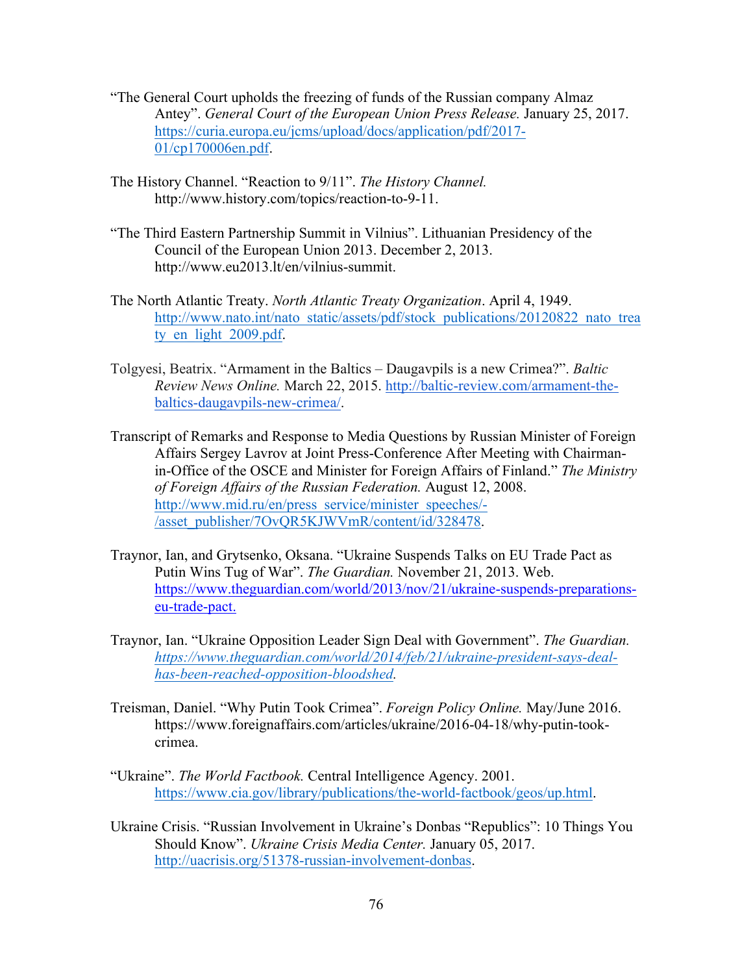- "The General Court upholds the freezing of funds of the Russian company Almaz Antey". *General Court of the European Union Press Release.* January 25, 2017. https://curia.europa.eu/jcms/upload/docs/application/pdf/2017- 01/cp170006en.pdf.
- The History Channel. "Reaction to 9/11". *The History Channel.* http://www.history.com/topics/reaction-to-9-11.
- "The Third Eastern Partnership Summit in Vilnius". Lithuanian Presidency of the Council of the European Union 2013. December 2, 2013. http://www.eu2013.lt/en/vilnius-summit.
- The North Atlantic Treaty. *North Atlantic Treaty Organization*. April 4, 1949. http://www.nato.int/nato\_static/assets/pdf/stock\_publications/20120822\_nato\_trea ty en light 2009.pdf.
- Tolgyesi, Beatrix. "Armament in the Baltics Daugavpils is a new Crimea?". *Baltic Review News Online.* March 22, 2015. http://baltic-review.com/armament-thebaltics-daugavpils-new-crimea/.
- Transcript of Remarks and Response to Media Questions by Russian Minister of Foreign Affairs Sergey Lavrov at Joint Press-Conference After Meeting with Chairmanin-Office of the OSCE and Minister for Foreign Affairs of Finland." *The Ministry of Foreign Affairs of the Russian Federation.* August 12, 2008. http://www.mid.ru/en/press\_service/minister\_speeches/-/asset\_publisher/7OvQR5KJWVmR/content/id/328478.
- Traynor, Ian, and Grytsenko, Oksana. "Ukraine Suspends Talks on EU Trade Pact as Putin Wins Tug of War". *The Guardian.* November 21, 2013. Web. https://www.theguardian.com/world/2013/nov/21/ukraine-suspends-preparationseu-trade-pact.
- Traynor, Ian. "Ukraine Opposition Leader Sign Deal with Government". *The Guardian. https://www.theguardian.com/world/2014/feb/21/ukraine-president-says-dealhas-been-reached-opposition-bloodshed.*
- Treisman, Daniel. "Why Putin Took Crimea". *Foreign Policy Online.* May/June 2016. https://www.foreignaffairs.com/articles/ukraine/2016-04-18/why-putin-tookcrimea.
- "Ukraine". *The World Factbook.* Central Intelligence Agency. 2001. https://www.cia.gov/library/publications/the-world-factbook/geos/up.html.
- Ukraine Crisis. "Russian Involvement in Ukraine's Donbas "Republics": 10 Things You Should Know". *Ukraine Crisis Media Center.* January 05, 2017. http://uacrisis.org/51378-russian-involvement-donbas.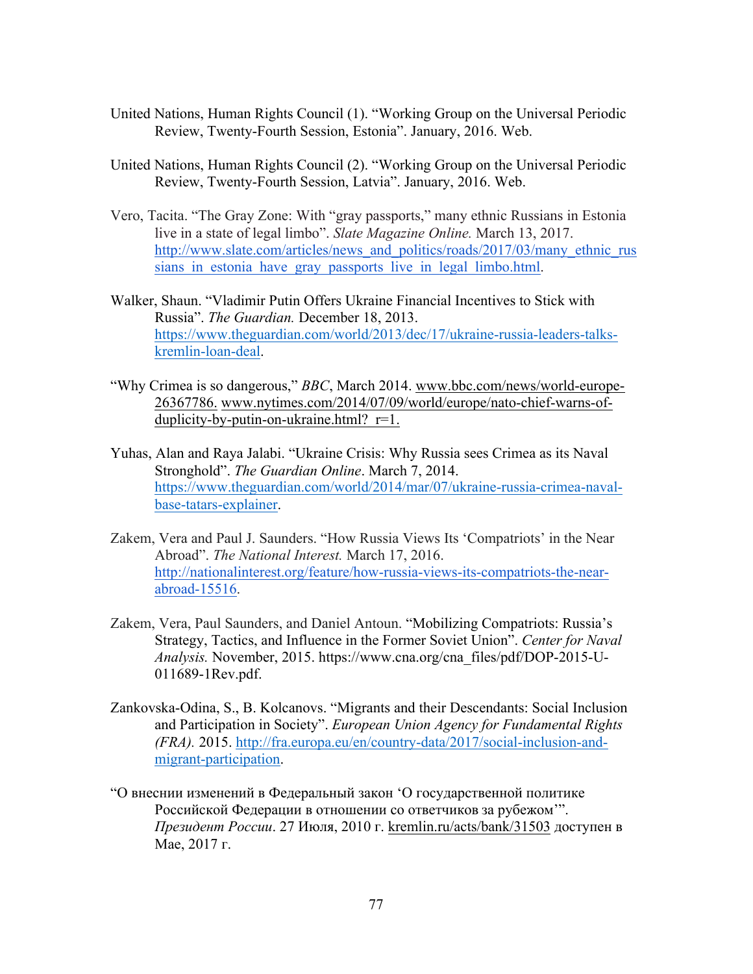- United Nations, Human Rights Council (1). "Working Group on the Universal Periodic Review, Twenty-Fourth Session, Estonia". January, 2016. Web.
- United Nations, Human Rights Council (2). "Working Group on the Universal Periodic Review, Twenty-Fourth Session, Latvia". January, 2016. Web.
- Vero, Tacita. "The Gray Zone: With "gray passports," many ethnic Russians in Estonia live in a state of legal limbo". *Slate Magazine Online.* March 13, 2017. http://www.slate.com/articles/news\_and\_politics/roads/2017/03/many\_ethnic\_rus sians in estonia have gray passports live in legal limbo.html.
- Walker, Shaun. "Vladimir Putin Offers Ukraine Financial Incentives to Stick with Russia". *The Guardian.* December 18, 2013. https://www.theguardian.com/world/2013/dec/17/ukraine-russia-leaders-talkskremlin-loan-deal.
- "Why Crimea is so dangerous," *BBC*, March 2014. www.bbc.com/news/world-europe-26367786. www.nytimes.com/2014/07/09/world/europe/nato-chief-warns-ofduplicity-by-putin-on-ukraine.html? $r=1$ .
- Yuhas, Alan and Raya Jalabi. "Ukraine Crisis: Why Russia sees Crimea as its Naval Stronghold". *The Guardian Online*. March 7, 2014. https://www.theguardian.com/world/2014/mar/07/ukraine-russia-crimea-navalbase-tatars-explainer.
- Zakem, Vera and Paul J. Saunders. "How Russia Views Its 'Compatriots' in the Near Abroad". *The National Interest.* March 17, 2016. http://nationalinterest.org/feature/how-russia-views-its-compatriots-the-nearabroad-15516.
- Zakem, Vera, Paul Saunders, and Daniel Antoun. "Mobilizing Compatriots: Russia's Strategy, Tactics, and Influence in the Former Soviet Union". *Center for Naval Analysis.* November, 2015. https://www.cna.org/cna\_files/pdf/DOP-2015-U-011689-1Rev.pdf.
- Zankovska-Odina, S., B. Kolcanovs. "Migrants and their Descendants: Social Inclusion and Participation in Society". *European Union Agency for Fundamental Rights (FRA).* 2015. http://fra.europa.eu/en/country-data/2017/social-inclusion-andmigrant-participation.
- "О внеснии изменений в Федеральный закон 'О государственной политике Российской Федерации в отношении со ответчиков за рубежом'". *Президент России*. 27 Июля, 2010 г. kremlin.ru/acts/bank/31503 доступен в Мае, 2017 г.